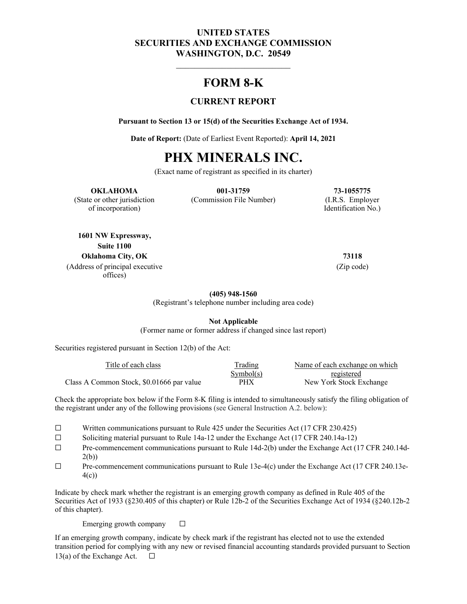## **UNITED STATES SECURITIES AND EXCHANGE COMMISSION WASHINGTON, D.C. 20549**

## **FORM 8-K**

## **CURRENT REPORT**

**Pursuant to Section 13 or 15(d) of the Securities Exchange Act of 1934.** 

**Date of Report:** (Date of Earliest Event Reported): **April 14, 2021** 

# **PHX MINERALS INC.**

(Exact name of registrant as specified in its charter)

#### **OKLAHOMA 001-31759 73-1055775**

of incorporation) Identification No.)

(State or other jurisdiction (Commission File Number) (I.R.S. Employer

**1601 NW Expressway, Suite 1100 Oklahoma City, OK 73118** (Address of principal executive offices)

(Zip code)

**(405) 948-1560**

(Registrant's telephone number including area code)

**Not Applicable**

(Former name or former address if changed since last report)

Securities registered pursuant in Section 12(b) of the Act:

| Title of each class                       | Trading   | Name of each exchange on which |
|-------------------------------------------|-----------|--------------------------------|
|                                           | Symbol(s) | registered                     |
| Class A Common Stock, \$0.01666 par value | PHX       | New York Stock Exchange        |

Check the appropriate box below if the Form 8-K filing is intended to simultaneously satisfy the filing obligation of the registrant under any of the following provisions (see General Instruction A.2. below):

- ☐ Written communications pursuant to Rule 425 under the Securities Act (17 CFR 230.425)
- ☐ Soliciting material pursuant to Rule 14a-12 under the Exchange Act (17 CFR 240.14a-12)
- ☐ Pre-commencement communications pursuant to Rule 14d-2(b) under the Exchange Act (17 CFR 240.14d-2(b))
- $\Box$  Pre-commencement communications pursuant to Rule 13e-4(c) under the Exchange Act (17 CFR 240.13e-4(c))

Indicate by check mark whether the registrant is an emerging growth company as defined in Rule 405 of the Securities Act of 1933 (§230.405 of this chapter) or Rule 12b-2 of the Securities Exchange Act of 1934 (§240.12b-2 of this chapter).

Emerging growth company  $\Box$ 

If an emerging growth company, indicate by check mark if the registrant has elected not to use the extended transition period for complying with any new or revised financial accounting standards provided pursuant to Section 13(a) of the Exchange Act.  $\Box$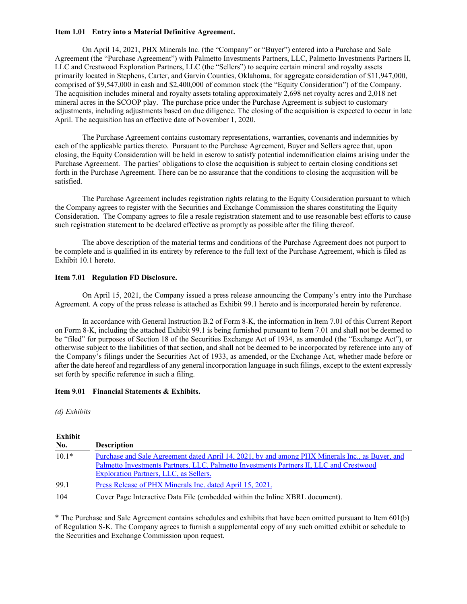#### **Item 1.01 Entry into a Material Definitive Agreement.**

On April 14, 2021, PHX Minerals Inc. (the "Company" or "Buyer") entered into a Purchase and Sale Agreement (the "Purchase Agreement") with Palmetto Investments Partners, LLC, Palmetto Investments Partners II, LLC and Crestwood Exploration Partners, LLC (the "Sellers") to acquire certain mineral and royalty assets primarily located in Stephens, Carter, and Garvin Counties, Oklahoma, for aggregate consideration of \$11,947,000, comprised of \$9,547,000 in cash and \$2,400,000 of common stock (the "Equity Consideration") of the Company. The acquisition includes mineral and royalty assets totaling approximately 2,698 net royalty acres and 2,018 net mineral acres in the SCOOP play. The purchase price under the Purchase Agreement is subject to customary adjustments, including adjustments based on due diligence. The closing of the acquisition is expected to occur in late April. The acquisition has an effective date of November 1, 2020.

The Purchase Agreement contains customary representations, warranties, covenants and indemnities by each of the applicable parties thereto. Pursuant to the Purchase Agreement, Buyer and Sellers agree that, upon closing, the Equity Consideration will be held in escrow to satisfy potential indemnification claims arising under the Purchase Agreement. The parties' obligations to close the acquisition is subject to certain closing conditions set forth in the Purchase Agreement. There can be no assurance that the conditions to closing the acquisition will be satisfied.

The Purchase Agreement includes registration rights relating to the Equity Consideration pursuant to which the Company agrees to register with the Securities and Exchange Commission the shares constituting the Equity Consideration. The Company agrees to file a resale registration statement and to use reasonable best efforts to cause such registration statement to be declared effective as promptly as possible after the filing thereof.

The above description of the material terms and conditions of the Purchase Agreement does not purport to be complete and is qualified in its entirety by reference to the full text of the Purchase Agreement, which is filed as Exhibit 10.1 hereto.

#### **Item 7.01 Regulation FD Disclosure.**

On April 15, 2021, the Company issued a press release announcing the Company's entry into the Purchase Agreement. A copy of the press release is attached as Exhibit 99.1 hereto and is incorporated herein by reference.

In accordance with General Instruction B.2 of Form 8-K, the information in Item 7.01 of this Current Report on Form 8-K, including the attached Exhibit 99.1 is being furnished pursuant to Item 7.01 and shall not be deemed to be "filed" for purposes of Section 18 of the Securities Exchange Act of 1934, as amended (the "Exchange Act"), or otherwise subject to the liabilities of that section, and shall not be deemed to be incorporated by reference into any of the Company's filings under the Securities Act of 1933, as amended, or the Exchange Act, whether made before or after the date hereof and regardless of any general incorporation language in such filings, except to the extent expressly set forth by specific reference in such a filing.

#### **Item 9.01 Financial Statements & Exhibits.**

#### *(d) Exhibits*

#### **Exhibit**

| --------- | <b>Description</b>                                                                              |
|-----------|-------------------------------------------------------------------------------------------------|
| No.       |                                                                                                 |
| $10.1*$   | Purchase and Sale Agreement dated April 14, 2021, by and among PHX Minerals Inc., as Buyer, and |
|           | Palmetto Investments Partners, LLC, Palmetto Investments Partners II, LLC and Crestwood         |
|           | <b>Exploration Partners, LLC, as Sellers.</b>                                                   |
| 99.1      | Press Release of PHX Minerals Inc. dated April 15, 2021.                                        |
| 104       | Cover Page Interactive Data File (embedded within the Inline XBRL document).                    |

\* The Purchase and Sale Agreement contains schedules and exhibits that have been omitted pursuant to Item 601(b) of Regulation S-K. The Company agrees to furnish a supplemental copy of any such omitted exhibit or schedule to the Securities and Exchange Commission upon request.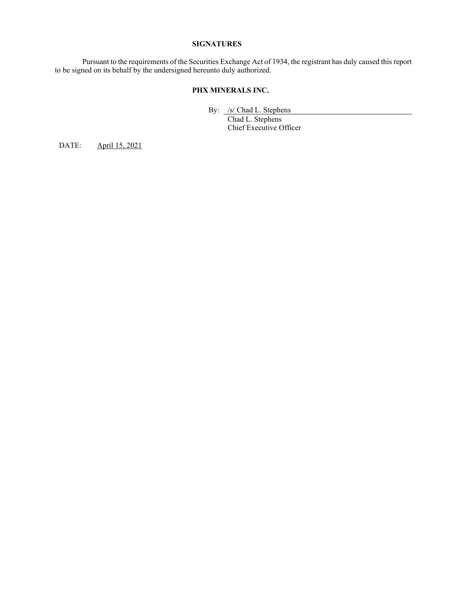#### **SIGNATURES**

 Pursuant to the requirements of the Securities Exchange Act of 1934, the registrant has duly caused this report to be signed on its behalf by the undersigned hereunto duly authorized.

#### **PHX MINERALS INC.**

By: /s/ Chad L. Stephens

 Chad L. Stephens Chief Executive Officer

DATE: April 15, 2021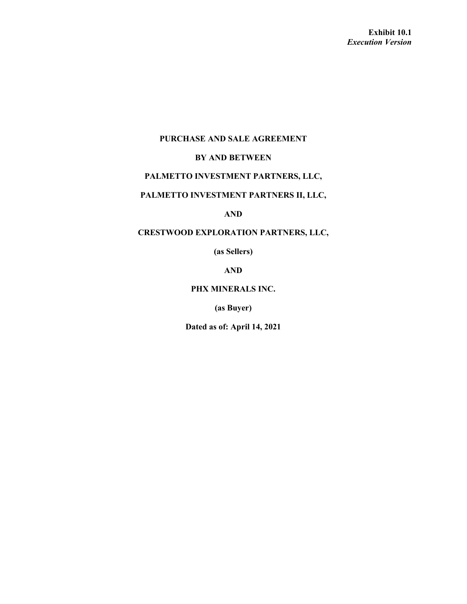## **PURCHASE AND SALE AGREEMENT**

## **BY AND BETWEEN**

## **PALMETTO INVESTMENT PARTNERS, LLC,**

## **PALMETTO INVESTMENT PARTNERS II, LLC,**

**AND** 

## **CRESTWOOD EXPLORATION PARTNERS, LLC,**

**(as Sellers)** 

**AND** 

### **PHX MINERALS INC.**

**(as Buyer)** 

**Dated as of: April 14, 2021**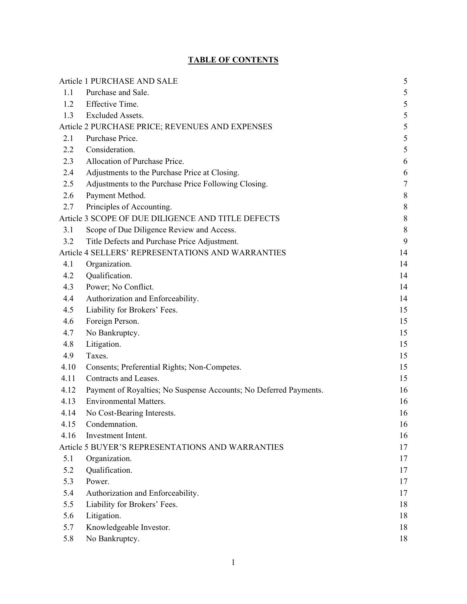## **TABLE OF CONTENTS**

|      | Article 1 PURCHASE AND SALE                                       | 5                |
|------|-------------------------------------------------------------------|------------------|
| 1.1  | Purchase and Sale.                                                | $\sqrt{5}$       |
| 1.2  | Effective Time.                                                   | 5                |
| 1.3  | <b>Excluded Assets.</b>                                           | $\sqrt{5}$       |
|      | Article 2 PURCHASE PRICE; REVENUES AND EXPENSES                   | 5                |
| 2.1  | Purchase Price.                                                   | 5                |
| 2.2  | Consideration.                                                    | 5                |
| 2.3  | Allocation of Purchase Price.                                     | 6                |
| 2.4  | Adjustments to the Purchase Price at Closing.                     | 6                |
| 2.5  | Adjustments to the Purchase Price Following Closing.              | $\boldsymbol{7}$ |
| 2.6  | Payment Method.                                                   | $\,8\,$          |
| 2.7  | Principles of Accounting.                                         | $\,8\,$          |
|      | Article 3 SCOPE OF DUE DILIGENCE AND TITLE DEFECTS                | $\,8\,$          |
| 3.1  | Scope of Due Diligence Review and Access.                         | $\,8\,$          |
| 3.2  | Title Defects and Purchase Price Adjustment.                      | 9                |
|      | Article 4 SELLERS' REPRESENTATIONS AND WARRANTIES                 | 14               |
| 4.1  | Organization.                                                     | 14               |
| 4.2  | Qualification.                                                    | 14               |
| 4.3  | Power; No Conflict.                                               | 14               |
| 4.4  | Authorization and Enforceability.                                 | 14               |
| 4.5  | Liability for Brokers' Fees.                                      | 15               |
| 4.6  | Foreign Person.                                                   | 15               |
| 4.7  | No Bankruptcy.                                                    | 15               |
| 4.8  | Litigation.                                                       | 15               |
| 4.9  | Taxes.                                                            | 15               |
| 4.10 | Consents; Preferential Rights; Non-Competes.                      | 15               |
| 4.11 | Contracts and Leases.                                             | 15               |
| 4.12 | Payment of Royalties; No Suspense Accounts; No Deferred Payments. | 16               |
| 4.13 | Environmental Matters.                                            | 16               |
| 4.14 | No Cost-Bearing Interests.                                        | 16               |
| 4.15 | Condemnation.                                                     | 16               |
| 4.16 | Investment Intent.                                                | 16               |
|      | Article 5 BUYER'S REPRESENTATIONS AND WARRANTIES                  | 17               |
| 5.1  | Organization.                                                     | 17               |
| 5.2  | Qualification.                                                    | 17               |
| 5.3  | Power.                                                            | 17               |
| 5.4  | Authorization and Enforceability.                                 | 17               |
| 5.5  | Liability for Brokers' Fees.                                      | 18               |
| 5.6  | Litigation.                                                       | 18               |
| 5.7  | Knowledgeable Investor.                                           | 18               |
| 5.8  | No Bankruptcy.                                                    | 18               |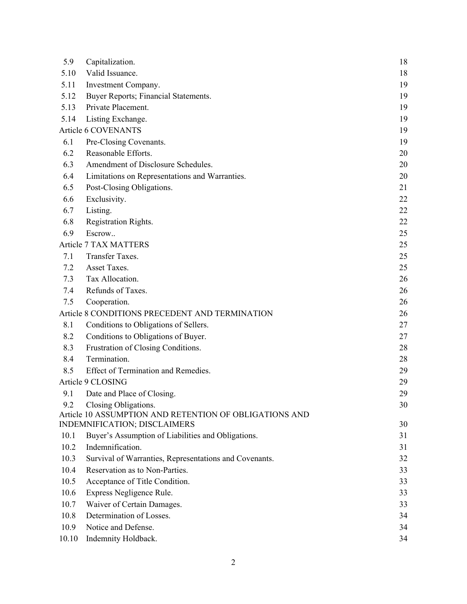| 5.9   | Capitalization.                                        | 18 |
|-------|--------------------------------------------------------|----|
| 5.10  | Valid Issuance.                                        | 18 |
| 5.11  | Investment Company.                                    | 19 |
| 5.12  | Buyer Reports; Financial Statements.                   | 19 |
| 5.13  | Private Placement.                                     | 19 |
| 5.14  | Listing Exchange.                                      | 19 |
|       | Article 6 COVENANTS                                    | 19 |
| 6.1   | Pre-Closing Covenants.                                 | 19 |
| 6.2   | Reasonable Efforts.                                    | 20 |
| 6.3   | Amendment of Disclosure Schedules.                     | 20 |
| 6.4   | Limitations on Representations and Warranties.         | 20 |
| 6.5   | Post-Closing Obligations.                              | 21 |
| 6.6   | Exclusivity.                                           | 22 |
| 6.7   | Listing.                                               | 22 |
| 6.8   | Registration Rights.                                   | 22 |
| 6.9   | Escrow                                                 | 25 |
|       | <b>Article 7 TAX MATTERS</b>                           | 25 |
| 7.1   | Transfer Taxes.                                        | 25 |
| 7.2   | Asset Taxes.                                           | 25 |
| 7.3   | Tax Allocation.                                        | 26 |
| 7.4   | Refunds of Taxes.                                      | 26 |
| 7.5   | Cooperation.                                           | 26 |
|       | Article 8 CONDITIONS PRECEDENT AND TERMINATION         | 26 |
| 8.1   | Conditions to Obligations of Sellers.                  | 27 |
| 8.2   | Conditions to Obligations of Buyer.                    | 27 |
| 8.3   | Frustration of Closing Conditions.                     | 28 |
| 8.4   | Termination.                                           | 28 |
| 8.5   | Effect of Termination and Remedies.                    | 29 |
|       | Article 9 CLOSING                                      | 29 |
| 9.1   | Date and Place of Closing.                             | 29 |
| 9.2   | Closing Obligations.                                   | 30 |
|       | Article 10 ASSUMPTION AND RETENTION OF OBLIGATIONS AND |    |
|       | INDEMNIFICATION; DISCLAIMERS                           | 30 |
| 10.1  | Buyer's Assumption of Liabilities and Obligations.     | 31 |
| 10.2  | Indemnification.                                       | 31 |
| 10.3  | Survival of Warranties, Representations and Covenants. | 32 |
| 10.4  | Reservation as to Non-Parties.                         | 33 |
| 10.5  | Acceptance of Title Condition.                         | 33 |
| 10.6  | Express Negligence Rule.                               | 33 |
| 10.7  | Waiver of Certain Damages.                             | 33 |
| 10.8  | Determination of Losses.                               | 34 |
| 10.9  | Notice and Defense.                                    | 34 |
| 10.10 | Indemnity Holdback.                                    | 34 |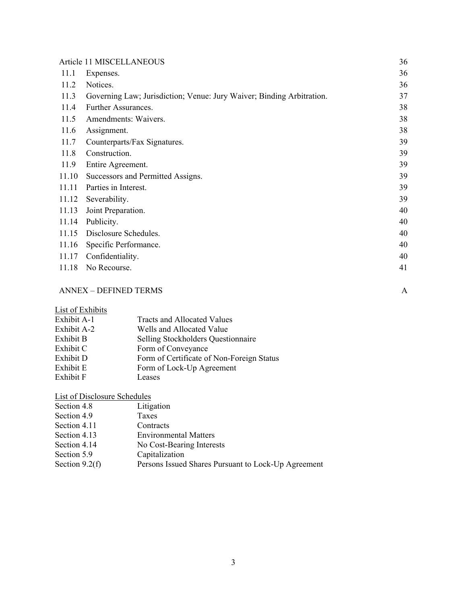|       | Article 11 MISCELLANEOUS                                              | 36 |
|-------|-----------------------------------------------------------------------|----|
| 11.1  | Expenses.                                                             | 36 |
| 11.2  | Notices.                                                              | 36 |
| 11.3  | Governing Law; Jurisdiction; Venue: Jury Waiver; Binding Arbitration. | 37 |
| 11.4  | Further Assurances.                                                   | 38 |
| 11.5  | Amendments: Waivers.                                                  | 38 |
| 11.6  | Assignment.                                                           | 38 |
| 11.7  | Counterparts/Fax Signatures.                                          | 39 |
| 11.8  | Construction.                                                         | 39 |
| 11.9  | Entire Agreement.                                                     | 39 |
| 11.10 | Successors and Permitted Assigns.                                     | 39 |
| 11.11 | Parties in Interest.                                                  | 39 |
| 11.12 | Severability.                                                         | 39 |
| 11.13 | Joint Preparation.                                                    | 40 |
| 11.14 | Publicity.                                                            | 40 |
| 11.15 | Disclosure Schedules.                                                 | 40 |
| 11.16 | Specific Performance.                                                 | 40 |
| 11.17 | Confidentiality.                                                      | 40 |
| 11.18 | No Recourse.                                                          | 41 |

## ANNEX – DEFINED TERMS A

List of Exhibits

| Exhibit A-1 | Tracts and Allocated Values               |
|-------------|-------------------------------------------|
| Exhibit A-2 | Wells and Allocated Value                 |
| Exhibit B   | Selling Stockholders Questionnaire        |
| Exhibit C   | Form of Conveyance                        |
| Exhibit D   | Form of Certificate of Non-Foreign Status |
| Exhibit E   | Form of Lock-Up Agreement                 |
| Exhibit F   | Leases                                    |

List of Disclosure Schedules

| Section 4.8      | Litigation                                          |
|------------------|-----------------------------------------------------|
| Section 4.9      | <b>Taxes</b>                                        |
| Section 4.11     | Contracts                                           |
| Section 4.13     | <b>Environmental Matters</b>                        |
| Section 4.14     | No Cost-Bearing Interests                           |
| Section 5.9      | Capitalization                                      |
| Section $9.2(f)$ | Persons Issued Shares Pursuant to Lock-Up Agreement |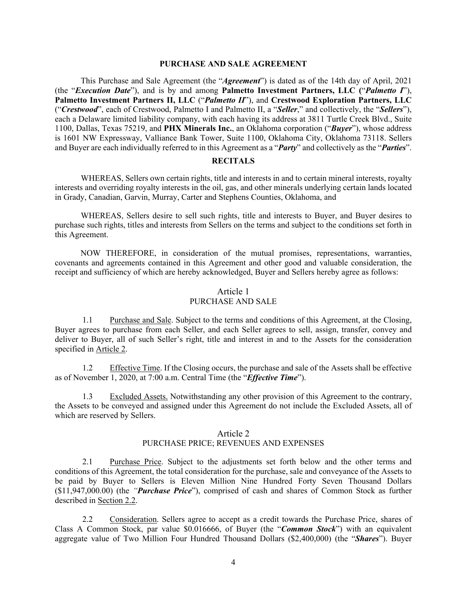#### **PURCHASE AND SALE AGREEMENT**

This Purchase and Sale Agreement (the "*Agreement*") is dated as of the 14th day of April, 2021 (the "*Execution Date*"), and is by and among **Palmetto Investment Partners, LLC (**"*Palmetto I*"), **Palmetto Investment Partners II, LLC** ("*Palmetto II*"), and **Crestwood Exploration Partners, LLC**  ("*Crestwood*", each of Crestwood, Palmetto I and Palmetto II, a "*Seller*," and collectively, the "*Sellers*"), each a Delaware limited liability company, with each having its address at 3811 Turtle Creek Blvd., Suite 1100, Dallas, Texas 75219, and **PHX Minerals Inc.**, an Oklahoma corporation ("*Buyer*"), whose address is 1601 NW Expressway, Valliance Bank Tower, Suite 1100, Oklahoma City, Oklahoma 73118. Sellers and Buyer are each individually referred to in this Agreement as a "*Party*" and collectively as the "*Parties*".

#### **RECITALS**

WHEREAS, Sellers own certain rights, title and interests in and to certain mineral interests, royalty interests and overriding royalty interests in the oil, gas, and other minerals underlying certain lands located in Grady, Canadian, Garvin, Murray, Carter and Stephens Counties, Oklahoma, and

WHEREAS, Sellers desire to sell such rights, title and interests to Buyer, and Buyer desires to purchase such rights, titles and interests from Sellers on the terms and subject to the conditions set forth in this Agreement.

NOW THEREFORE, in consideration of the mutual promises, representations, warranties, covenants and agreements contained in this Agreement and other good and valuable consideration, the receipt and sufficiency of which are hereby acknowledged, Buyer and Sellers hereby agree as follows:

#### Article 1 PURCHASE AND SALE

1.1 Purchase and Sale. Subject to the terms and conditions of this Agreement, at the Closing, Buyer agrees to purchase from each Seller, and each Seller agrees to sell, assign, transfer, convey and deliver to Buyer, all of such Seller's right, title and interest in and to the Assets for the consideration specified in Article 2.

1.2 Effective Time. If the Closing occurs, the purchase and sale of the Assets shall be effective as of November 1, 2020, at 7:00 a.m. Central Time (the "*Effective Time*").

1.3 Excluded Assets. Notwithstanding any other provision of this Agreement to the contrary, the Assets to be conveyed and assigned under this Agreement do not include the Excluded Assets, all of which are reserved by Sellers.

#### Article 2

#### PURCHASE PRICE; REVENUES AND EXPENSES

2.1 Purchase Price. Subject to the adjustments set forth below and the other terms and conditions of this Agreement, the total consideration for the purchase, sale and conveyance of the Assets to be paid by Buyer to Sellers is Eleven Million Nine Hundred Forty Seven Thousand Dollars (\$11,947,000.00) (the *"Purchase Price*"), comprised of cash and shares of Common Stock as further described in Section 2.2.

2.2 Consideration. Sellers agree to accept as a credit towards the Purchase Price, shares of Class A Common Stock, par value \$0.016666, of Buyer (the "*Common Stock*") with an equivalent aggregate value of Two Million Four Hundred Thousand Dollars (\$2,400,000) (the "*Shares*"). Buyer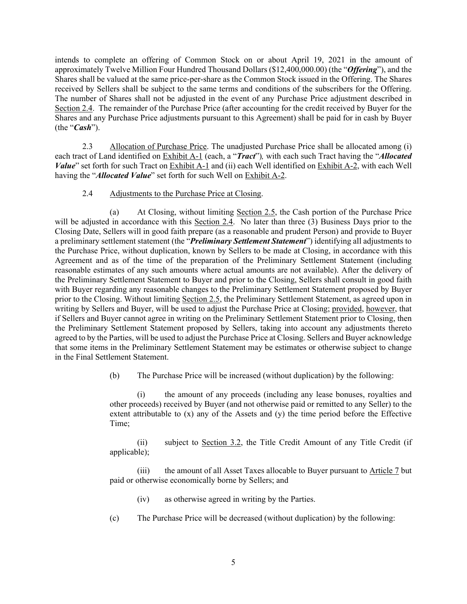intends to complete an offering of Common Stock on or about April 19, 2021 in the amount of approximately Twelve Million Four Hundred Thousand Dollars (\$12,400,000.00) (the "*Offering*"), and the Shares shall be valued at the same price-per-share as the Common Stock issued in the Offering. The Shares received by Sellers shall be subject to the same terms and conditions of the subscribers for the Offering. The number of Shares shall not be adjusted in the event of any Purchase Price adjustment described in Section 2.4. The remainder of the Purchase Price (after accounting for the credit received by Buyer for the Shares and any Purchase Price adjustments pursuant to this Agreement) shall be paid for in cash by Buyer (the "*Cash*").

2.3 Allocation of Purchase Price. The unadjusted Purchase Price shall be allocated among (i) each tract of Land identified on Exhibit A-1 (each, a "*Tract*")*,* with each such Tract having the "*Allocated Value*" set forth for such Tract on Exhibit A-1 and (ii) each Well identified on Exhibit A-2, with each Well having the "*Allocated Value*" set forth for such Well on Exhibit A-2.

#### 2.4 Adjustments to the Purchase Price at Closing.

(a) At Closing, without limiting Section 2.5, the Cash portion of the Purchase Price will be adjusted in accordance with this Section 2.4. No later than three (3) Business Days prior to the Closing Date, Sellers will in good faith prepare (as a reasonable and prudent Person) and provide to Buyer a preliminary settlement statement (the "*Preliminary Settlement Statement*") identifying all adjustments to the Purchase Price, without duplication, known by Sellers to be made at Closing, in accordance with this Agreement and as of the time of the preparation of the Preliminary Settlement Statement (including reasonable estimates of any such amounts where actual amounts are not available). After the delivery of the Preliminary Settlement Statement to Buyer and prior to the Closing, Sellers shall consult in good faith with Buyer regarding any reasonable changes to the Preliminary Settlement Statement proposed by Buyer prior to the Closing. Without limiting Section 2.5, the Preliminary Settlement Statement, as agreed upon in writing by Sellers and Buyer, will be used to adjust the Purchase Price at Closing; provided, however, that if Sellers and Buyer cannot agree in writing on the Preliminary Settlement Statement prior to Closing, then the Preliminary Settlement Statement proposed by Sellers, taking into account any adjustments thereto agreed to by the Parties, will be used to adjust the Purchase Price at Closing. Sellers and Buyer acknowledge that some items in the Preliminary Settlement Statement may be estimates or otherwise subject to change in the Final Settlement Statement.

(b) The Purchase Price will be increased (without duplication) by the following:

(i) the amount of any proceeds (including any lease bonuses, royalties and other proceeds) received by Buyer (and not otherwise paid or remitted to any Seller) to the extent attributable to (x) any of the Assets and (y) the time period before the Effective Time;

(ii) subject to Section 3.2, the Title Credit Amount of any Title Credit (if applicable);

(iii) the amount of all Asset Taxes allocable to Buyer pursuant to Article 7 but paid or otherwise economically borne by Sellers; and

(iv) as otherwise agreed in writing by the Parties.

(c) The Purchase Price will be decreased (without duplication) by the following: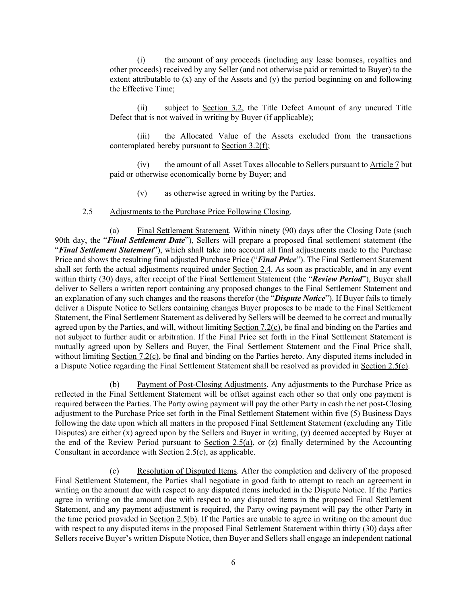(i) the amount of any proceeds (including any lease bonuses, royalties and other proceeds) received by any Seller (and not otherwise paid or remitted to Buyer) to the extent attributable to (x) any of the Assets and (y) the period beginning on and following the Effective Time;

(ii) subject to Section 3.2, the Title Defect Amount of any uncured Title Defect that is not waived in writing by Buyer (if applicable);

(iii) the Allocated Value of the Assets excluded from the transactions contemplated hereby pursuant to  $Section 3.2(f)$ ;

(iv) the amount of all Asset Taxes allocable to Sellers pursuant to Article 7 but paid or otherwise economically borne by Buyer; and

(v) as otherwise agreed in writing by the Parties.

#### 2.5 Adjustments to the Purchase Price Following Closing.

(a) Final Settlement Statement. Within ninety (90) days after the Closing Date (such 90th day, the "*Final Settlement Date*"), Sellers will prepare a proposed final settlement statement (the "*Final Settlement Statement*"), which shall take into account all final adjustments made to the Purchase Price and shows the resulting final adjusted Purchase Price ("*Final Price*"). The Final Settlement Statement shall set forth the actual adjustments required under Section 2.4. As soon as practicable, and in any event within thirty (30) days, after receipt of the Final Settlement Statement (the "*Review Period*"), Buyer shall deliver to Sellers a written report containing any proposed changes to the Final Settlement Statement and an explanation of any such changes and the reasons therefor (the "*Dispute Notice*"). If Buyer fails to timely deliver a Dispute Notice to Sellers containing changes Buyer proposes to be made to the Final Settlement Statement, the Final Settlement Statement as delivered by Sellers will be deemed to be correct and mutually agreed upon by the Parties, and will, without limiting Section 7.2(c), be final and binding on the Parties and not subject to further audit or arbitration. If the Final Price set forth in the Final Settlement Statement is mutually agreed upon by Sellers and Buyer, the Final Settlement Statement and the Final Price shall, without limiting Section 7.2(c), be final and binding on the Parties hereto. Any disputed items included in a Dispute Notice regarding the Final Settlement Statement shall be resolved as provided in Section 2.5(c).

(b) Payment of Post-Closing Adjustments. Any adjustments to the Purchase Price as reflected in the Final Settlement Statement will be offset against each other so that only one payment is required between the Parties. The Party owing payment will pay the other Party in cash the net post-Closing adjustment to the Purchase Price set forth in the Final Settlement Statement within five (5) Business Days following the date upon which all matters in the proposed Final Settlement Statement (excluding any Title Disputes) are either (x) agreed upon by the Sellers and Buyer in writing, (y) deemed accepted by Buyer at the end of the Review Period pursuant to Section 2.5(a), or (z) finally determined by the Accounting Consultant in accordance with Section 2.5(c), as applicable.

(c) Resolution of Disputed Items. After the completion and delivery of the proposed Final Settlement Statement, the Parties shall negotiate in good faith to attempt to reach an agreement in writing on the amount due with respect to any disputed items included in the Dispute Notice. If the Parties agree in writing on the amount due with respect to any disputed items in the proposed Final Settlement Statement, and any payment adjustment is required, the Party owing payment will pay the other Party in the time period provided in Section 2.5(b). If the Parties are unable to agree in writing on the amount due with respect to any disputed items in the proposed Final Settlement Statement within thirty (30) days after Sellers receive Buyer's written Dispute Notice, then Buyer and Sellers shall engage an independent national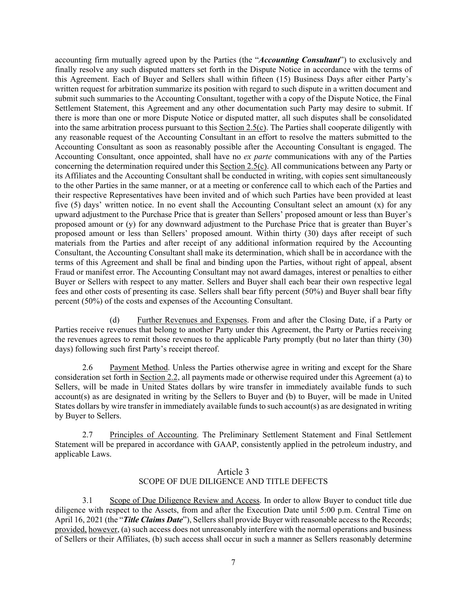accounting firm mutually agreed upon by the Parties (the "*Accounting Consultant*") to exclusively and finally resolve any such disputed matters set forth in the Dispute Notice in accordance with the terms of this Agreement. Each of Buyer and Sellers shall within fifteen (15) Business Days after either Party's written request for arbitration summarize its position with regard to such dispute in a written document and submit such summaries to the Accounting Consultant, together with a copy of the Dispute Notice, the Final Settlement Statement, this Agreement and any other documentation such Party may desire to submit. If there is more than one or more Dispute Notice or disputed matter, all such disputes shall be consolidated into the same arbitration process pursuant to this Section 2.5(c). The Parties shall cooperate diligently with any reasonable request of the Accounting Consultant in an effort to resolve the matters submitted to the Accounting Consultant as soon as reasonably possible after the Accounting Consultant is engaged. The Accounting Consultant, once appointed, shall have no *ex parte* communications with any of the Parties concerning the determination required under this Section 2.5(c). All communications between any Party or its Affiliates and the Accounting Consultant shall be conducted in writing, with copies sent simultaneously to the other Parties in the same manner, or at a meeting or conference call to which each of the Parties and their respective Representatives have been invited and of which such Parties have been provided at least five (5) days' written notice. In no event shall the Accounting Consultant select an amount (x) for any upward adjustment to the Purchase Price that is greater than Sellers' proposed amount or less than Buyer's proposed amount or (y) for any downward adjustment to the Purchase Price that is greater than Buyer's proposed amount or less than Sellers' proposed amount. Within thirty (30) days after receipt of such materials from the Parties and after receipt of any additional information required by the Accounting Consultant, the Accounting Consultant shall make its determination, which shall be in accordance with the terms of this Agreement and shall be final and binding upon the Parties, without right of appeal, absent Fraud or manifest error. The Accounting Consultant may not award damages, interest or penalties to either Buyer or Sellers with respect to any matter. Sellers and Buyer shall each bear their own respective legal fees and other costs of presenting its case. Sellers shall bear fifty percent (50%) and Buyer shall bear fifty percent (50%) of the costs and expenses of the Accounting Consultant.

(d) Further Revenues and Expenses. From and after the Closing Date, if a Party or Parties receive revenues that belong to another Party under this Agreement, the Party or Parties receiving the revenues agrees to remit those revenues to the applicable Party promptly (but no later than thirty (30) days) following such first Party's receipt thereof.

2.6 Payment Method. Unless the Parties otherwise agree in writing and except for the Share consideration set forth in Section 2.2, all payments made or otherwise required under this Agreement (a) to Sellers, will be made in United States dollars by wire transfer in immediately available funds to such account(s) as are designated in writing by the Sellers to Buyer and (b) to Buyer, will be made in United States dollars by wire transfer in immediately available funds to such account(s) as are designated in writing by Buyer to Sellers.

2.7 Principles of Accounting. The Preliminary Settlement Statement and Final Settlement Statement will be prepared in accordance with GAAP, consistently applied in the petroleum industry, and applicable Laws.

### Article 3 SCOPE OF DUE DILIGENCE AND TITLE DEFECTS

3.1 Scope of Due Diligence Review and Access. In order to allow Buyer to conduct title due diligence with respect to the Assets, from and after the Execution Date until 5:00 p.m. Central Time on April 16, 2021 (the "*Title Claims Date*"), Sellers shall provide Buyer with reasonable access to the Records; provided, however, (a) such access does not unreasonably interfere with the normal operations and business of Sellers or their Affiliates, (b) such access shall occur in such a manner as Sellers reasonably determine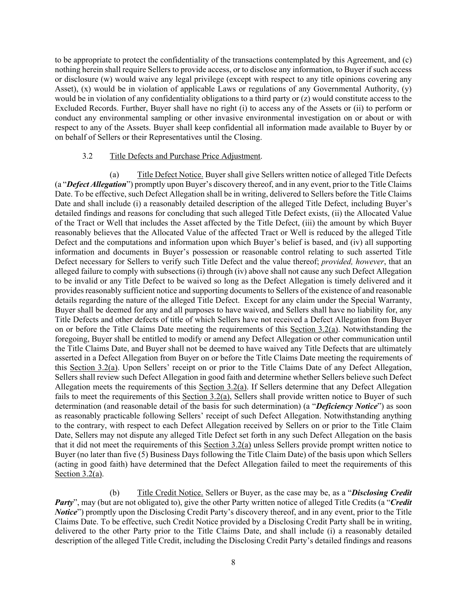to be appropriate to protect the confidentiality of the transactions contemplated by this Agreement, and (c) nothing herein shall require Sellers to provide access, or to disclose any information, to Buyer if such access or disclosure (w) would waive any legal privilege (except with respect to any title opinions covering any Asset), (x) would be in violation of applicable Laws or regulations of any Governmental Authority, (y) would be in violation of any confidentiality obligations to a third party or (z) would constitute access to the Excluded Records. Further, Buyer shall have no right (i) to access any of the Assets or (ii) to perform or conduct any environmental sampling or other invasive environmental investigation on or about or with respect to any of the Assets. Buyer shall keep confidential all information made available to Buyer by or on behalf of Sellers or their Representatives until the Closing.

#### 3.2 Title Defects and Purchase Price Adjustment.

(a) Title Defect Notice. Buyer shall give Sellers written notice of alleged Title Defects (a "*Defect Allegation*") promptly upon Buyer's discovery thereof, and in any event, prior to the Title Claims Date. To be effective, such Defect Allegation shall be in writing, delivered to Sellers before the Title Claims Date and shall include (i) a reasonably detailed description of the alleged Title Defect, including Buyer's detailed findings and reasons for concluding that such alleged Title Defect exists, (ii) the Allocated Value of the Tract or Well that includes the Asset affected by the Title Defect, (iii) the amount by which Buyer reasonably believes that the Allocated Value of the affected Tract or Well is reduced by the alleged Title Defect and the computations and information upon which Buyer's belief is based, and (iv) all supporting information and documents in Buyer's possession or reasonable control relating to such asserted Title Defect necessary for Sellers to verify such Title Defect and the value thereof; *provided, however*, that an alleged failure to comply with subsections (i) through (iv) above shall not cause any such Defect Allegation to be invalid or any Title Defect to be waived so long as the Defect Allegation is timely delivered and it provides reasonably sufficient notice and supporting documents to Sellers of the existence of and reasonable details regarding the nature of the alleged Title Defect. Except for any claim under the Special Warranty, Buyer shall be deemed for any and all purposes to have waived, and Sellers shall have no liability for, any Title Defects and other defects of title of which Sellers have not received a Defect Allegation from Buyer on or before the Title Claims Date meeting the requirements of this Section 3.2(a). Notwithstanding the foregoing, Buyer shall be entitled to modify or amend any Defect Allegation or other communication until the Title Claims Date, and Buyer shall not be deemed to have waived any Title Defects that are ultimately asserted in a Defect Allegation from Buyer on or before the Title Claims Date meeting the requirements of this Section 3.2(a). Upon Sellers' receipt on or prior to the Title Claims Date of any Defect Allegation, Sellers shall review such Defect Allegation in good faith and determine whether Sellers believe such Defect Allegation meets the requirements of this Section 3.2(a). If Sellers determine that any Defect Allegation fails to meet the requirements of this Section 3.2(a), Sellers shall provide written notice to Buyer of such determination (and reasonable detail of the basis for such determination) (a "*Deficiency Notice*") as soon as reasonably practicable following Sellers' receipt of such Defect Allegation. Notwithstanding anything to the contrary, with respect to each Defect Allegation received by Sellers on or prior to the Title Claim Date, Sellers may not dispute any alleged Title Defect set forth in any such Defect Allegation on the basis that it did not meet the requirements of this Section 3.2(a) unless Sellers provide prompt written notice to Buyer (no later than five  $(5)$  Business Days following the Title Claim Date) of the basis upon which Sellers (acting in good faith) have determined that the Defect Allegation failed to meet the requirements of this Section 3.2(a).

(b) Title Credit Notice. Sellers or Buyer, as the case may be, as a "*Disclosing Credit Party*", may (but are not obligated to), give the other Party written notice of alleged Title Credits (a "*Credit Notice*") promptly upon the Disclosing Credit Party's discovery thereof, and in any event, prior to the Title Claims Date. To be effective, such Credit Notice provided by a Disclosing Credit Party shall be in writing, delivered to the other Party prior to the Title Claims Date, and shall include (i) a reasonably detailed description of the alleged Title Credit, including the Disclosing Credit Party's detailed findings and reasons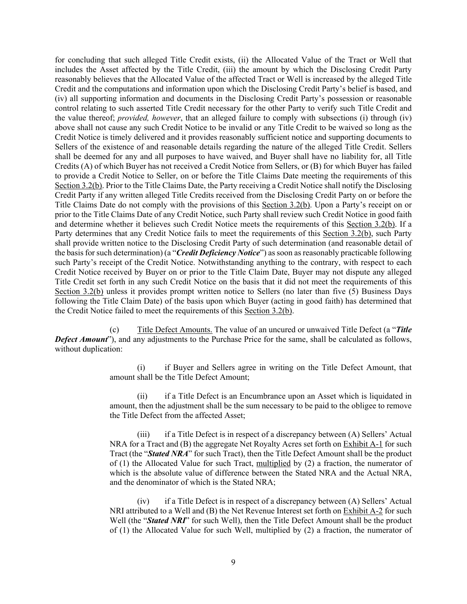for concluding that such alleged Title Credit exists, (ii) the Allocated Value of the Tract or Well that includes the Asset affected by the Title Credit, (iii) the amount by which the Disclosing Credit Party reasonably believes that the Allocated Value of the affected Tract or Well is increased by the alleged Title Credit and the computations and information upon which the Disclosing Credit Party's belief is based, and (iv) all supporting information and documents in the Disclosing Credit Party's possession or reasonable control relating to such asserted Title Credit necessary for the other Party to verify such Title Credit and the value thereof; *provided, however*, that an alleged failure to comply with subsections (i) through (iv) above shall not cause any such Credit Notice to be invalid or any Title Credit to be waived so long as the Credit Notice is timely delivered and it provides reasonably sufficient notice and supporting documents to Sellers of the existence of and reasonable details regarding the nature of the alleged Title Credit. Sellers shall be deemed for any and all purposes to have waived, and Buyer shall have no liability for, all Title Credits (A) of which Buyer has not received a Credit Notice from Sellers, or (B) for which Buyer has failed to provide a Credit Notice to Seller, on or before the Title Claims Date meeting the requirements of this Section 3.2(b). Prior to the Title Claims Date, the Party receiving a Credit Notice shall notify the Disclosing Credit Party if any written alleged Title Credits received from the Disclosing Credit Party on or before the Title Claims Date do not comply with the provisions of this Section 3.2(b). Upon a Party's receipt on or prior to the Title Claims Date of any Credit Notice, such Party shall review such Credit Notice in good faith and determine whether it believes such Credit Notice meets the requirements of this Section 3.2(b). If a Party determines that any Credit Notice fails to meet the requirements of this Section 3.2(b), such Party shall provide written notice to the Disclosing Credit Party of such determination (and reasonable detail of the basis for such determination) (a "*Credit Deficiency Notice*") as soon as reasonably practicable following such Party's receipt of the Credit Notice. Notwithstanding anything to the contrary, with respect to each Credit Notice received by Buyer on or prior to the Title Claim Date, Buyer may not dispute any alleged Title Credit set forth in any such Credit Notice on the basis that it did not meet the requirements of this Section 3.2(b) unless it provides prompt written notice to Sellers (no later than five (5) Business Days following the Title Claim Date) of the basis upon which Buyer (acting in good faith) has determined that the Credit Notice failed to meet the requirements of this Section 3.2(b).

(c) Title Defect Amounts. The value of an uncured or unwaived Title Defect (a "*Title Defect Amount*"), and any adjustments to the Purchase Price for the same, shall be calculated as follows, without duplication:

> (i) if Buyer and Sellers agree in writing on the Title Defect Amount, that amount shall be the Title Defect Amount;

> (ii) if a Title Defect is an Encumbrance upon an Asset which is liquidated in amount, then the adjustment shall be the sum necessary to be paid to the obligee to remove the Title Defect from the affected Asset;

> (iii) if a Title Defect is in respect of a discrepancy between (A) Sellers' Actual NRA for a Tract and (B) the aggregate Net Royalty Acres set forth on **Exhibit A-1** for such Tract (the "*Stated NRA*" for such Tract), then the Title Defect Amount shall be the product of (1) the Allocated Value for such Tract, multiplied by (2) a fraction, the numerator of which is the absolute value of difference between the Stated NRA and the Actual NRA, and the denominator of which is the Stated NRA;

> (iv) if a Title Defect is in respect of a discrepancy between (A) Sellers' Actual NRI attributed to a Well and (B) the Net Revenue Interest set forth on Exhibit A-2 for such Well (the "*Stated NRI*" for such Well), then the Title Defect Amount shall be the product of (1) the Allocated Value for such Well, multiplied by (2) a fraction, the numerator of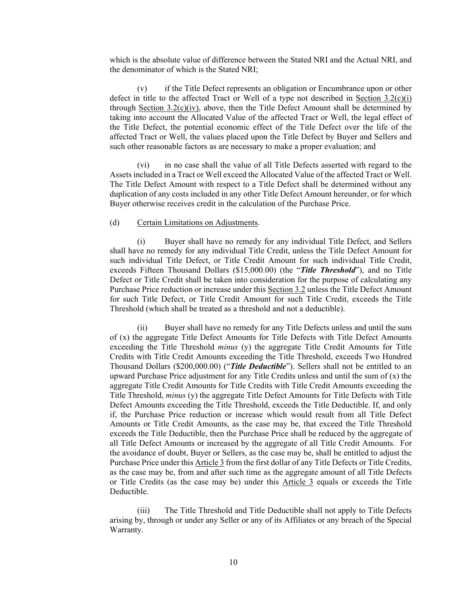which is the absolute value of difference between the Stated NRI and the Actual NRI, and the denominator of which is the Stated NRI;

(v) if the Title Defect represents an obligation or Encumbrance upon or other defect in title to the affected Tract or Well of a type not described in Section  $3.2(c)(i)$ through Section  $3.2(c)(iv)$ , above, then the Title Defect Amount shall be determined by taking into account the Allocated Value of the affected Tract or Well, the legal effect of the Title Defect, the potential economic effect of the Title Defect over the life of the affected Tract or Well, the values placed upon the Title Defect by Buyer and Sellers and such other reasonable factors as are necessary to make a proper evaluation; and

(vi) in no case shall the value of all Title Defects asserted with regard to the Assets included in a Tract or Well exceed the Allocated Value of the affected Tract or Well. The Title Defect Amount with respect to a Title Defect shall be determined without any duplication of any costs included in any other Title Defect Amount hereunder, or for which Buyer otherwise receives credit in the calculation of the Purchase Price.

#### (d) Certain Limitations on Adjustments.

(i) Buyer shall have no remedy for any individual Title Defect, and Sellers shall have no remedy for any individual Title Credit, unless the Title Defect Amount for such individual Title Defect, or Title Credit Amount for such individual Title Credit, exceeds Fifteen Thousand Dollars (\$15,000.00) (the "*Title Threshold*"), and no Title Defect or Title Credit shall be taken into consideration for the purpose of calculating any Purchase Price reduction or increase under this Section 3.2 unless the Title Defect Amount for such Title Defect, or Title Credit Amount for such Title Credit, exceeds the Title Threshold (which shall be treated as a threshold and not a deductible).

(ii) Buyer shall have no remedy for any Title Defects unless and until the sum of (x) the aggregate Title Defect Amounts for Title Defects with Title Defect Amounts exceeding the Title Threshold *minus* (y) the aggregate Title Credit Amounts for Title Credits with Title Credit Amounts exceeding the Title Threshold, exceeds Two Hundred Thousand Dollars (\$200,000.00) ("*Title Deductible*"). Sellers shall not be entitled to an upward Purchase Price adjustment for any Title Credits unless and until the sum of  $(x)$  the aggregate Title Credit Amounts for Title Credits with Title Credit Amounts exceeding the Title Threshold, *minus* (y) the aggregate Title Defect Amounts for Title Defects with Title Defect Amounts exceeding the Title Threshold, exceeds the Title Deductible. If, and only if, the Purchase Price reduction or increase which would result from all Title Defect Amounts or Title Credit Amounts, as the case may be, that exceed the Title Threshold exceeds the Title Deductible, then the Purchase Price shall be reduced by the aggregate of all Title Defect Amounts or increased by the aggregate of all Title Credit Amounts. For the avoidance of doubt, Buyer or Sellers, as the case may be, shall be entitled to adjust the Purchase Price under this Article 3 from the first dollar of any Title Defects or Title Credits, as the case may be, from and after such time as the aggregate amount of all Title Defects or Title Credits (as the case may be) under this Article 3 equals or exceeds the Title Deductible.

(iii) The Title Threshold and Title Deductible shall not apply to Title Defects arising by, through or under any Seller or any of its Affiliates or any breach of the Special Warranty.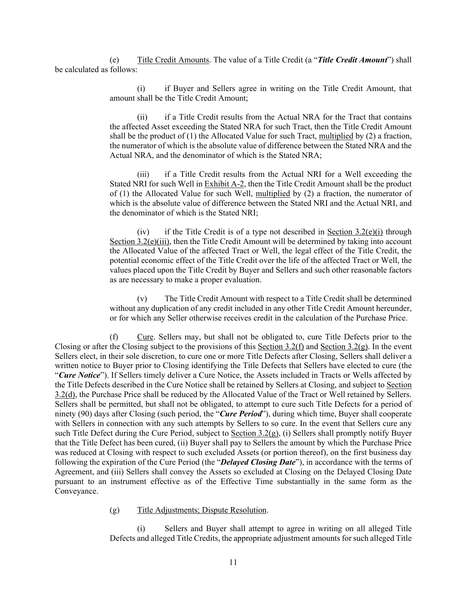(e) Title Credit Amounts. The value of a Title Credit (a "*Title Credit Amount*") shall be calculated as follows:

> (i) if Buyer and Sellers agree in writing on the Title Credit Amount, that amount shall be the Title Credit Amount;

> (ii) if a Title Credit results from the Actual NRA for the Tract that contains the affected Asset exceeding the Stated NRA for such Tract, then the Title Credit Amount shall be the product of  $(1)$  the Allocated Value for such Tract, multiplied by  $(2)$  a fraction, the numerator of which is the absolute value of difference between the Stated NRA and the Actual NRA, and the denominator of which is the Stated NRA;

> (iii) if a Title Credit results from the Actual NRI for a Well exceeding the Stated NRI for such Well in Exhibit A-2, then the Title Credit Amount shall be the product of (1) the Allocated Value for such Well, multiplied by (2) a fraction, the numerator of which is the absolute value of difference between the Stated NRI and the Actual NRI, and the denominator of which is the Stated NRI;

> (iv) if the Title Credit is of a type not described in <u>Section 3.2(e)(i)</u> through Section 3.2(e)(iii), then the Title Credit Amount will be determined by taking into account the Allocated Value of the affected Tract or Well, the legal effect of the Title Credit, the potential economic effect of the Title Credit over the life of the affected Tract or Well, the values placed upon the Title Credit by Buyer and Sellers and such other reasonable factors as are necessary to make a proper evaluation.

> (v) The Title Credit Amount with respect to a Title Credit shall be determined without any duplication of any credit included in any other Title Credit Amount hereunder, or for which any Seller otherwise receives credit in the calculation of the Purchase Price.

(f) Cure. Sellers may, but shall not be obligated to, cure Title Defects prior to the Closing or after the Closing subject to the provisions of this Section 3.2(f) and Section 3.2(g). In the event Sellers elect, in their sole discretion, to cure one or more Title Defects after Closing, Sellers shall deliver a written notice to Buyer prior to Closing identifying the Title Defects that Sellers have elected to cure (the "*Cure Notice*"). If Sellers timely deliver a Cure Notice, the Assets included in Tracts or Wells affected by the Title Defects described in the Cure Notice shall be retained by Sellers at Closing, and subject to Section 3.2(d), the Purchase Price shall be reduced by the Allocated Value of the Tract or Well retained by Sellers. Sellers shall be permitted, but shall not be obligated, to attempt to cure such Title Defects for a period of ninety (90) days after Closing (such period, the "*Cure Period*"), during which time, Buyer shall cooperate with Sellers in connection with any such attempts by Sellers to so cure. In the event that Sellers cure any such Title Defect during the Cure Period, subject to Section 3.2(g), (i) Sellers shall promptly notify Buyer that the Title Defect has been cured, (ii) Buyer shall pay to Sellers the amount by which the Purchase Price was reduced at Closing with respect to such excluded Assets (or portion thereof), on the first business day following the expiration of the Cure Period (the "*Delayed Closing Date*"), in accordance with the terms of Agreement, and (iii) Sellers shall convey the Assets so excluded at Closing on the Delayed Closing Date pursuant to an instrument effective as of the Effective Time substantially in the same form as the Conveyance.

#### (g) Title Adjustments; Dispute Resolution.

Sellers and Buyer shall attempt to agree in writing on all alleged Title Defects and alleged Title Credits, the appropriate adjustment amounts for such alleged Title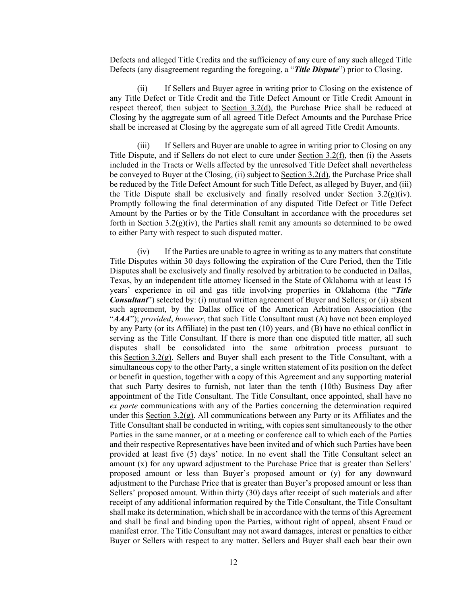Defects and alleged Title Credits and the sufficiency of any cure of any such alleged Title Defects (any disagreement regarding the foregoing, a "*Title Dispute*") prior to Closing.

(ii) If Sellers and Buyer agree in writing prior to Closing on the existence of any Title Defect or Title Credit and the Title Defect Amount or Title Credit Amount in respect thereof, then subject to Section 3.2(d), the Purchase Price shall be reduced at Closing by the aggregate sum of all agreed Title Defect Amounts and the Purchase Price shall be increased at Closing by the aggregate sum of all agreed Title Credit Amounts.

(iii) If Sellers and Buyer are unable to agree in writing prior to Closing on any Title Dispute, and if Sellers do not elect to cure under Section 3.2(f), then (i) the Assets included in the Tracts or Wells affected by the unresolved Title Defect shall nevertheless be conveyed to Buyer at the Closing, (ii) subject to Section 3.2(d), the Purchase Price shall be reduced by the Title Defect Amount for such Title Defect, as alleged by Buyer, and (iii) the Title Dispute shall be exclusively and finally resolved under Section  $3.2(g)(iv)$ . Promptly following the final determination of any disputed Title Defect or Title Defect Amount by the Parties or by the Title Consultant in accordance with the procedures set forth in Section 3.2(g)(iv), the Parties shall remit any amounts so determined to be owed to either Party with respect to such disputed matter.

(iv) If the Parties are unable to agree in writing as to any matters that constitute Title Disputes within 30 days following the expiration of the Cure Period, then the Title Disputes shall be exclusively and finally resolved by arbitration to be conducted in Dallas, Texas, by an independent title attorney licensed in the State of Oklahoma with at least 15 years' experience in oil and gas title involving properties in Oklahoma (the "*Title Consultant*") selected by: (i) mutual written agreement of Buyer and Sellers; or (ii) absent such agreement, by the Dallas office of the American Arbitration Association (the "*AAA*"); *provided*, *however*, that such Title Consultant must (A) have not been employed by any Party (or its Affiliate) in the past ten (10) years, and (B) have no ethical conflict in serving as the Title Consultant. If there is more than one disputed title matter, all such disputes shall be consolidated into the same arbitration process pursuant to this Section 3.2(g). Sellers and Buyer shall each present to the Title Consultant, with a simultaneous copy to the other Party, a single written statement of its position on the defect or benefit in question, together with a copy of this Agreement and any supporting material that such Party desires to furnish, not later than the tenth (10th) Business Day after appointment of the Title Consultant. The Title Consultant, once appointed, shall have no *ex parte* communications with any of the Parties concerning the determination required under this Section  $3.2(g)$ . All communications between any Party or its Affiliates and the Title Consultant shall be conducted in writing, with copies sent simultaneously to the other Parties in the same manner, or at a meeting or conference call to which each of the Parties and their respective Representatives have been invited and of which such Parties have been provided at least five (5) days' notice. In no event shall the Title Consultant select an amount (x) for any upward adjustment to the Purchase Price that is greater than Sellers' proposed amount or less than Buyer's proposed amount or (y) for any downward adjustment to the Purchase Price that is greater than Buyer's proposed amount or less than Sellers' proposed amount. Within thirty (30) days after receipt of such materials and after receipt of any additional information required by the Title Consultant, the Title Consultant shall make its determination, which shall be in accordance with the terms of this Agreement and shall be final and binding upon the Parties, without right of appeal, absent Fraud or manifest error. The Title Consultant may not award damages, interest or penalties to either Buyer or Sellers with respect to any matter. Sellers and Buyer shall each bear their own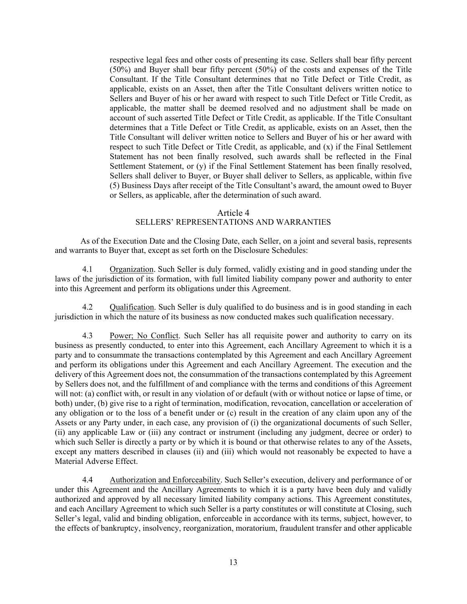respective legal fees and other costs of presenting its case. Sellers shall bear fifty percent (50%) and Buyer shall bear fifty percent (50%) of the costs and expenses of the Title Consultant. If the Title Consultant determines that no Title Defect or Title Credit, as applicable, exists on an Asset, then after the Title Consultant delivers written notice to Sellers and Buyer of his or her award with respect to such Title Defect or Title Credit, as applicable, the matter shall be deemed resolved and no adjustment shall be made on account of such asserted Title Defect or Title Credit, as applicable. If the Title Consultant determines that a Title Defect or Title Credit, as applicable, exists on an Asset, then the Title Consultant will deliver written notice to Sellers and Buyer of his or her award with respect to such Title Defect or Title Credit, as applicable, and (x) if the Final Settlement Statement has not been finally resolved, such awards shall be reflected in the Final Settlement Statement, or (y) if the Final Settlement Statement has been finally resolved, Sellers shall deliver to Buyer, or Buyer shall deliver to Sellers, as applicable, within five (5) Business Days after receipt of the Title Consultant's award, the amount owed to Buyer or Sellers, as applicable, after the determination of such award.

#### Article 4 SELLERS' REPRESENTATIONS AND WARRANTIES

As of the Execution Date and the Closing Date, each Seller, on a joint and several basis, represents and warrants to Buyer that, except as set forth on the Disclosure Schedules:

4.1 Organization. Such Seller is duly formed, validly existing and in good standing under the laws of the jurisdiction of its formation, with full limited liability company power and authority to enter into this Agreement and perform its obligations under this Agreement.

4.2 Qualification. Such Seller is duly qualified to do business and is in good standing in each jurisdiction in which the nature of its business as now conducted makes such qualification necessary.

4.3 Power; No Conflict. Such Seller has all requisite power and authority to carry on its business as presently conducted, to enter into this Agreement, each Ancillary Agreement to which it is a party and to consummate the transactions contemplated by this Agreement and each Ancillary Agreement and perform its obligations under this Agreement and each Ancillary Agreement. The execution and the delivery of this Agreement does not, the consummation of the transactions contemplated by this Agreement by Sellers does not, and the fulfillment of and compliance with the terms and conditions of this Agreement will not: (a) conflict with, or result in any violation of or default (with or without notice or lapse of time, or both) under, (b) give rise to a right of termination, modification, revocation, cancellation or acceleration of any obligation or to the loss of a benefit under or (c) result in the creation of any claim upon any of the Assets or any Party under, in each case, any provision of (i) the organizational documents of such Seller, (ii) any applicable Law or (iii) any contract or instrument (including any judgment, decree or order) to which such Seller is directly a party or by which it is bound or that otherwise relates to any of the Assets, except any matters described in clauses (ii) and (iii) which would not reasonably be expected to have a Material Adverse Effect.

4.4 Authorization and Enforceability. Such Seller's execution, delivery and performance of or under this Agreement and the Ancillary Agreements to which it is a party have been duly and validly authorized and approved by all necessary limited liability company actions. This Agreement constitutes, and each Ancillary Agreement to which such Seller is a party constitutes or will constitute at Closing, such Seller's legal, valid and binding obligation, enforceable in accordance with its terms, subject, however, to the effects of bankruptcy, insolvency, reorganization, moratorium, fraudulent transfer and other applicable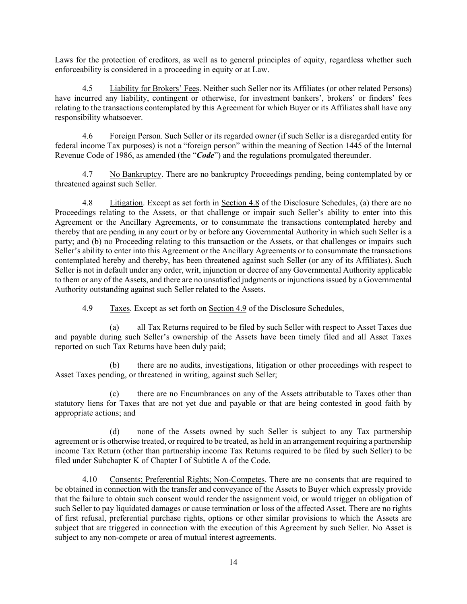Laws for the protection of creditors, as well as to general principles of equity, regardless whether such enforceability is considered in a proceeding in equity or at Law.

4.5 Liability for Brokers' Fees. Neither such Seller nor its Affiliates (or other related Persons) have incurred any liability, contingent or otherwise, for investment bankers', brokers' or finders' fees relating to the transactions contemplated by this Agreement for which Buyer or its Affiliates shall have any responsibility whatsoever.

4.6 Foreign Person. Such Seller or its regarded owner (if such Seller is a disregarded entity for federal income Tax purposes) is not a "foreign person" within the meaning of Section 1445 of the Internal Revenue Code of 1986, as amended (the "*Code*") and the regulations promulgated thereunder.

4.7 No Bankruptcy. There are no bankruptcy Proceedings pending, being contemplated by or threatened against such Seller.

4.8 Litigation. Except as set forth in Section 4.8 of the Disclosure Schedules, (a) there are no Proceedings relating to the Assets, or that challenge or impair such Seller's ability to enter into this Agreement or the Ancillary Agreements, or to consummate the transactions contemplated hereby and thereby that are pending in any court or by or before any Governmental Authority in which such Seller is a party; and (b) no Proceeding relating to this transaction or the Assets, or that challenges or impairs such Seller's ability to enter into this Agreement or the Ancillary Agreements or to consummate the transactions contemplated hereby and thereby, has been threatened against such Seller (or any of its Affiliates). Such Seller is not in default under any order, writ, injunction or decree of any Governmental Authority applicable to them or any of the Assets, and there are no unsatisfied judgments or injunctions issued by a Governmental Authority outstanding against such Seller related to the Assets.

4.9 Taxes. Except as set forth on Section 4.9 of the Disclosure Schedules,

(a) all Tax Returns required to be filed by such Seller with respect to Asset Taxes due and payable during such Seller's ownership of the Assets have been timely filed and all Asset Taxes reported on such Tax Returns have been duly paid;

(b) there are no audits, investigations, litigation or other proceedings with respect to Asset Taxes pending, or threatened in writing, against such Seller;

(c) there are no Encumbrances on any of the Assets attributable to Taxes other than statutory liens for Taxes that are not yet due and payable or that are being contested in good faith by appropriate actions; and

none of the Assets owned by such Seller is subject to any Tax partnership agreement or is otherwise treated, or required to be treated, as held in an arrangement requiring a partnership income Tax Return (other than partnership income Tax Returns required to be filed by such Seller) to be filed under Subchapter K of Chapter I of Subtitle A of the Code.

4.10 Consents; Preferential Rights; Non-Competes. There are no consents that are required to be obtained in connection with the transfer and conveyance of the Assets to Buyer which expressly provide that the failure to obtain such consent would render the assignment void, or would trigger an obligation of such Seller to pay liquidated damages or cause termination or loss of the affected Asset. There are no rights of first refusal, preferential purchase rights, options or other similar provisions to which the Assets are subject that are triggered in connection with the execution of this Agreement by such Seller. No Asset is subject to any non-compete or area of mutual interest agreements.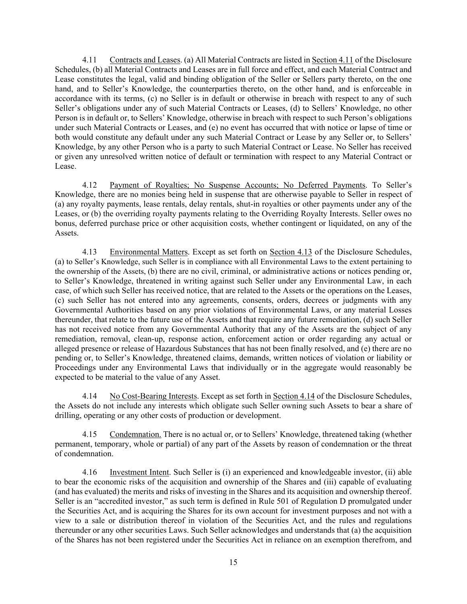4.11 Contracts and Leases. (a) All Material Contracts are listed in Section 4.11 of the Disclosure Schedules, (b) all Material Contracts and Leases are in full force and effect, and each Material Contract and Lease constitutes the legal, valid and binding obligation of the Seller or Sellers party thereto, on the one hand, and to Seller's Knowledge, the counterparties thereto, on the other hand, and is enforceable in accordance with its terms, (c) no Seller is in default or otherwise in breach with respect to any of such Seller's obligations under any of such Material Contracts or Leases, (d) to Sellers' Knowledge, no other Person is in default or, to Sellers' Knowledge, otherwise in breach with respect to such Person's obligations under such Material Contracts or Leases, and (e) no event has occurred that with notice or lapse of time or both would constitute any default under any such Material Contract or Lease by any Seller or, to Sellers' Knowledge, by any other Person who is a party to such Material Contract or Lease. No Seller has received or given any unresolved written notice of default or termination with respect to any Material Contract or Lease.

4.12 Payment of Royalties; No Suspense Accounts; No Deferred Payments. To Seller's Knowledge, there are no monies being held in suspense that are otherwise payable to Seller in respect of (a) any royalty payments, lease rentals, delay rentals, shut-in royalties or other payments under any of the Leases, or (b) the overriding royalty payments relating to the Overriding Royalty Interests. Seller owes no bonus, deferred purchase price or other acquisition costs, whether contingent or liquidated, on any of the Assets.

4.13 Environmental Matters. Except as set forth on Section 4.13 of the Disclosure Schedules, (a) to Seller's Knowledge, such Seller is in compliance with all Environmental Laws to the extent pertaining to the ownership of the Assets, (b) there are no civil, criminal, or administrative actions or notices pending or, to Seller's Knowledge, threatened in writing against such Seller under any Environmental Law, in each case, of which such Seller has received notice, that are related to the Assets or the operations on the Leases, (c) such Seller has not entered into any agreements, consents, orders, decrees or judgments with any Governmental Authorities based on any prior violations of Environmental Laws, or any material Losses thereunder, that relate to the future use of the Assets and that require any future remediation, (d) such Seller has not received notice from any Governmental Authority that any of the Assets are the subject of any remediation, removal, clean-up, response action, enforcement action or order regarding any actual or alleged presence or release of Hazardous Substances that has not been finally resolved, and (e) there are no pending or, to Seller's Knowledge, threatened claims, demands, written notices of violation or liability or Proceedings under any Environmental Laws that individually or in the aggregate would reasonably be expected to be material to the value of any Asset.

4.14 No Cost-Bearing Interests. Except as set forth in Section 4.14 of the Disclosure Schedules, the Assets do not include any interests which obligate such Seller owning such Assets to bear a share of drilling, operating or any other costs of production or development.

4.15 Condemnation. There is no actual or, or to Sellers' Knowledge, threatened taking (whether permanent, temporary, whole or partial) of any part of the Assets by reason of condemnation or the threat of condemnation.

4.16 Investment Intent. Such Seller is (i) an experienced and knowledgeable investor, (ii) able to bear the economic risks of the acquisition and ownership of the Shares and (iii) capable of evaluating (and has evaluated) the merits and risks of investing in the Shares and its acquisition and ownership thereof. Seller is an "accredited investor," as such term is defined in Rule 501 of Regulation D promulgated under the Securities Act, and is acquiring the Shares for its own account for investment purposes and not with a view to a sale or distribution thereof in violation of the Securities Act, and the rules and regulations thereunder or any other securities Laws. Such Seller acknowledges and understands that (a) the acquisition of the Shares has not been registered under the Securities Act in reliance on an exemption therefrom, and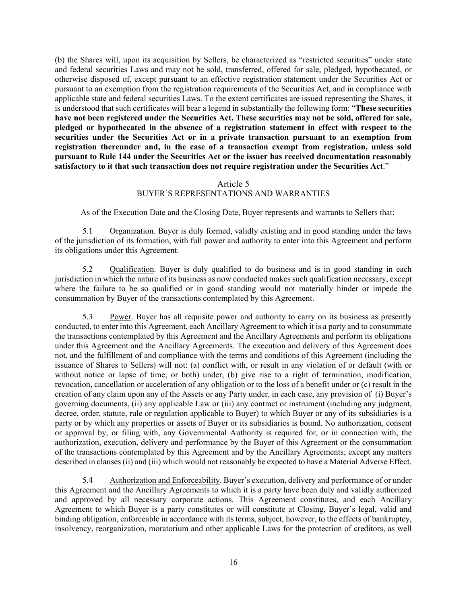(b) the Shares will, upon its acquisition by Sellers, be characterized as "restricted securities" under state and federal securities Laws and may not be sold, transferred, offered for sale, pledged, hypothecated, or otherwise disposed of, except pursuant to an effective registration statement under the Securities Act or pursuant to an exemption from the registration requirements of the Securities Act, and in compliance with applicable state and federal securities Laws. To the extent certificates are issued representing the Shares, it is understood that such certificates will bear a legend in substantially the following form: "**These securities have not been registered under the Securities Act. These securities may not be sold, offered for sale, pledged or hypothecated in the absence of a registration statement in effect with respect to the securities under the Securities Act or in a private transaction pursuant to an exemption from registration thereunder and, in the case of a transaction exempt from registration, unless sold pursuant to Rule 144 under the Securities Act or the issuer has received documentation reasonably satisfactory to it that such transaction does not require registration under the Securities Act**."

### Article 5 BUYER'S REPRESENTATIONS AND WARRANTIES

As of the Execution Date and the Closing Date, Buyer represents and warrants to Sellers that:

5.1 Organization. Buyer is duly formed, validly existing and in good standing under the laws of the jurisdiction of its formation, with full power and authority to enter into this Agreement and perform its obligations under this Agreement.

5.2 Qualification. Buyer is duly qualified to do business and is in good standing in each jurisdiction in which the nature of its business as now conducted makes such qualification necessary, except where the failure to be so qualified or in good standing would not materially hinder or impede the consummation by Buyer of the transactions contemplated by this Agreement.

5.3 Power. Buyer has all requisite power and authority to carry on its business as presently conducted, to enter into this Agreement, each Ancillary Agreement to which it is a party and to consummate the transactions contemplated by this Agreement and the Ancillary Agreements and perform its obligations under this Agreement and the Ancillary Agreements. The execution and delivery of this Agreement does not, and the fulfillment of and compliance with the terms and conditions of this Agreement (including the issuance of Shares to Sellers) will not: (a) conflict with, or result in any violation of or default (with or without notice or lapse of time, or both) under, (b) give rise to a right of termination, modification, revocation, cancellation or acceleration of any obligation or to the loss of a benefit under or (c) result in the creation of any claim upon any of the Assets or any Party under, in each case, any provision of (i) Buyer's governing documents, (ii) any applicable Law or (iii) any contract or instrument (including any judgment, decree, order, statute, rule or regulation applicable to Buyer) to which Buyer or any of its subsidiaries is a party or by which any properties or assets of Buyer or its subsidiaries is bound. No authorization, consent or approval by, or filing with, any Governmental Authority is required for, or in connection with, the authorization, execution, delivery and performance by the Buyer of this Agreement or the consummation of the transactions contemplated by this Agreement and by the Ancillary Agreements; except any matters described in clauses (ii) and (iii) which would not reasonably be expected to have a Material Adverse Effect.

5.4 Authorization and Enforceability. Buyer's execution, delivery and performance of or under this Agreement and the Ancillary Agreements to which it is a party have been duly and validly authorized and approved by all necessary corporate actions. This Agreement constitutes, and each Ancillary Agreement to which Buyer is a party constitutes or will constitute at Closing, Buyer's legal, valid and binding obligation, enforceable in accordance with its terms, subject, however, to the effects of bankruptcy, insolvency, reorganization, moratorium and other applicable Laws for the protection of creditors, as well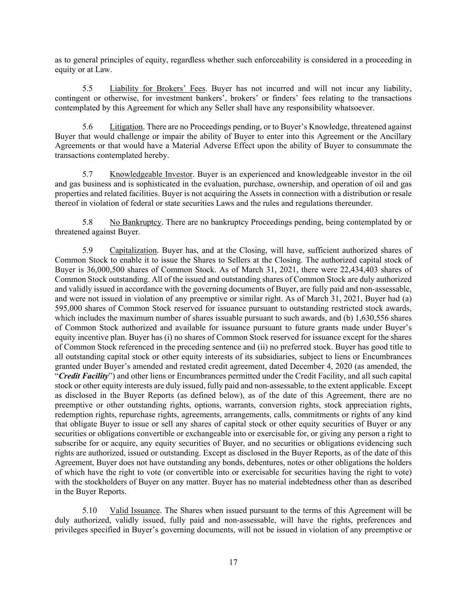as to general principles of equity, regardless whether such enforceability is considered in a proceeding in equity or at Law.

5.5 Liability for Brokers' Fees. Buyer has not incurred and will not incur any liability, contingent or otherwise, for investment bankers', brokers' or finders' fees relating to the transactions contemplated by this Agreement for which any Seller shall have any responsibility whatsoever.

5.6 Litigation. There are no Proceedings pending, or to Buyer's Knowledge, threatened against Buyer that would challenge or impair the ability of Buyer to enter into this Agreement or the Ancillary Agreements or that would have a Material Adverse Effect upon the ability of Buyer to consummate the transactions contemplated hereby.

5.7 Knowledgeable Investor. Buyer is an experienced and knowledgeable investor in the oil and gas business and is sophisticated in the evaluation, purchase, ownership, and operation of oil and gas properties and related facilities. Buyer is not acquiring the Assets in connection with a distribution or resale thereof in violation of federal or state securities Laws and the rules and regulations thereunder.

5.8 No Bankruptcy. There are no bankruptcy Proceedings pending, being contemplated by or threatened against Buyer.

5.9 Capitalization. Buyer has, and at the Closing, will have, sufficient authorized shares of Common Stock to enable it to issue the Shares to Sellers at the Closing. The authorized capital stock of Buyer is 36,000,500 shares of Common Stock. As of March 31, 2021, there were 22,434,403 shares of Common Stock outstanding. All of the issued and outstanding shares of Common Stock are duly authorized and validly issued in accordance with the governing documents of Buyer, are fully paid and non-assessable, and were not issued in violation of any preemptive or similar right. As of March 31, 2021, Buyer had (a) 595,000 shares of Common Stock reserved for issuance pursuant to outstanding restricted stock awards, which includes the maximum number of shares issuable pursuant to such awards, and (b) 1,630,556 shares of Common Stock authorized and available for issuance pursuant to future grants made under Buyer's equity incentive plan. Buyer has (i) no shares of Common Stock reserved for issuance except for the shares of Common Stock referenced in the preceding sentence and (ii) no preferred stock. Buyer has good title to all outstanding capital stock or other equity interests of its subsidiaries, subject to liens or Encumbrances granted under Buyer's amended and restated credit agreement, dated December 4, 2020 (as amended, the "*Credit Facility*") and other liens or Encumbrances permitted under the Credit Facility, and all such capital stock or other equity interests are duly issued, fully paid and non-assessable, to the extent applicable. Except as disclosed in the Buyer Reports (as defined below), as of the date of this Agreement, there are no preemptive or other outstanding rights, options, warrants, conversion rights, stock appreciation rights, redemption rights, repurchase rights, agreements, arrangements, calls, commitments or rights of any kind that obligate Buyer to issue or sell any shares of capital stock or other equity securities of Buyer or any securities or obligations convertible or exchangeable into or exercisable for, or giving any person a right to subscribe for or acquire, any equity securities of Buyer, and no securities or obligations evidencing such rights are authorized, issued or outstanding. Except as disclosed in the Buyer Reports, as of the date of this Agreement, Buyer does not have outstanding any bonds, debentures, notes or other obligations the holders of which have the right to vote (or convertible into or exercisable for securities having the right to vote) with the stockholders of Buyer on any matter. Buyer has no material indebtedness other than as described in the Buyer Reports.

5.10 Valid Issuance. The Shares when issued pursuant to the terms of this Agreement will be duly authorized, validly issued, fully paid and non-assessable, will have the rights, preferences and privileges specified in Buyer's governing documents, will not be issued in violation of any preemptive or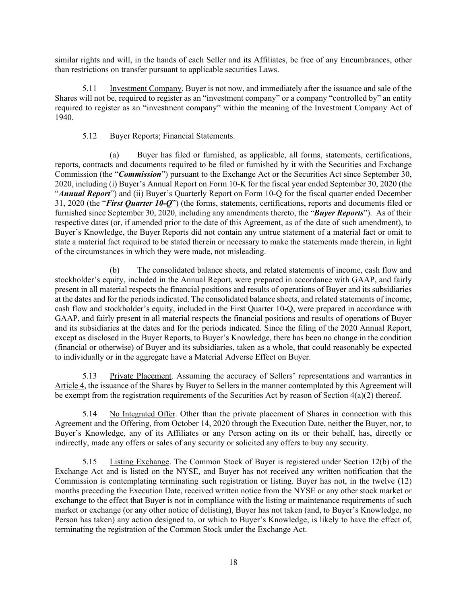similar rights and will, in the hands of each Seller and its Affiliates, be free of any Encumbrances, other than restrictions on transfer pursuant to applicable securities Laws.

5.11 Investment Company. Buyer is not now, and immediately after the issuance and sale of the Shares will not be, required to register as an "investment company" or a company "controlled by" an entity required to register as an "investment company" within the meaning of the Investment Company Act of 1940.

## 5.12 Buyer Reports; Financial Statements.

(a) Buyer has filed or furnished, as applicable, all forms, statements, certifications, reports, contracts and documents required to be filed or furnished by it with the Securities and Exchange Commission (the "*Commission*") pursuant to the Exchange Act or the Securities Act since September 30, 2020, including (i) Buyer's Annual Report on Form 10-K for the fiscal year ended September 30, 2020 (the "*Annual Report*") and (ii) Buyer's Quarterly Report on Form 10-Q for the fiscal quarter ended December 31, 2020 (the "*First Quarter 10-Q*") (the forms, statements, certifications, reports and documents filed or furnished since September 30, 2020, including any amendments thereto, the "*Buyer Reports*"). As of their respective dates (or, if amended prior to the date of this Agreement, as of the date of such amendment), to Buyer's Knowledge, the Buyer Reports did not contain any untrue statement of a material fact or omit to state a material fact required to be stated therein or necessary to make the statements made therein, in light of the circumstances in which they were made, not misleading.

The consolidated balance sheets, and related statements of income, cash flow and stockholder's equity, included in the Annual Report, were prepared in accordance with GAAP, and fairly present in all material respects the financial positions and results of operations of Buyer and its subsidiaries at the dates and for the periods indicated. The consolidated balance sheets, and related statements of income, cash flow and stockholder's equity, included in the First Quarter 10-Q, were prepared in accordance with GAAP, and fairly present in all material respects the financial positions and results of operations of Buyer and its subsidiaries at the dates and for the periods indicated. Since the filing of the 2020 Annual Report, except as disclosed in the Buyer Reports, to Buyer's Knowledge, there has been no change in the condition (financial or otherwise) of Buyer and its subsidiaries, taken as a whole, that could reasonably be expected to individually or in the aggregate have a Material Adverse Effect on Buyer.

5.13 Private Placement. Assuming the accuracy of Sellers' representations and warranties in Article 4, the issuance of the Shares by Buyer to Sellers in the manner contemplated by this Agreement will be exempt from the registration requirements of the Securities Act by reason of Section 4(a)(2) thereof.

5.14 No Integrated Offer. Other than the private placement of Shares in connection with this Agreement and the Offering, from October 14, 2020 through the Execution Date, neither the Buyer, nor, to Buyer's Knowledge, any of its Affiliates or any Person acting on its or their behalf, has, directly or indirectly, made any offers or sales of any security or solicited any offers to buy any security.

5.15 Listing Exchange. The Common Stock of Buyer is registered under Section 12(b) of the Exchange Act and is listed on the NYSE, and Buyer has not received any written notification that the Commission is contemplating terminating such registration or listing. Buyer has not, in the twelve (12) months preceding the Execution Date, received written notice from the NYSE or any other stock market or exchange to the effect that Buyer is not in compliance with the listing or maintenance requirements of such market or exchange (or any other notice of delisting), Buyer has not taken (and, to Buyer's Knowledge, no Person has taken) any action designed to, or which to Buyer's Knowledge, is likely to have the effect of, terminating the registration of the Common Stock under the Exchange Act.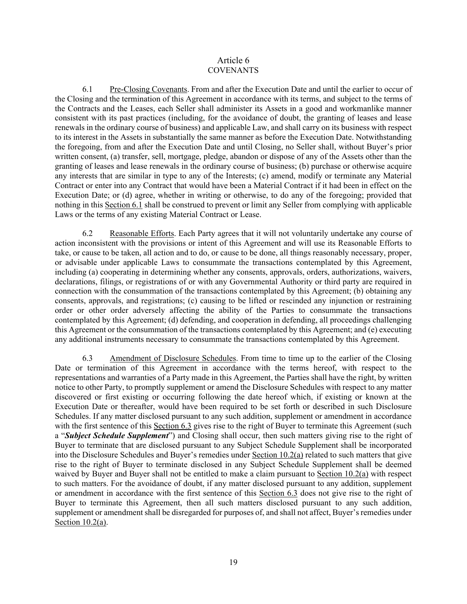## Article 6 **COVENANTS**

6.1 Pre-Closing Covenants. From and after the Execution Date and until the earlier to occur of the Closing and the termination of this Agreement in accordance with its terms, and subject to the terms of the Contracts and the Leases, each Seller shall administer its Assets in a good and workmanlike manner consistent with its past practices (including, for the avoidance of doubt, the granting of leases and lease renewals in the ordinary course of business) and applicable Law, and shall carry on its business with respect to its interest in the Assets in substantially the same manner as before the Execution Date. Notwithstanding the foregoing, from and after the Execution Date and until Closing, no Seller shall, without Buyer's prior written consent, (a) transfer, sell, mortgage, pledge, abandon or dispose of any of the Assets other than the granting of leases and lease renewals in the ordinary course of business; (b) purchase or otherwise acquire any interests that are similar in type to any of the Interests; (c) amend, modify or terminate any Material Contract or enter into any Contract that would have been a Material Contract if it had been in effect on the Execution Date; or (d) agree, whether in writing or otherwise, to do any of the foregoing; provided that nothing in this Section 6.1 shall be construed to prevent or limit any Seller from complying with applicable Laws or the terms of any existing Material Contract or Lease.

6.2 Reasonable Efforts. Each Party agrees that it will not voluntarily undertake any course of action inconsistent with the provisions or intent of this Agreement and will use its Reasonable Efforts to take, or cause to be taken, all action and to do, or cause to be done, all things reasonably necessary, proper, or advisable under applicable Laws to consummate the transactions contemplated by this Agreement, including (a) cooperating in determining whether any consents, approvals, orders, authorizations, waivers, declarations, filings, or registrations of or with any Governmental Authority or third party are required in connection with the consummation of the transactions contemplated by this Agreement; (b) obtaining any consents, approvals, and registrations; (c) causing to be lifted or rescinded any injunction or restraining order or other order adversely affecting the ability of the Parties to consummate the transactions contemplated by this Agreement; (d) defending, and cooperation in defending, all proceedings challenging this Agreement or the consummation of the transactions contemplated by this Agreement; and (e) executing any additional instruments necessary to consummate the transactions contemplated by this Agreement.

6.3 Amendment of Disclosure Schedules. From time to time up to the earlier of the Closing Date or termination of this Agreement in accordance with the terms hereof, with respect to the representations and warranties of a Party made in this Agreement, the Parties shall have the right, by written notice to other Party, to promptly supplement or amend the Disclosure Schedules with respect to any matter discovered or first existing or occurring following the date hereof which, if existing or known at the Execution Date or thereafter, would have been required to be set forth or described in such Disclosure Schedules. If any matter disclosed pursuant to any such addition, supplement or amendment in accordance with the first sentence of this Section 6.3 gives rise to the right of Buyer to terminate this Agreement (such a "*Subject Schedule Supplement*") and Closing shall occur, then such matters giving rise to the right of Buyer to terminate that are disclosed pursuant to any Subject Schedule Supplement shall be incorporated into the Disclosure Schedules and Buyer's remedies under Section 10.2(a) related to such matters that give rise to the right of Buyer to terminate disclosed in any Subject Schedule Supplement shall be deemed waived by Buyer and Buyer shall not be entitled to make a claim pursuant to Section 10.2(a) with respect to such matters. For the avoidance of doubt, if any matter disclosed pursuant to any addition, supplement or amendment in accordance with the first sentence of this Section 6.3 does not give rise to the right of Buyer to terminate this Agreement, then all such matters disclosed pursuant to any such addition, supplement or amendment shall be disregarded for purposes of, and shall not affect, Buyer's remedies under Section 10.2(a).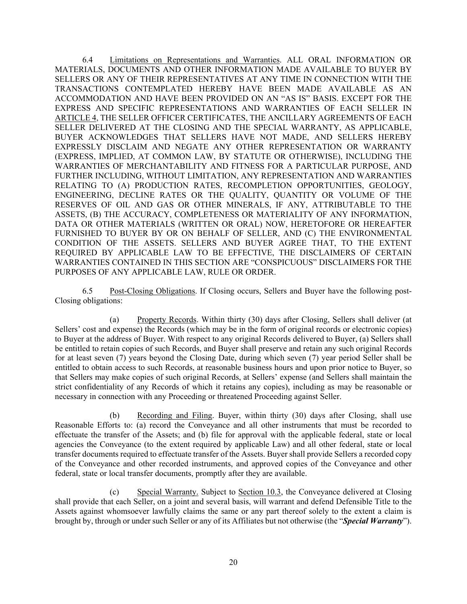6.4 Limitations on Representations and Warranties. ALL ORAL INFORMATION OR MATERIALS, DOCUMENTS AND OTHER INFORMATION MADE AVAILABLE TO BUYER BY SELLERS OR ANY OF THEIR REPRESENTATIVES AT ANY TIME IN CONNECTION WITH THE TRANSACTIONS CONTEMPLATED HEREBY HAVE BEEN MADE AVAILABLE AS AN ACCOMMODATION AND HAVE BEEN PROVIDED ON AN "AS IS" BASIS. EXCEPT FOR THE EXPRESS AND SPECIFIC REPRESENTATIONS AND WARRANTIES OF EACH SELLER IN ARTICLE 4, THE SELLER OFFICER CERTIFICATES, THE ANCILLARY AGREEMENTS OF EACH SELLER DELIVERED AT THE CLOSING AND THE SPECIAL WARRANTY, AS APPLICABLE, BUYER ACKNOWLEDGES THAT SELLERS HAVE NOT MADE, AND SELLERS HEREBY EXPRESSLY DISCLAIM AND NEGATE ANY OTHER REPRESENTATION OR WARRANTY (EXPRESS, IMPLIED, AT COMMON LAW, BY STATUTE OR OTHERWISE), INCLUDING THE WARRANTIES OF MERCHANTABILITY AND FITNESS FOR A PARTICULAR PURPOSE, AND FURTHER INCLUDING, WITHOUT LIMITATION, ANY REPRESENTATION AND WARRANTIES RELATING TO (A) PRODUCTION RATES, RECOMPLETION OPPORTUNITIES, GEOLOGY, ENGINEERING, DECLINE RATES OR THE QUALITY, QUANTITY OR VOLUME OF THE RESERVES OF OIL AND GAS OR OTHER MINERALS, IF ANY, ATTRIBUTABLE TO THE ASSETS, (B) THE ACCURACY, COMPLETENESS OR MATERIALITY OF ANY INFORMATION, DATA OR OTHER MATERIALS (WRITTEN OR ORAL) NOW, HERETOFORE OR HEREAFTER FURNISHED TO BUYER BY OR ON BEHALF OF SELLER, AND (C) THE ENVIRONMENTAL CONDITION OF THE ASSETS. SELLERS AND BUYER AGREE THAT, TO THE EXTENT REQUIRED BY APPLICABLE LAW TO BE EFFECTIVE, THE DISCLAIMERS OF CERTAIN WARRANTIES CONTAINED IN THIS SECTION ARE "CONSPICUOUS" DISCLAIMERS FOR THE PURPOSES OF ANY APPLICABLE LAW, RULE OR ORDER.

6.5 Post-Closing Obligations. If Closing occurs, Sellers and Buyer have the following post-Closing obligations:

(a) Property Records. Within thirty (30) days after Closing, Sellers shall deliver (at Sellers' cost and expense) the Records (which may be in the form of original records or electronic copies) to Buyer at the address of Buyer. With respect to any original Records delivered to Buyer, (a) Sellers shall be entitled to retain copies of such Records, and Buyer shall preserve and retain any such original Records for at least seven (7) years beyond the Closing Date, during which seven (7) year period Seller shall be entitled to obtain access to such Records, at reasonable business hours and upon prior notice to Buyer, so that Sellers may make copies of such original Records, at Sellers' expense (and Sellers shall maintain the strict confidentiality of any Records of which it retains any copies), including as may be reasonable or necessary in connection with any Proceeding or threatened Proceeding against Seller.

(b) Recording and Filing. Buyer, within thirty (30) days after Closing, shall use Reasonable Efforts to: (a) record the Conveyance and all other instruments that must be recorded to effectuate the transfer of the Assets; and (b) file for approval with the applicable federal, state or local agencies the Conveyance (to the extent required by applicable Law) and all other federal, state or local transfer documents required to effectuate transfer of the Assets. Buyer shall provide Sellers a recorded copy of the Conveyance and other recorded instruments, and approved copies of the Conveyance and other federal, state or local transfer documents, promptly after they are available.

(c) Special Warranty. Subject to Section 10.3, the Conveyance delivered at Closing shall provide that each Seller, on a joint and several basis, will warrant and defend Defensible Title to the Assets against whomsoever lawfully claims the same or any part thereof solely to the extent a claim is brought by, through or under such Seller or any of its Affiliates but not otherwise (the "*Special Warranty*").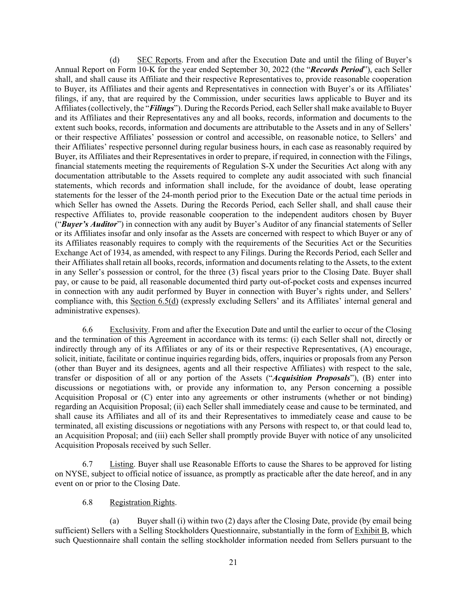(d) SEC Reports. From and after the Execution Date and until the filing of Buyer's Annual Report on Form 10-K for the year ended September 30, 2022 (the "*Records Period*"), each Seller shall, and shall cause its Affiliate and their respective Representatives to, provide reasonable cooperation to Buyer, its Affiliates and their agents and Representatives in connection with Buyer's or its Affiliates' filings, if any, that are required by the Commission, under securities laws applicable to Buyer and its Affiliates (collectively, the "*Filings*"). During the Records Period, each Seller shall make available to Buyer and its Affiliates and their Representatives any and all books, records, information and documents to the extent such books, records, information and documents are attributable to the Assets and in any of Sellers' or their respective Affiliates' possession or control and accessible, on reasonable notice, to Sellers' and their Affiliates' respective personnel during regular business hours, in each case as reasonably required by Buyer, its Affiliates and their Representatives in order to prepare, if required, in connection with the Filings, financial statements meeting the requirements of Regulation S-X under the Securities Act along with any documentation attributable to the Assets required to complete any audit associated with such financial statements, which records and information shall include, for the avoidance of doubt, lease operating statements for the lesser of the 24-month period prior to the Execution Date or the actual time periods in which Seller has owned the Assets. During the Records Period, each Seller shall, and shall cause their respective Affiliates to, provide reasonable cooperation to the independent auditors chosen by Buyer ("*Buyer's Auditor*") in connection with any audit by Buyer's Auditor of any financial statements of Seller or its Affiliates insofar and only insofar as the Assets are concerned with respect to which Buyer or any of its Affiliates reasonably requires to comply with the requirements of the Securities Act or the Securities Exchange Act of 1934, as amended, with respect to any Filings. During the Records Period, each Seller and their Affiliates shall retain all books, records, information and documents relating to the Assets, to the extent in any Seller's possession or control, for the three (3) fiscal years prior to the Closing Date. Buyer shall pay, or cause to be paid, all reasonable documented third party out-of-pocket costs and expenses incurred in connection with any audit performed by Buyer in connection with Buyer's rights under, and Sellers' compliance with, this Section 6.5(d) (expressly excluding Sellers' and its Affiliates' internal general and administrative expenses).

6.6 Exclusivity. From and after the Execution Date and until the earlier to occur of the Closing and the termination of this Agreement in accordance with its terms: (i) each Seller shall not, directly or indirectly through any of its Affiliates or any of its or their respective Representatives, (A) encourage, solicit, initiate, facilitate or continue inquiries regarding bids, offers, inquiries or proposals from any Person (other than Buyer and its designees, agents and all their respective Affiliates) with respect to the sale, transfer or disposition of all or any portion of the Assets ("*Acquisition Proposals*"), (B) enter into discussions or negotiations with, or provide any information to, any Person concerning a possible Acquisition Proposal or (C) enter into any agreements or other instruments (whether or not binding) regarding an Acquisition Proposal; (ii) each Seller shall immediately cease and cause to be terminated, and shall cause its Affiliates and all of its and their Representatives to immediately cease and cause to be terminated, all existing discussions or negotiations with any Persons with respect to, or that could lead to, an Acquisition Proposal; and (iii) each Seller shall promptly provide Buyer with notice of any unsolicited Acquisition Proposals received by such Seller.

6.7 Listing. Buyer shall use Reasonable Efforts to cause the Shares to be approved for listing on NYSE, subject to official notice of issuance, as promptly as practicable after the date hereof, and in any event on or prior to the Closing Date.

### 6.8 Registration Rights.

(a) Buyer shall (i) within two (2) days after the Closing Date, provide (by email being sufficient) Sellers with a Selling Stockholders Questionnaire, substantially in the form of Exhibit B, which such Questionnaire shall contain the selling stockholder information needed from Sellers pursuant to the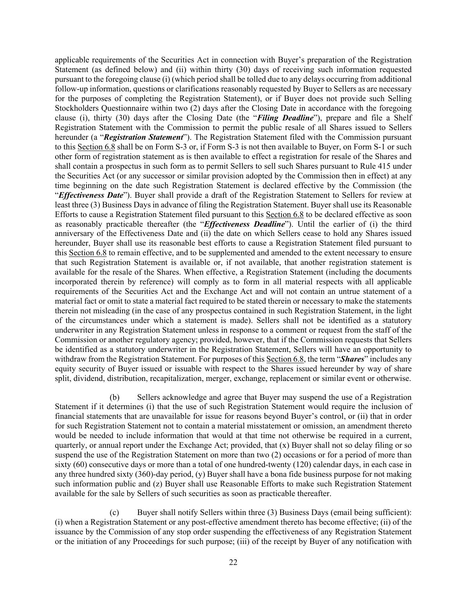applicable requirements of the Securities Act in connection with Buyer's preparation of the Registration Statement (as defined below) and (ii) within thirty (30) days of receiving such information requested pursuant to the foregoing clause (i) (which period shall be tolled due to any delays occurring from additional follow-up information, questions or clarifications reasonably requested by Buyer to Sellers as are necessary for the purposes of completing the Registration Statement), or if Buyer does not provide such Selling Stockholders Questionnaire within two (2) days after the Closing Date in accordance with the foregoing clause (i), thirty (30) days after the Closing Date (the "*Filing Deadline*"), prepare and file a Shelf Registration Statement with the Commission to permit the public resale of all Shares issued to Sellers hereunder (a "*Registration Statement*"). The Registration Statement filed with the Commission pursuant to this Section 6.8 shall be on Form S-3 or, if Form S-3 is not then available to Buyer, on Form S-1 or such other form of registration statement as is then available to effect a registration for resale of the Shares and shall contain a prospectus in such form as to permit Sellers to sell such Shares pursuant to Rule 415 under the Securities Act (or any successor or similar provision adopted by the Commission then in effect) at any time beginning on the date such Registration Statement is declared effective by the Commission (the "*Effectiveness Date*"). Buyer shall provide a draft of the Registration Statement to Sellers for review at least three (3) Business Days in advance of filing the Registration Statement. Buyer shall use its Reasonable Efforts to cause a Registration Statement filed pursuant to this Section 6.8 to be declared effective as soon as reasonably practicable thereafter (the "*Effectiveness Deadline*"). Until the earlier of (i) the third anniversary of the Effectiveness Date and (ii) the date on which Sellers cease to hold any Shares issued hereunder, Buyer shall use its reasonable best efforts to cause a Registration Statement filed pursuant to this Section 6.8 to remain effective, and to be supplemented and amended to the extent necessary to ensure that such Registration Statement is available or, if not available, that another registration statement is available for the resale of the Shares. When effective, a Registration Statement (including the documents incorporated therein by reference) will comply as to form in all material respects with all applicable requirements of the Securities Act and the Exchange Act and will not contain an untrue statement of a material fact or omit to state a material fact required to be stated therein or necessary to make the statements therein not misleading (in the case of any prospectus contained in such Registration Statement, in the light of the circumstances under which a statement is made). Sellers shall not be identified as a statutory underwriter in any Registration Statement unless in response to a comment or request from the staff of the Commission or another regulatory agency; provided, however, that if the Commission requests that Sellers be identified as a statutory underwriter in the Registration Statement, Sellers will have an opportunity to withdraw from the Registration Statement. For purposes of this Section 6.8, the term "*Shares*" includes any equity security of Buyer issued or issuable with respect to the Shares issued hereunder by way of share split, dividend, distribution, recapitalization, merger, exchange, replacement or similar event or otherwise.

(b) Sellers acknowledge and agree that Buyer may suspend the use of a Registration Statement if it determines (i) that the use of such Registration Statement would require the inclusion of financial statements that are unavailable for issue for reasons beyond Buyer's control, or (ii) that in order for such Registration Statement not to contain a material misstatement or omission, an amendment thereto would be needed to include information that would at that time not otherwise be required in a current, quarterly, or annual report under the Exchange Act; provided, that (x) Buyer shall not so delay filing or so suspend the use of the Registration Statement on more than two (2) occasions or for a period of more than sixty (60) consecutive days or more than a total of one hundred-twenty (120) calendar days, in each case in any three hundred sixty (360)-day period, (y) Buyer shall have a bona fide business purpose for not making such information public and (z) Buyer shall use Reasonable Efforts to make such Registration Statement available for the sale by Sellers of such securities as soon as practicable thereafter.

(c) Buyer shall notify Sellers within three (3) Business Days (email being sufficient): (i) when a Registration Statement or any post-effective amendment thereto has become effective; (ii) of the issuance by the Commission of any stop order suspending the effectiveness of any Registration Statement or the initiation of any Proceedings for such purpose; (iii) of the receipt by Buyer of any notification with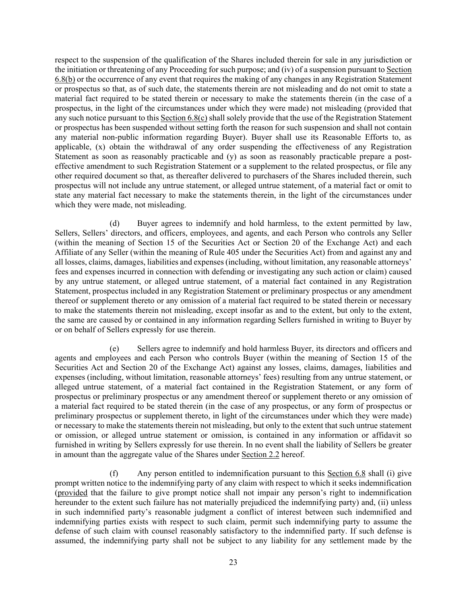respect to the suspension of the qualification of the Shares included therein for sale in any jurisdiction or the initiation or threatening of any Proceeding for such purpose; and (iv) of a suspension pursuant to Section 6.8(b) or the occurrence of any event that requires the making of any changes in any Registration Statement or prospectus so that, as of such date, the statements therein are not misleading and do not omit to state a material fact required to be stated therein or necessary to make the statements therein (in the case of a prospectus, in the light of the circumstances under which they were made) not misleading (provided that any such notice pursuant to this Section 6.8(c) shall solely provide that the use of the Registration Statement or prospectus has been suspended without setting forth the reason for such suspension and shall not contain any material non-public information regarding Buyer). Buyer shall use its Reasonable Efforts to, as applicable, (x) obtain the withdrawal of any order suspending the effectiveness of any Registration Statement as soon as reasonably practicable and (y) as soon as reasonably practicable prepare a posteffective amendment to such Registration Statement or a supplement to the related prospectus, or file any other required document so that, as thereafter delivered to purchasers of the Shares included therein, such prospectus will not include any untrue statement, or alleged untrue statement, of a material fact or omit to state any material fact necessary to make the statements therein, in the light of the circumstances under which they were made, not misleading.

(d) Buyer agrees to indemnify and hold harmless, to the extent permitted by law, Sellers, Sellers' directors, and officers, employees, and agents, and each Person who controls any Seller (within the meaning of Section 15 of the Securities Act or Section 20 of the Exchange Act) and each Affiliate of any Seller (within the meaning of Rule 405 under the Securities Act) from and against any and all losses, claims, damages, liabilities and expenses (including, without limitation, any reasonable attorneys' fees and expenses incurred in connection with defending or investigating any such action or claim) caused by any untrue statement, or alleged untrue statement, of a material fact contained in any Registration Statement, prospectus included in any Registration Statement or preliminary prospectus or any amendment thereof or supplement thereto or any omission of a material fact required to be stated therein or necessary to make the statements therein not misleading, except insofar as and to the extent, but only to the extent, the same are caused by or contained in any information regarding Sellers furnished in writing to Buyer by or on behalf of Sellers expressly for use therein.

(e) Sellers agree to indemnify and hold harmless Buyer, its directors and officers and agents and employees and each Person who controls Buyer (within the meaning of Section 15 of the Securities Act and Section 20 of the Exchange Act) against any losses, claims, damages, liabilities and expenses (including, without limitation, reasonable attorneys' fees) resulting from any untrue statement, or alleged untrue statement, of a material fact contained in the Registration Statement, or any form of prospectus or preliminary prospectus or any amendment thereof or supplement thereto or any omission of a material fact required to be stated therein (in the case of any prospectus, or any form of prospectus or preliminary prospectus or supplement thereto, in light of the circumstances under which they were made) or necessary to make the statements therein not misleading, but only to the extent that such untrue statement or omission, or alleged untrue statement or omission, is contained in any information or affidavit so furnished in writing by Sellers expressly for use therein. In no event shall the liability of Sellers be greater in amount than the aggregate value of the Shares under Section 2.2 hereof.

(f) Any person entitled to indemnification pursuant to this Section 6.8 shall (i) give prompt written notice to the indemnifying party of any claim with respect to which it seeks indemnification (provided that the failure to give prompt notice shall not impair any person's right to indemnification hereunder to the extent such failure has not materially prejudiced the indemnifying party) and, (ii) unless in such indemnified party's reasonable judgment a conflict of interest between such indemnified and indemnifying parties exists with respect to such claim, permit such indemnifying party to assume the defense of such claim with counsel reasonably satisfactory to the indemnified party. If such defense is assumed, the indemnifying party shall not be subject to any liability for any settlement made by the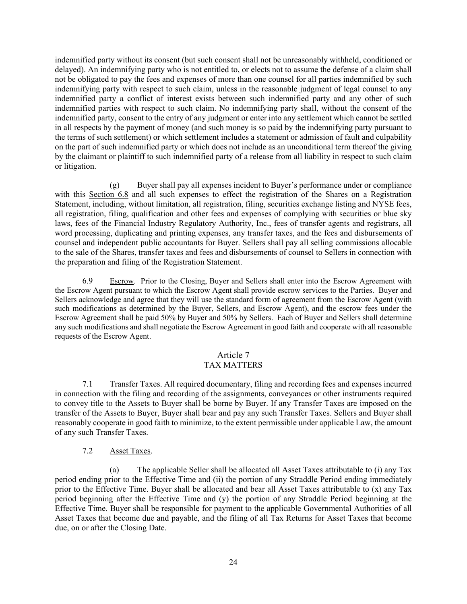indemnified party without its consent (but such consent shall not be unreasonably withheld, conditioned or delayed). An indemnifying party who is not entitled to, or elects not to assume the defense of a claim shall not be obligated to pay the fees and expenses of more than one counsel for all parties indemnified by such indemnifying party with respect to such claim, unless in the reasonable judgment of legal counsel to any indemnified party a conflict of interest exists between such indemnified party and any other of such indemnified parties with respect to such claim. No indemnifying party shall, without the consent of the indemnified party, consent to the entry of any judgment or enter into any settlement which cannot be settled in all respects by the payment of money (and such money is so paid by the indemnifying party pursuant to the terms of such settlement) or which settlement includes a statement or admission of fault and culpability on the part of such indemnified party or which does not include as an unconditional term thereof the giving by the claimant or plaintiff to such indemnified party of a release from all liability in respect to such claim or litigation.

(g) Buyer shall pay all expenses incident to Buyer's performance under or compliance with this Section 6.8 and all such expenses to effect the registration of the Shares on a Registration Statement, including, without limitation, all registration, filing, securities exchange listing and NYSE fees, all registration, filing, qualification and other fees and expenses of complying with securities or blue sky laws, fees of the Financial Industry Regulatory Authority, Inc., fees of transfer agents and registrars, all word processing, duplicating and printing expenses, any transfer taxes, and the fees and disbursements of counsel and independent public accountants for Buyer. Sellers shall pay all selling commissions allocable to the sale of the Shares, transfer taxes and fees and disbursements of counsel to Sellers in connection with the preparation and filing of the Registration Statement.

6.9 Escrow. Prior to the Closing, Buyer and Sellers shall enter into the Escrow Agreement with the Escrow Agent pursuant to which the Escrow Agent shall provide escrow services to the Parties. Buyer and Sellers acknowledge and agree that they will use the standard form of agreement from the Escrow Agent (with such modifications as determined by the Buyer, Sellers, and Escrow Agent), and the escrow fees under the Escrow Agreement shall be paid 50% by Buyer and 50% by Sellers. Each of Buyer and Sellers shall determine any such modifications and shall negotiate the Escrow Agreement in good faith and cooperate with all reasonable requests of the Escrow Agent.

## Article 7

### TAX MATTERS

7.1 Transfer Taxes. All required documentary, filing and recording fees and expenses incurred in connection with the filing and recording of the assignments, conveyances or other instruments required to convey title to the Assets to Buyer shall be borne by Buyer. If any Transfer Taxes are imposed on the transfer of the Assets to Buyer, Buyer shall bear and pay any such Transfer Taxes. Sellers and Buyer shall reasonably cooperate in good faith to minimize, to the extent permissible under applicable Law, the amount of any such Transfer Taxes.

### 7.2 Asset Taxes.

(a) The applicable Seller shall be allocated all Asset Taxes attributable to (i) any Tax period ending prior to the Effective Time and (ii) the portion of any Straddle Period ending immediately prior to the Effective Time. Buyer shall be allocated and bear all Asset Taxes attributable to (x) any Tax period beginning after the Effective Time and (y) the portion of any Straddle Period beginning at the Effective Time. Buyer shall be responsible for payment to the applicable Governmental Authorities of all Asset Taxes that become due and payable, and the filing of all Tax Returns for Asset Taxes that become due, on or after the Closing Date.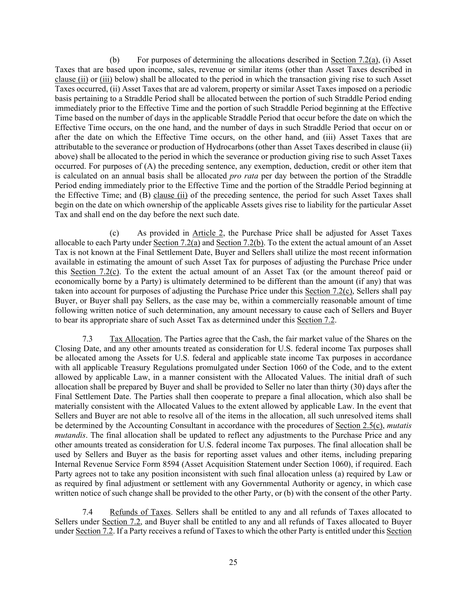(b) For purposes of determining the allocations described in Section 7.2(a), (i) Asset Taxes that are based upon income, sales, revenue or similar items (other than Asset Taxes described in clause (ii) or (iii) below) shall be allocated to the period in which the transaction giving rise to such Asset Taxes occurred, (ii) Asset Taxes that are ad valorem, property or similar Asset Taxes imposed on a periodic basis pertaining to a Straddle Period shall be allocated between the portion of such Straddle Period ending immediately prior to the Effective Time and the portion of such Straddle Period beginning at the Effective Time based on the number of days in the applicable Straddle Period that occur before the date on which the Effective Time occurs, on the one hand, and the number of days in such Straddle Period that occur on or after the date on which the Effective Time occurs, on the other hand, and (iii) Asset Taxes that are attributable to the severance or production of Hydrocarbons (other than Asset Taxes described in clause (ii) above) shall be allocated to the period in which the severance or production giving rise to such Asset Taxes occurred. For purposes of (A) the preceding sentence, any exemption, deduction, credit or other item that is calculated on an annual basis shall be allocated *pro rata* per day between the portion of the Straddle Period ending immediately prior to the Effective Time and the portion of the Straddle Period beginning at the Effective Time; and (B) clause (ii) of the preceding sentence, the period for such Asset Taxes shall begin on the date on which ownership of the applicable Assets gives rise to liability for the particular Asset Tax and shall end on the day before the next such date.

(c) As provided in Article 2, the Purchase Price shall be adjusted for Asset Taxes allocable to each Party under Section 7.2(a) and Section 7.2(b). To the extent the actual amount of an Asset Tax is not known at the Final Settlement Date, Buyer and Sellers shall utilize the most recent information available in estimating the amount of such Asset Tax for purposes of adjusting the Purchase Price under this Section 7.2(c). To the extent the actual amount of an Asset Tax (or the amount thereof paid or economically borne by a Party) is ultimately determined to be different than the amount (if any) that was taken into account for purposes of adjusting the Purchase Price under this Section 7.2(c), Sellers shall pay Buyer, or Buyer shall pay Sellers, as the case may be, within a commercially reasonable amount of time following written notice of such determination, any amount necessary to cause each of Sellers and Buyer to bear its appropriate share of such Asset Tax as determined under this Section 7.2.

7.3 Tax Allocation. The Parties agree that the Cash, the fair market value of the Shares on the Closing Date, and any other amounts treated as consideration for U.S. federal income Tax purposes shall be allocated among the Assets for U.S. federal and applicable state income Tax purposes in accordance with all applicable Treasury Regulations promulgated under Section 1060 of the Code, and to the extent allowed by applicable Law, in a manner consistent with the Allocated Values. The initial draft of such allocation shall be prepared by Buyer and shall be provided to Seller no later than thirty (30) days after the Final Settlement Date. The Parties shall then cooperate to prepare a final allocation, which also shall be materially consistent with the Allocated Values to the extent allowed by applicable Law. In the event that Sellers and Buyer are not able to resolve all of the items in the allocation, all such unresolved items shall be determined by the Accounting Consultant in accordance with the procedures of Section 2.5(c), *mutatis mutandis*. The final allocation shall be updated to reflect any adjustments to the Purchase Price and any other amounts treated as consideration for U.S. federal income Tax purposes. The final allocation shall be used by Sellers and Buyer as the basis for reporting asset values and other items, including preparing Internal Revenue Service Form 8594 (Asset Acquisition Statement under Section 1060), if required. Each Party agrees not to take any position inconsistent with such final allocation unless (a) required by Law or as required by final adjustment or settlement with any Governmental Authority or agency, in which case written notice of such change shall be provided to the other Party, or (b) with the consent of the other Party.

7.4 Refunds of Taxes. Sellers shall be entitled to any and all refunds of Taxes allocated to Sellers under Section 7.2, and Buyer shall be entitled to any and all refunds of Taxes allocated to Buyer under Section 7.2. If a Party receives a refund of Taxes to which the other Party is entitled under this Section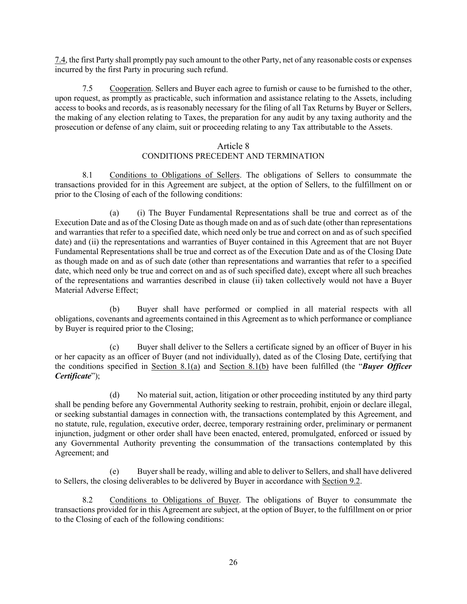7.4, the first Party shall promptly pay such amount to the other Party, net of any reasonable costs or expenses incurred by the first Party in procuring such refund.

7.5 Cooperation. Sellers and Buyer each agree to furnish or cause to be furnished to the other, upon request, as promptly as practicable, such information and assistance relating to the Assets, including access to books and records, as is reasonably necessary for the filing of all Tax Returns by Buyer or Sellers, the making of any election relating to Taxes, the preparation for any audit by any taxing authority and the prosecution or defense of any claim, suit or proceeding relating to any Tax attributable to the Assets.

### Article 8

## CONDITIONS PRECEDENT AND TERMINATION

8.1 Conditions to Obligations of Sellers. The obligations of Sellers to consummate the transactions provided for in this Agreement are subject, at the option of Sellers, to the fulfillment on or prior to the Closing of each of the following conditions:

(a) (i) The Buyer Fundamental Representations shall be true and correct as of the Execution Date and as of the Closing Date as though made on and as of such date (other than representations and warranties that refer to a specified date, which need only be true and correct on and as of such specified date) and (ii) the representations and warranties of Buyer contained in this Agreement that are not Buyer Fundamental Representations shall be true and correct as of the Execution Date and as of the Closing Date as though made on and as of such date (other than representations and warranties that refer to a specified date, which need only be true and correct on and as of such specified date), except where all such breaches of the representations and warranties described in clause (ii) taken collectively would not have a Buyer Material Adverse Effect;

(b) Buyer shall have performed or complied in all material respects with all obligations, covenants and agreements contained in this Agreement as to which performance or compliance by Buyer is required prior to the Closing;

(c) Buyer shall deliver to the Sellers a certificate signed by an officer of Buyer in his or her capacity as an officer of Buyer (and not individually), dated as of the Closing Date, certifying that the conditions specified in Section 8.1(a) and Section 8.1(b) have been fulfilled (the "*Buyer Officer Certificate*");

(d) No material suit, action, litigation or other proceeding instituted by any third party shall be pending before any Governmental Authority seeking to restrain, prohibit, enjoin or declare illegal, or seeking substantial damages in connection with, the transactions contemplated by this Agreement, and no statute, rule, regulation, executive order, decree, temporary restraining order, preliminary or permanent injunction, judgment or other order shall have been enacted, entered, promulgated, enforced or issued by any Governmental Authority preventing the consummation of the transactions contemplated by this Agreement; and

(e) Buyer shall be ready, willing and able to deliver to Sellers, and shall have delivered to Sellers, the closing deliverables to be delivered by Buyer in accordance with Section 9.2.

8.2 Conditions to Obligations of Buyer. The obligations of Buyer to consummate the transactions provided for in this Agreement are subject, at the option of Buyer, to the fulfillment on or prior to the Closing of each of the following conditions: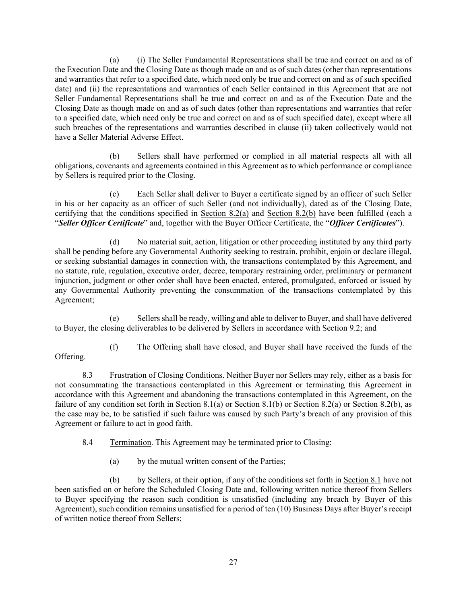(a) (i) The Seller Fundamental Representations shall be true and correct on and as of the Execution Date and the Closing Date as though made on and as of such dates (other than representations and warranties that refer to a specified date, which need only be true and correct on and as of such specified date) and (ii) the representations and warranties of each Seller contained in this Agreement that are not Seller Fundamental Representations shall be true and correct on and as of the Execution Date and the Closing Date as though made on and as of such dates (other than representations and warranties that refer to a specified date, which need only be true and correct on and as of such specified date), except where all such breaches of the representations and warranties described in clause (ii) taken collectively would not have a Seller Material Adverse Effect.

(b) Sellers shall have performed or complied in all material respects all with all obligations, covenants and agreements contained in this Agreement as to which performance or compliance by Sellers is required prior to the Closing.

(c) Each Seller shall deliver to Buyer a certificate signed by an officer of such Seller in his or her capacity as an officer of such Seller (and not individually), dated as of the Closing Date, certifying that the conditions specified in Section 8.2(a) and Section 8.2(b) have been fulfilled (each a "*Seller Officer Certificate*" and, together with the Buyer Officer Certificate, the "*Officer Certificates*").

(d) No material suit, action, litigation or other proceeding instituted by any third party shall be pending before any Governmental Authority seeking to restrain, prohibit, enjoin or declare illegal, or seeking substantial damages in connection with, the transactions contemplated by this Agreement, and no statute, rule, regulation, executive order, decree, temporary restraining order, preliminary or permanent injunction, judgment or other order shall have been enacted, entered, promulgated, enforced or issued by any Governmental Authority preventing the consummation of the transactions contemplated by this Agreement;

(e) Sellers shall be ready, willing and able to deliver to Buyer, and shall have delivered to Buyer, the closing deliverables to be delivered by Sellers in accordance with Section 9.2; and

(f) The Offering shall have closed, and Buyer shall have received the funds of the

Offering.

8.3 Frustration of Closing Conditions. Neither Buyer nor Sellers may rely, either as a basis for not consummating the transactions contemplated in this Agreement or terminating this Agreement in accordance with this Agreement and abandoning the transactions contemplated in this Agreement, on the failure of any condition set forth in Section 8.1(a) or Section 8.1(b) or Section 8.2(a) or Section 8.2(b), as the case may be, to be satisfied if such failure was caused by such Party's breach of any provision of this Agreement or failure to act in good faith.

8.4 Termination. This Agreement may be terminated prior to Closing:

(a) by the mutual written consent of the Parties;

(b) by Sellers, at their option, if any of the conditions set forth in <u>Section 8.1</u> have not been satisfied on or before the Scheduled Closing Date and, following written notice thereof from Sellers to Buyer specifying the reason such condition is unsatisfied (including any breach by Buyer of this Agreement), such condition remains unsatisfied for a period of ten (10) Business Days after Buyer's receipt of written notice thereof from Sellers;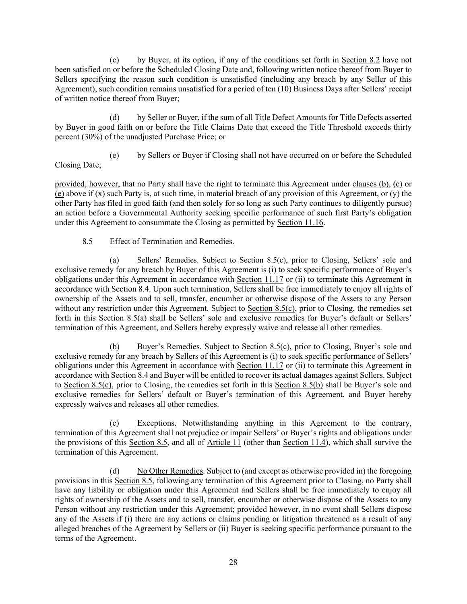(c) by Buyer, at its option, if any of the conditions set forth in Section 8.2 have not been satisfied on or before the Scheduled Closing Date and, following written notice thereof from Buyer to Sellers specifying the reason such condition is unsatisfied (including any breach by any Seller of this Agreement), such condition remains unsatisfied for a period of ten (10) Business Days after Sellers' receipt of written notice thereof from Buyer;

(d) by Seller or Buyer, if the sum of all Title Defect Amounts for Title Defects asserted by Buyer in good faith on or before the Title Claims Date that exceed the Title Threshold exceeds thirty percent (30%) of the unadjusted Purchase Price; or

(e) by Sellers or Buyer if Closing shall not have occurred on or before the Scheduled Closing Date;

provided, however, that no Party shall have the right to terminate this Agreement under clauses (b), (c) or (e) above if  $(x)$  such Party is, at such time, in material breach of any provision of this Agreement, or  $(y)$  the other Party has filed in good faith (and then solely for so long as such Party continues to diligently pursue) an action before a Governmental Authority seeking specific performance of such first Party's obligation under this Agreement to consummate the Closing as permitted by Section 11.16.

## 8.5 Effect of Termination and Remedies.

(a) Sellers' Remedies. Subject to Section 8.5(c), prior to Closing, Sellers' sole and exclusive remedy for any breach by Buyer of this Agreement is (i) to seek specific performance of Buyer's obligations under this Agreement in accordance with Section 11.17 or (ii) to terminate this Agreement in accordance with Section 8.4. Upon such termination, Sellers shall be free immediately to enjoy all rights of ownership of the Assets and to sell, transfer, encumber or otherwise dispose of the Assets to any Person without any restriction under this Agreement. Subject to Section 8.5(c), prior to Closing, the remedies set forth in this Section 8.5(a) shall be Sellers' sole and exclusive remedies for Buyer's default or Sellers' termination of this Agreement, and Sellers hereby expressly waive and release all other remedies.

(b) Buyer's Remedies. Subject to Section 8.5(c), prior to Closing, Buyer's sole and exclusive remedy for any breach by Sellers of this Agreement is (i) to seek specific performance of Sellers' obligations under this Agreement in accordance with Section 11.17 or (ii) to terminate this Agreement in accordance with Section 8.4 and Buyer will be entitled to recover its actual damages against Sellers. Subject to Section 8.5(c), prior to Closing, the remedies set forth in this Section 8.5(b) shall be Buyer's sole and exclusive remedies for Sellers' default or Buyer's termination of this Agreement, and Buyer hereby expressly waives and releases all other remedies.

(c) Exceptions. Notwithstanding anything in this Agreement to the contrary, termination of this Agreement shall not prejudice or impair Sellers' or Buyer's rights and obligations under the provisions of this Section 8.5, and all of Article 11 (other than Section 11.4), which shall survive the termination of this Agreement.

(d) No Other Remedies. Subject to (and except as otherwise provided in) the foregoing provisions in this Section 8.5, following any termination of this Agreement prior to Closing, no Party shall have any liability or obligation under this Agreement and Sellers shall be free immediately to enjoy all rights of ownership of the Assets and to sell, transfer, encumber or otherwise dispose of the Assets to any Person without any restriction under this Agreement; provided however, in no event shall Sellers dispose any of the Assets if (i) there are any actions or claims pending or litigation threatened as a result of any alleged breaches of the Agreement by Sellers or (ii) Buyer is seeking specific performance pursuant to the terms of the Agreement.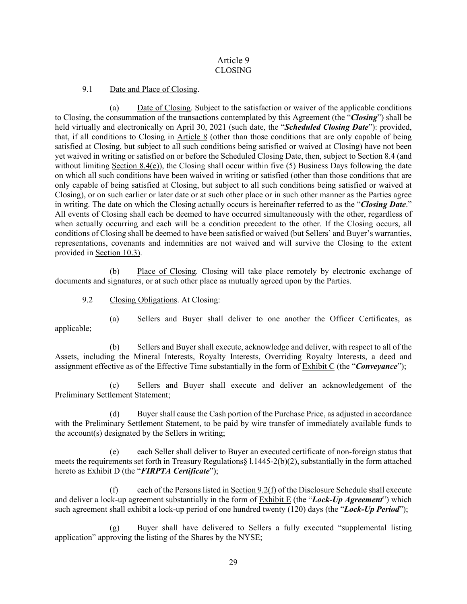## Article 9 CLOSING

9.1 Date and Place of Closing.

(a) Date of Closing. Subject to the satisfaction or waiver of the applicable conditions to Closing, the consummation of the transactions contemplated by this Agreement (the "*Closing*") shall be held virtually and electronically on April 30, 2021 (such date, the "*Scheduled Closing Date*"): provided, that, if all conditions to Closing in Article 8 (other than those conditions that are only capable of being satisfied at Closing, but subject to all such conditions being satisfied or waived at Closing) have not been yet waived in writing or satisfied on or before the Scheduled Closing Date, then, subject to Section 8.4 (and without limiting Section 8.4(e)), the Closing shall occur within five  $(5)$  Business Days following the date on which all such conditions have been waived in writing or satisfied (other than those conditions that are only capable of being satisfied at Closing, but subject to all such conditions being satisfied or waived at Closing), or on such earlier or later date or at such other place or in such other manner as the Parties agree in writing. The date on which the Closing actually occurs is hereinafter referred to as the "*Closing Date*." All events of Closing shall each be deemed to have occurred simultaneously with the other, regardless of when actually occurring and each will be a condition precedent to the other. If the Closing occurs, all conditions of Closing shall be deemed to have been satisfied or waived (but Sellers' and Buyer's warranties, representations, covenants and indemnities are not waived and will survive the Closing to the extent provided in Section 10.3).

(b) Place of Closing. Closing will take place remotely by electronic exchange of documents and signatures, or at such other place as mutually agreed upon by the Parties.

9.2 Closing Obligations. At Closing:

(a) Sellers and Buyer shall deliver to one another the Officer Certificates, as applicable;

(b) Sellers and Buyer shall execute, acknowledge and deliver, with respect to all of the Assets, including the Mineral Interests, Royalty Interests, Overriding Royalty Interests, a deed and assignment effective as of the Effective Time substantially in the form of Exhibit C (the "*Conveyance*");

(c) Sellers and Buyer shall execute and deliver an acknowledgement of the Preliminary Settlement Statement;

(d) Buyer shall cause the Cash portion of the Purchase Price, as adjusted in accordance with the Preliminary Settlement Statement, to be paid by wire transfer of immediately available funds to the account(s) designated by the Sellers in writing;

(e) each Seller shall deliver to Buyer an executed certificate of non-foreign status that meets the requirements set forth in Treasury Regulations§ l.1445-2(b)(2), substantially in the form attached hereto as Exhibit D (the "*FIRPTA Certificate*");

(f) each of the Persons listed in  $Section 9.2(f)$  of the Disclosure Schedule shall execute and deliver a lock-up agreement substantially in the form of Exhibit E (the "*Lock-Up Agreement*") which such agreement shall exhibit a lock-up period of one hundred twenty (120) days (the "*Lock-Up Period*");

Buyer shall have delivered to Sellers a fully executed "supplemental listing application" approving the listing of the Shares by the NYSE;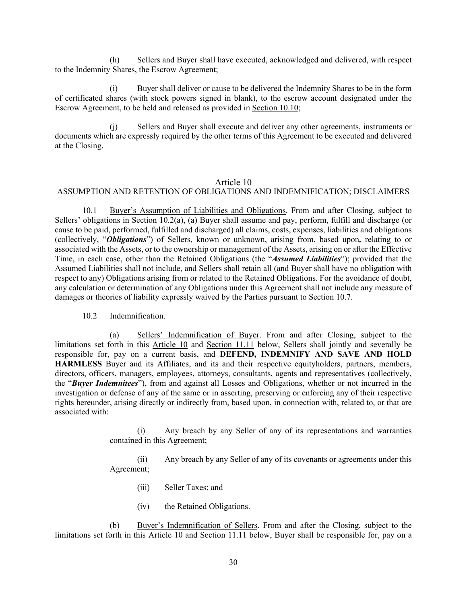(h) Sellers and Buyer shall have executed, acknowledged and delivered, with respect to the Indemnity Shares, the Escrow Agreement;

(i) Buyer shall deliver or cause to be delivered the Indemnity Shares to be in the form of certificated shares (with stock powers signed in blank), to the escrow account designated under the Escrow Agreement, to be held and released as provided in Section 10.10;

Sellers and Buyer shall execute and deliver any other agreements, instruments or documents which are expressly required by the other terms of this Agreement to be executed and delivered at the Closing.

#### Article 10

#### ASSUMPTION AND RETENTION OF OBLIGATIONS AND INDEMNIFICATION; DISCLAIMERS

10.1 Buyer's Assumption of Liabilities and Obligations. From and after Closing, subject to Sellers' obligations in Section 10.2(a), (a) Buyer shall assume and pay, perform, fulfill and discharge (or cause to be paid, performed, fulfilled and discharged) all claims, costs, expenses, liabilities and obligations (collectively, "*Obligations*") of Sellers, known or unknown, arising from, based upon*,* relating to or associated with the Assets, or to the ownership or management of the Assets, arising on or after the Effective Time, in each case, other than the Retained Obligations (the "*Assumed Liabilities*"); provided that the Assumed Liabilities shall not include, and Sellers shall retain all (and Buyer shall have no obligation with respect to any) Obligations arising from or related to the Retained Obligations. For the avoidance of doubt, any calculation or determination of any Obligations under this Agreement shall not include any measure of damages or theories of liability expressly waived by the Parties pursuant to Section 10.7.

### 10.2 Indemnification.

(a) Sellers' Indemnification of Buyer. From and after Closing, subject to the limitations set forth in this Article 10 and Section 11.11 below, Sellers shall jointly and severally be responsible for, pay on a current basis, and **DEFEND, INDEMNIFY AND SAVE AND HOLD HARMLESS** Buyer and its Affiliates, and its and their respective equityholders, partners, members, directors, officers, managers, employees, attorneys, consultants, agents and representatives (collectively, the "*Buyer Indemnitees*"), from and against all Losses and Obligations, whether or not incurred in the investigation or defense of any of the same or in asserting, preserving or enforcing any of their respective rights hereunder, arising directly or indirectly from, based upon, in connection with, related to, or that are associated with:

> (i) Any breach by any Seller of any of its representations and warranties contained in this Agreement;

> (ii) Any breach by any Seller of any of its covenants or agreements under this Agreement;

- (iii) Seller Taxes; and
- (iv) the Retained Obligations.

(b) Buyer's Indemnification of Sellers. From and after the Closing, subject to the limitations set forth in this Article 10 and Section 11.11 below, Buyer shall be responsible for, pay on a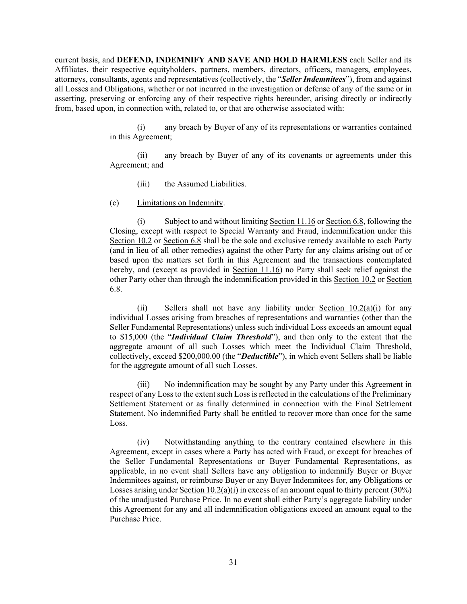current basis, and **DEFEND, INDEMNIFY AND SAVE AND HOLD HARMLESS** each Seller and its Affiliates, their respective equityholders, partners, members, directors, officers, managers, employees, attorneys, consultants, agents and representatives (collectively, the "*Seller Indemnitees*"), from and against all Losses and Obligations, whether or not incurred in the investigation or defense of any of the same or in asserting, preserving or enforcing any of their respective rights hereunder, arising directly or indirectly from, based upon, in connection with, related to, or that are otherwise associated with:

> (i) any breach by Buyer of any of its representations or warranties contained in this Agreement;

> (ii) any breach by Buyer of any of its covenants or agreements under this Agreement; and

(iii) the Assumed Liabilities.

(c) Limitations on Indemnity.

(i) Subject to and without limiting Section  $11.16$  or Section 6.8, following the Closing, except with respect to Special Warranty and Fraud, indemnification under this Section 10.2 or Section 6.8 shall be the sole and exclusive remedy available to each Party (and in lieu of all other remedies) against the other Party for any claims arising out of or based upon the matters set forth in this Agreement and the transactions contemplated hereby, and (except as provided in Section 11.16) no Party shall seek relief against the other Party other than through the indemnification provided in this Section 10.2 or Section 6.8.

(ii) Sellers shall not have any liability under Section  $10.2(a)(i)$  for any individual Losses arising from breaches of representations and warranties (other than the Seller Fundamental Representations) unless such individual Loss exceeds an amount equal to \$15,000 (the "*Individual Claim Threshold*"), and then only to the extent that the aggregate amount of all such Losses which meet the Individual Claim Threshold, collectively, exceed \$200,000.00 (the "*Deductible*"), in which event Sellers shall be liable for the aggregate amount of all such Losses.

(iii) No indemnification may be sought by any Party under this Agreement in respect of any Loss to the extent such Loss is reflected in the calculations of the Preliminary Settlement Statement or as finally determined in connection with the Final Settlement Statement. No indemnified Party shall be entitled to recover more than once for the same Loss.

(iv) Notwithstanding anything to the contrary contained elsewhere in this Agreement, except in cases where a Party has acted with Fraud, or except for breaches of the Seller Fundamental Representations or Buyer Fundamental Representations, as applicable, in no event shall Sellers have any obligation to indemnify Buyer or Buyer Indemnitees against, or reimburse Buyer or any Buyer Indemnitees for, any Obligations or Losses arising under Section  $10.2(a)(i)$  in excess of an amount equal to thirty percent (30%) of the unadjusted Purchase Price. In no event shall either Party's aggregate liability under this Agreement for any and all indemnification obligations exceed an amount equal to the Purchase Price.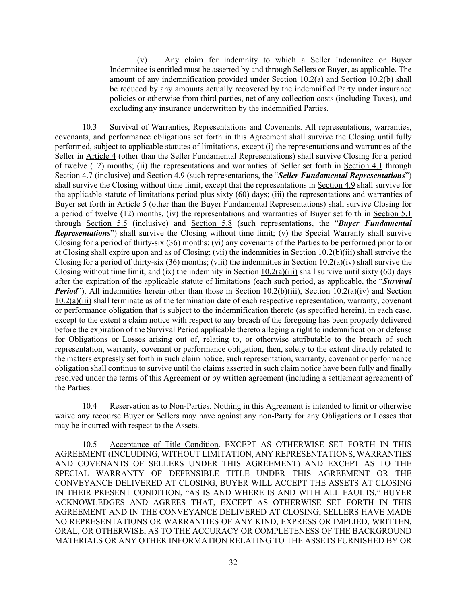(v) Any claim for indemnity to which a Seller Indemnitee or Buyer Indemnitee is entitled must be asserted by and through Sellers or Buyer, as applicable. The amount of any indemnification provided under Section 10.2(a) and Section 10.2(b) shall be reduced by any amounts actually recovered by the indemnified Party under insurance policies or otherwise from third parties, net of any collection costs (including Taxes), and excluding any insurance underwritten by the indemnified Parties.

10.3 Survival of Warranties, Representations and Covenants. All representations, warranties, covenants, and performance obligations set forth in this Agreement shall survive the Closing until fully performed, subject to applicable statutes of limitations, except (i) the representations and warranties of the Seller in Article 4 (other than the Seller Fundamental Representations) shall survive Closing for a period of twelve (12) months; (ii) the representations and warranties of Seller set forth in Section 4.1 through Section 4.7 (inclusive) and Section 4.9 (such representations, the "*Seller Fundamental Representations*") shall survive the Closing without time limit, except that the representations in Section 4.9 shall survive for the applicable statute of limitations period plus sixty (60) days; (iii) the representations and warranties of Buyer set forth in Article 5 (other than the Buyer Fundamental Representations) shall survive Closing for a period of twelve (12) months, (iv) the representations and warranties of Buyer set forth in Section 5.1 through Section 5.5 (inclusive) and Section 5.8 (such representations, the "*Buyer Fundamental Representations*") shall survive the Closing without time limit; (v) the Special Warranty shall survive Closing for a period of thirty-six (36) months; (vi) any covenants of the Parties to be performed prior to or at Closing shall expire upon and as of Closing; (vii) the indemnities in Section 10.2(b)(iii) shall survive the Closing for a period of thirty-six (36) months; (viii) the indemnities in Section 10.2(a)(iv) shall survive the Closing without time limit; and (ix) the indemnity in Section  $10.2(a)(iii)$  shall survive until sixty (60) days after the expiration of the applicable statute of limitations (each such period, as applicable, the "*Survival Period*"). All indemnities herein other than those in Section 10.2(b)(iii), Section 10.2(a)(iv) and Section 10.2(a)(iii) shall terminate as of the termination date of each respective representation, warranty, covenant or performance obligation that is subject to the indemnification thereto (as specified herein), in each case, except to the extent a claim notice with respect to any breach of the foregoing has been properly delivered before the expiration of the Survival Period applicable thereto alleging a right to indemnification or defense for Obligations or Losses arising out of, relating to, or otherwise attributable to the breach of such representation, warranty, covenant or performance obligation, then, solely to the extent directly related to the matters expressly set forth in such claim notice, such representation, warranty, covenant or performance obligation shall continue to survive until the claims asserted in such claim notice have been fully and finally resolved under the terms of this Agreement or by written agreement (including a settlement agreement) of the Parties.

10.4 Reservation as to Non-Parties. Nothing in this Agreement is intended to limit or otherwise waive any recourse Buyer or Sellers may have against any non-Party for any Obligations or Losses that may be incurred with respect to the Assets.

10.5 Acceptance of Title Condition. EXCEPT AS OTHERWISE SET FORTH IN THIS AGREEMENT (INCLUDING, WITHOUT LIMITATION, ANY REPRESENTATIONS, WARRANTIES AND COVENANTS OF SELLERS UNDER THIS AGREEMENT) AND EXCEPT AS TO THE SPECIAL WARRANTY OF DEFENSIBLE TITLE UNDER THIS AGREEMENT OR THE CONVEYANCE DELIVERED AT CLOSING, BUYER WILL ACCEPT THE ASSETS AT CLOSING IN THEIR PRESENT CONDITION, "AS IS AND WHERE IS AND WITH ALL FAULTS." BUYER ACKNOWLEDGES AND AGREES THAT, EXCEPT AS OTHERWISE SET FORTH IN THIS AGREEMENT AND IN THE CONVEYANCE DELIVERED AT CLOSING, SELLERS HAVE MADE NO REPRESENTATIONS OR WARRANTIES OF ANY KIND, EXPRESS OR IMPLIED, WRITTEN, ORAL, OR OTHERWISE, AS TO THE ACCURACY OR COMPLETENESS OF THE BACKGROUND MATERIALS OR ANY OTHER INFORMATION RELATING TO THE ASSETS FURNISHED BY OR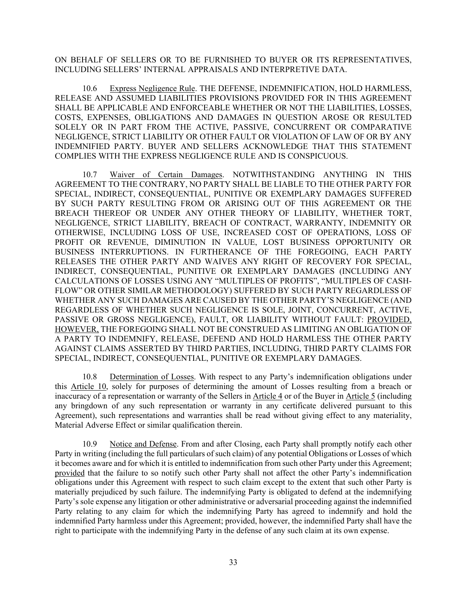ON BEHALF OF SELLERS OR TO BE FURNISHED TO BUYER OR ITS REPRESENTATIVES, INCLUDING SELLERS' INTERNAL APPRAISALS AND INTERPRETIVE DATA.

10.6 Express Negligence Rule. THE DEFENSE, INDEMNIFICATION, HOLD HARMLESS, RELEASE AND ASSUMED LIABILITIES PROVISIONS PROVIDED FOR IN THIS AGREEMENT SHALL BE APPLICABLE AND ENFORCEABLE WHETHER OR NOT THE LIABILITIES, LOSSES, COSTS, EXPENSES, OBLIGATIONS AND DAMAGES IN QUESTION AROSE OR RESULTED SOLELY OR IN PART FROM THE ACTIVE, PASSIVE, CONCURRENT OR COMPARATIVE NEGLIGENCE, STRICT LIABILITY OR OTHER FAULT OR VIOLATION OF LAW OF OR BY ANY INDEMNIFIED PARTY. BUYER AND SELLERS ACKNOWLEDGE THAT THIS STATEMENT COMPLIES WITH THE EXPRESS NEGLIGENCE RULE AND IS CONSPICUOUS.

10.7 Waiver of Certain Damages. NOTWITHSTANDING ANYTHING IN THIS AGREEMENT TO THE CONTRARY, NO PARTY SHALL BE LIABLE TO THE OTHER PARTY FOR SPECIAL, INDIRECT, CONSEQUENTIAL, PUNITIVE OR EXEMPLARY DAMAGES SUFFERED BY SUCH PARTY RESULTING FROM OR ARISING OUT OF THIS AGREEMENT OR THE BREACH THEREOF OR UNDER ANY OTHER THEORY OF LIABILITY, WHETHER TORT, NEGLIGENCE, STRICT LIABILITY, BREACH OF CONTRACT, WARRANTY, INDEMNITY OR OTHERWISE, INCLUDING LOSS OF USE, INCREASED COST OF OPERATIONS, LOSS OF PROFIT OR REVENUE, DIMINUTION IN VALUE, LOST BUSINESS OPPORTUNITY OR BUSINESS INTERRUPTIONS. IN FURTHERANCE OF THE FOREGOING, EACH PARTY RELEASES THE OTHER PARTY AND WAIVES ANY RIGHT OF RECOVERY FOR SPECIAL, INDIRECT, CONSEQUENTIAL, PUNITIVE OR EXEMPLARY DAMAGES (INCLUDING ANY CALCULATIONS OF LOSSES USING ANY "MULTIPLES OF PROFITS", "MULTIPLES OF CASH-FLOW" OR OTHER SIMILAR METHODOLOGY) SUFFERED BY SUCH PARTY REGARDLESS OF WHETHER ANY SUCH DAMAGES ARE CAUSED BY THE OTHER PARTY'S NEGLIGENCE (AND REGARDLESS OF WHETHER SUCH NEGLIGENCE IS SOLE, JOINT, CONCURRENT, ACTIVE, PASSIVE OR GROSS NEGLIGENCE), FAULT, OR LIABILITY WITHOUT FAULT: PROVIDED, HOWEVER, THE FOREGOING SHALL NOT BE CONSTRUED AS LIMITING AN OBLIGATION OF A PARTY TO INDEMNIFY, RELEASE, DEFEND AND HOLD HARMLESS THE OTHER PARTY AGAINST CLAIMS ASSERTED BY THIRD PARTIES, INCLUDING, THIRD PARTY CLAIMS FOR SPECIAL, INDIRECT, CONSEQUENTIAL, PUNITIVE OR EXEMPLARY DAMAGES.

10.8 Determination of Losses. With respect to any Party's indemnification obligations under this Article 10, solely for purposes of determining the amount of Losses resulting from a breach or inaccuracy of a representation or warranty of the Sellers in Article 4 or of the Buyer in Article 5 (including any bringdown of any such representation or warranty in any certificate delivered pursuant to this Agreement), such representations and warranties shall be read without giving effect to any materiality, Material Adverse Effect or similar qualification therein.

10.9 Notice and Defense. From and after Closing, each Party shall promptly notify each other Party in writing (including the full particulars of such claim) of any potential Obligations or Losses of which it becomes aware and for which it is entitled to indemnification from such other Party under this Agreement; provided that the failure to so notify such other Party shall not affect the other Party's indemnification obligations under this Agreement with respect to such claim except to the extent that such other Party is materially prejudiced by such failure. The indemnifying Party is obligated to defend at the indemnifying Party's sole expense any litigation or other administrative or adversarial proceeding against the indemnified Party relating to any claim for which the indemnifying Party has agreed to indemnify and hold the indemnified Party harmless under this Agreement; provided, however, the indemnified Party shall have the right to participate with the indemnifying Party in the defense of any such claim at its own expense.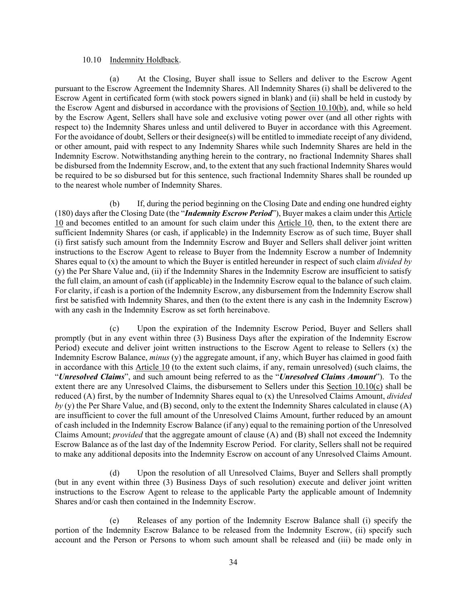#### 10.10 Indemnity Holdback.

(a) At the Closing, Buyer shall issue to Sellers and deliver to the Escrow Agent pursuant to the Escrow Agreement the Indemnity Shares. All Indemnity Shares (i) shall be delivered to the Escrow Agent in certificated form (with stock powers signed in blank) and (ii) shall be held in custody by the Escrow Agent and disbursed in accordance with the provisions of Section 10.10(b), and, while so held by the Escrow Agent, Sellers shall have sole and exclusive voting power over (and all other rights with respect to) the Indemnity Shares unless and until delivered to Buyer in accordance with this Agreement. For the avoidance of doubt, Sellers or their designee(s) will be entitled to immediate receipt of any dividend, or other amount, paid with respect to any Indemnity Shares while such Indemnity Shares are held in the Indemnity Escrow. Notwithstanding anything herein to the contrary, no fractional Indemnity Shares shall be disbursed from the Indemnity Escrow, and, to the extent that any such fractional Indemnity Shares would be required to be so disbursed but for this sentence, such fractional Indemnity Shares shall be rounded up to the nearest whole number of Indemnity Shares.

(b) If, during the period beginning on the Closing Date and ending one hundred eighty (180) days after the Closing Date (the "*Indemnity Escrow Period*"), Buyer makes a claim under this Article 10 and becomes entitled to an amount for such claim under this Article 10, then, to the extent there are sufficient Indemnity Shares (or cash, if applicable) in the Indemnity Escrow as of such time, Buyer shall (i) first satisfy such amount from the Indemnity Escrow and Buyer and Sellers shall deliver joint written instructions to the Escrow Agent to release to Buyer from the Indemnity Escrow a number of Indemnity Shares equal to (x) the amount to which the Buyer is entitled hereunder in respect of such claim *divided by* (y) the Per Share Value and, (ii) if the Indemnity Shares in the Indemnity Escrow are insufficient to satisfy the full claim, an amount of cash (if applicable) in the Indemnity Escrow equal to the balance of such claim. For clarity, if cash is a portion of the Indemnity Escrow, any disbursement from the Indemnity Escrow shall first be satisfied with Indemnity Shares, and then (to the extent there is any cash in the Indemnity Escrow) with any cash in the Indemnity Escrow as set forth hereinabove.

(c) Upon the expiration of the Indemnity Escrow Period, Buyer and Sellers shall promptly (but in any event within three (3) Business Days after the expiration of the Indemnity Escrow Period) execute and deliver joint written instructions to the Escrow Agent to release to Sellers (x) the Indemnity Escrow Balance, *minus* (y) the aggregate amount, if any, which Buyer has claimed in good faith in accordance with this Article 10 (to the extent such claims, if any, remain unresolved) (such claims, the "*Unresolved Claims*", and such amount being referred to as the "*Unresolved Claims Amount*"). To the extent there are any Unresolved Claims, the disbursement to Sellers under this Section 10.10(c) shall be reduced (A) first, by the number of Indemnity Shares equal to (x) the Unresolved Claims Amount, *divided by* (y) the Per Share Value, and (B) second, only to the extent the Indemnity Shares calculated in clause (A) are insufficient to cover the full amount of the Unresolved Claims Amount, further reduced by an amount of cash included in the Indemnity Escrow Balance (if any) equal to the remaining portion of the Unresolved Claims Amount; *provided* that the aggregate amount of clause (A) and (B) shall not exceed the Indemnity Escrow Balance as of the last day of the Indemnity Escrow Period. For clarity, Sellers shall not be required to make any additional deposits into the Indemnity Escrow on account of any Unresolved Claims Amount.

(d) Upon the resolution of all Unresolved Claims, Buyer and Sellers shall promptly (but in any event within three (3) Business Days of such resolution) execute and deliver joint written instructions to the Escrow Agent to release to the applicable Party the applicable amount of Indemnity Shares and/or cash then contained in the Indemnity Escrow.

(e) Releases of any portion of the Indemnity Escrow Balance shall (i) specify the portion of the Indemnity Escrow Balance to be released from the Indemnity Escrow, (ii) specify such account and the Person or Persons to whom such amount shall be released and (iii) be made only in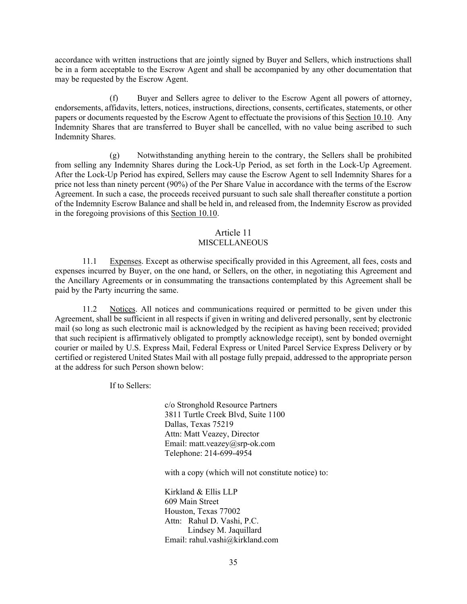accordance with written instructions that are jointly signed by Buyer and Sellers, which instructions shall be in a form acceptable to the Escrow Agent and shall be accompanied by any other documentation that may be requested by the Escrow Agent.

(f) Buyer and Sellers agree to deliver to the Escrow Agent all powers of attorney, endorsements, affidavits, letters, notices, instructions, directions, consents, certificates, statements, or other papers or documents requested by the Escrow Agent to effectuate the provisions of this Section 10.10. Any Indemnity Shares that are transferred to Buyer shall be cancelled, with no value being ascribed to such Indemnity Shares.

(g) Notwithstanding anything herein to the contrary, the Sellers shall be prohibited from selling any Indemnity Shares during the Lock-Up Period, as set forth in the Lock-Up Agreement. After the Lock-Up Period has expired, Sellers may cause the Escrow Agent to sell Indemnity Shares for a price not less than ninety percent (90%) of the Per Share Value in accordance with the terms of the Escrow Agreement. In such a case, the proceeds received pursuant to such sale shall thereafter constitute a portion of the Indemnity Escrow Balance and shall be held in, and released from, the Indemnity Escrow as provided in the foregoing provisions of this Section 10.10.

## Article 11

## MISCELLANEOUS

11.1 Expenses. Except as otherwise specifically provided in this Agreement, all fees, costs and expenses incurred by Buyer, on the one hand, or Sellers, on the other, in negotiating this Agreement and the Ancillary Agreements or in consummating the transactions contemplated by this Agreement shall be paid by the Party incurring the same.

11.2 Notices. All notices and communications required or permitted to be given under this Agreement, shall be sufficient in all respects if given in writing and delivered personally, sent by electronic mail (so long as such electronic mail is acknowledged by the recipient as having been received; provided that such recipient is affirmatively obligated to promptly acknowledge receipt), sent by bonded overnight courier or mailed by U.S. Express Mail, Federal Express or United Parcel Service Express Delivery or by certified or registered United States Mail with all postage fully prepaid, addressed to the appropriate person at the address for such Person shown below:

If to Sellers:

c/o Stronghold Resource Partners 3811 Turtle Creek Blvd, Suite 1100 Dallas, Texas 75219 Attn: Matt Veazey, Director Email: matt.veazey@srp-ok.com Telephone: 214-699-4954

with a copy (which will not constitute notice) to:

Kirkland & Ellis LLP 609 Main Street Houston, Texas 77002 Attn: Rahul D. Vashi, P.C. Lindsey M. Jaquillard Email: rahul.vashi@kirkland.com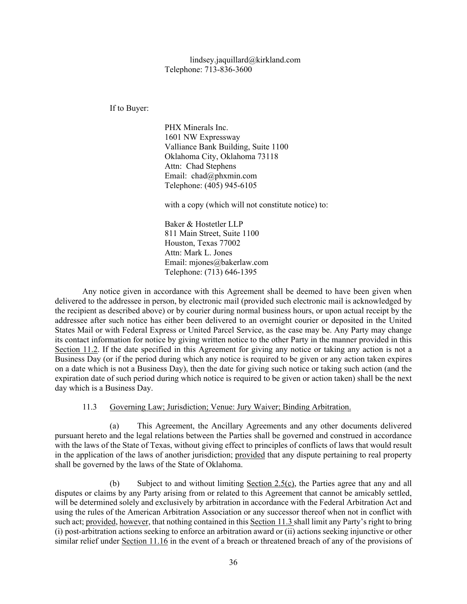If to Buyer:

PHX Minerals Inc. 1601 NW Expressway Valliance Bank Building, Suite 1100 Oklahoma City, Oklahoma 73118 Attn: Chad Stephens Email: chad@phxmin.com Telephone: (405) 945-6105

with a copy (which will not constitute notice) to:

Baker & Hostetler LLP 811 Main Street, Suite 1100 Houston, Texas 77002 Attn: Mark L. Jones Email: mjones@bakerlaw.com Telephone: (713) 646-1395

Any notice given in accordance with this Agreement shall be deemed to have been given when delivered to the addressee in person, by electronic mail (provided such electronic mail is acknowledged by the recipient as described above) or by courier during normal business hours, or upon actual receipt by the addressee after such notice has either been delivered to an overnight courier or deposited in the United States Mail or with Federal Express or United Parcel Service, as the case may be. Any Party may change its contact information for notice by giving written notice to the other Party in the manner provided in this Section 11.2. If the date specified in this Agreement for giving any notice or taking any action is not a Business Day (or if the period during which any notice is required to be given or any action taken expires on a date which is not a Business Day), then the date for giving such notice or taking such action (and the expiration date of such period during which notice is required to be given or action taken) shall be the next day which is a Business Day.

11.3 Governing Law; Jurisdiction; Venue: Jury Waiver; Binding Arbitration.

(a) This Agreement, the Ancillary Agreements and any other documents delivered pursuant hereto and the legal relations between the Parties shall be governed and construed in accordance with the laws of the State of Texas, without giving effect to principles of conflicts of laws that would result in the application of the laws of another jurisdiction; provided that any dispute pertaining to real property shall be governed by the laws of the State of Oklahoma.

(b) Subject to and without limiting Section 2.5(c), the Parties agree that any and all disputes or claims by any Party arising from or related to this Agreement that cannot be amicably settled, will be determined solely and exclusively by arbitration in accordance with the Federal Arbitration Act and using the rules of the American Arbitration Association or any successor thereof when not in conflict with such act; provided, however, that nothing contained in this Section 11.3 shall limit any Party's right to bring (i) post-arbitration actions seeking to enforce an arbitration award or (ii) actions seeking injunctive or other similar relief under Section 11.16 in the event of a breach or threatened breach of any of the provisions of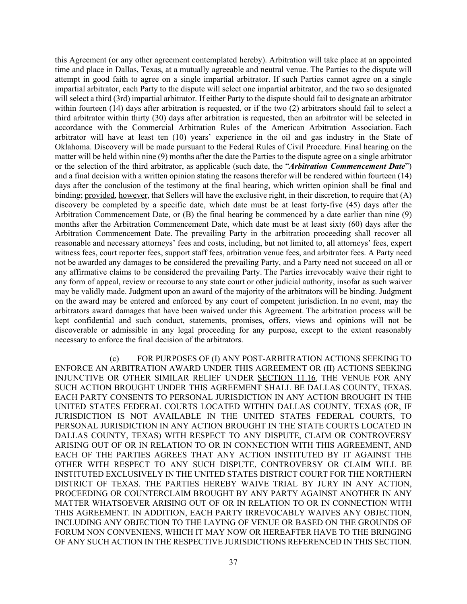this Agreement (or any other agreement contemplated hereby). Arbitration will take place at an appointed time and place in Dallas, Texas, at a mutually agreeable and neutral venue. The Parties to the dispute will attempt in good faith to agree on a single impartial arbitrator. If such Parties cannot agree on a single impartial arbitrator, each Party to the dispute will select one impartial arbitrator, and the two so designated will select a third (3rd) impartial arbitrator. If either Party to the dispute should fail to designate an arbitrator within fourteen (14) days after arbitration is requested, or if the two (2) arbitrators should fail to select a third arbitrator within thirty (30) days after arbitration is requested, then an arbitrator will be selected in accordance with the Commercial Arbitration Rules of the American Arbitration Association. Each arbitrator will have at least ten (10) years' experience in the oil and gas industry in the State of Oklahoma. Discovery will be made pursuant to the Federal Rules of Civil Procedure. Final hearing on the matter will be held within nine (9) months after the date the Parties to the dispute agree on a single arbitrator or the selection of the third arbitrator, as applicable (such date, the "*Arbitration Commencement Date*") and a final decision with a written opinion stating the reasons therefor will be rendered within fourteen (14) days after the conclusion of the testimony at the final hearing, which written opinion shall be final and binding; provided, however, that Sellers will have the exclusive right, in their discretion, to require that (A) discovery be completed by a specific date, which date must be at least forty-five (45) days after the Arbitration Commencement Date, or (B) the final hearing be commenced by a date earlier than nine (9) months after the Arbitration Commencement Date, which date must be at least sixty (60) days after the Arbitration Commencement Date. The prevailing Party in the arbitration proceeding shall recover all reasonable and necessary attorneys' fees and costs, including, but not limited to, all attorneys' fees, expert witness fees, court reporter fees, support staff fees, arbitration venue fees, and arbitrator fees. A Party need not be awarded any damages to be considered the prevailing Party, and a Party need not succeed on all or any affirmative claims to be considered the prevailing Party. The Parties irrevocably waive their right to any form of appeal, review or recourse to any state court or other judicial authority, insofar as such waiver may be validly made. Judgment upon an award of the majority of the arbitrators will be binding. Judgment on the award may be entered and enforced by any court of competent jurisdiction. In no event, may the arbitrators award damages that have been waived under this Agreement. The arbitration process will be kept confidential and such conduct, statements, promises, offers, views and opinions will not be discoverable or admissible in any legal proceeding for any purpose, except to the extent reasonably necessary to enforce the final decision of the arbitrators.

(c) FOR PURPOSES OF (I) ANY POST-ARBITRATION ACTIONS SEEKING TO ENFORCE AN ARBITRATION AWARD UNDER THIS AGREEMENT OR (II) ACTIONS SEEKING INJUNCTIVE OR OTHER SIMILAR RELIEF UNDER SECTION 11.16, THE VENUE FOR ANY SUCH ACTION BROUGHT UNDER THIS AGREEMENT SHALL BE DALLAS COUNTY, TEXAS. EACH PARTY CONSENTS TO PERSONAL JURISDICTION IN ANY ACTION BROUGHT IN THE UNITED STATES FEDERAL COURTS LOCATED WITHIN DALLAS COUNTY, TEXAS (OR, IF JURISDICTION IS NOT AVAILABLE IN THE UNITED STATES FEDERAL COURTS, TO PERSONAL JURISDICTION IN ANY ACTION BROUGHT IN THE STATE COURTS LOCATED IN DALLAS COUNTY, TEXAS) WITH RESPECT TO ANY DISPUTE, CLAIM OR CONTROVERSY ARISING OUT OF OR IN RELATION TO OR IN CONNECTION WITH THIS AGREEMENT, AND EACH OF THE PARTIES AGREES THAT ANY ACTION INSTITUTED BY IT AGAINST THE OTHER WITH RESPECT TO ANY SUCH DISPUTE, CONTROVERSY OR CLAIM WILL BE INSTITUTED EXCLUSIVELY IN THE UNITED STATES DISTRICT COURT FOR THE NORTHERN DISTRICT OF TEXAS. THE PARTIES HEREBY WAIVE TRIAL BY JURY IN ANY ACTION, PROCEEDING OR COUNTERCLAIM BROUGHT BY ANY PARTY AGAINST ANOTHER IN ANY MATTER WHATSOEVER ARISING OUT OF OR IN RELATION TO OR IN CONNECTION WITH THIS AGREEMENT. IN ADDITION, EACH PARTY IRREVOCABLY WAIVES ANY OBJECTION, INCLUDING ANY OBJECTION TO THE LAYING OF VENUE OR BASED ON THE GROUNDS OF FORUM NON CONVENIENS, WHICH IT MAY NOW OR HEREAFTER HAVE TO THE BRINGING OF ANY SUCH ACTION IN THE RESPECTIVE JURISDICTIONS REFERENCED IN THIS SECTION.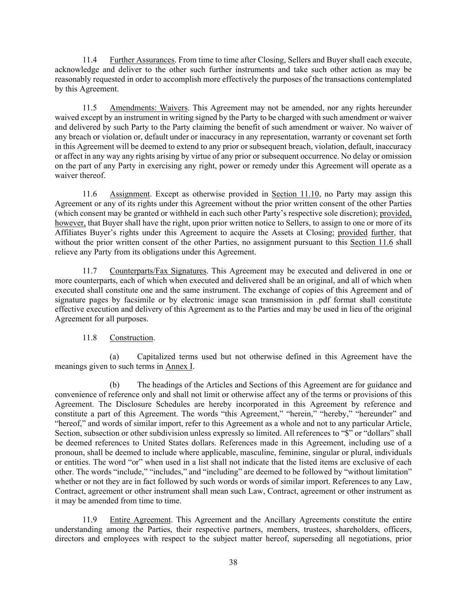11.4 Further Assurances. From time to time after Closing, Sellers and Buyer shall each execute, acknowledge and deliver to the other such further instruments and take such other action as may be reasonably requested in order to accomplish more effectively the purposes of the transactions contemplated by this Agreement.

11.5 Amendments: Waivers. This Agreement may not be amended, nor any rights hereunder waived except by an instrument in writing signed by the Party to be charged with such amendment or waiver and delivered by such Party to the Party claiming the benefit of such amendment or waiver. No waiver of any breach or violation or, default under or inaccuracy in any representation, warranty or covenant set forth in this Agreement will be deemed to extend to any prior or subsequent breach, violation, default, inaccuracy or affect in any way any rights arising by virtue of any prior or subsequent occurrence. No delay or omission on the part of any Party in exercising any right, power or remedy under this Agreement will operate as a waiver thereof.

11.6 Assignment. Except as otherwise provided in Section 11.10, no Party may assign this Agreement or any of its rights under this Agreement without the prior written consent of the other Parties (which consent may be granted or withheld in each such other Party's respective sole discretion); provided, however, that Buyer shall have the right, upon prior written notice to Sellers, to assign to one or more of its Affiliates Buyer's rights under this Agreement to acquire the Assets at Closing; provided further, that without the prior written consent of the other Parties, no assignment pursuant to this Section 11.6 shall relieve any Party from its obligations under this Agreement.

11.7 Counterparts/Fax Signatures. This Agreement may be executed and delivered in one or more counterparts, each of which when executed and delivered shall be an original, and all of which when executed shall constitute one and the same instrument. The exchange of copies of this Agreement and of signature pages by facsimile or by electronic image scan transmission in .pdf format shall constitute effective execution and delivery of this Agreement as to the Parties and may be used in lieu of the original Agreement for all purposes.

## 11.8 Construction.

(a) Capitalized terms used but not otherwise defined in this Agreement have the meanings given to such terms in Annex I.

(b) The headings of the Articles and Sections of this Agreement are for guidance and convenience of reference only and shall not limit or otherwise affect any of the terms or provisions of this Agreement. The Disclosure Schedules are hereby incorporated in this Agreement by reference and constitute a part of this Agreement. The words "this Agreement," "herein," "hereby," "hereunder" and "hereof," and words of similar import, refer to this Agreement as a whole and not to any particular Article, Section, subsection or other subdivision unless expressly so limited. All references to "\$" or "dollars" shall be deemed references to United States dollars. References made in this Agreement, including use of a pronoun, shall be deemed to include where applicable, masculine, feminine, singular or plural, individuals or entities. The word "or" when used in a list shall not indicate that the listed items are exclusive of each other. The words "include," "includes," and "including" are deemed to be followed by "without limitation" whether or not they are in fact followed by such words or words of similar import. References to any Law, Contract, agreement or other instrument shall mean such Law, Contract, agreement or other instrument as it may be amended from time to time.

11.9 Entire Agreement. This Agreement and the Ancillary Agreements constitute the entire understanding among the Parties, their respective partners, members, trustees, shareholders, officers, directors and employees with respect to the subject matter hereof, superseding all negotiations, prior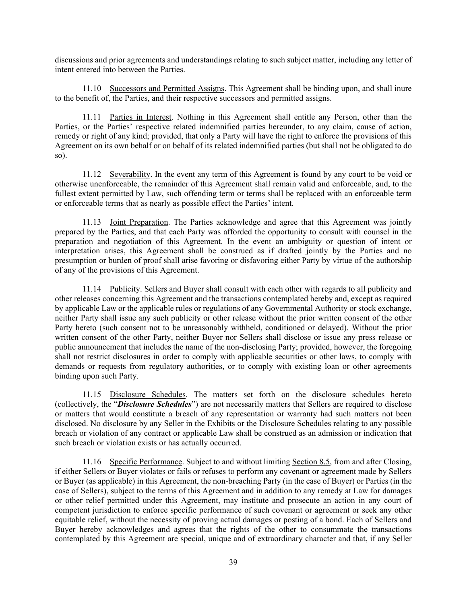discussions and prior agreements and understandings relating to such subject matter, including any letter of intent entered into between the Parties.

11.10 Successors and Permitted Assigns. This Agreement shall be binding upon, and shall inure to the benefit of, the Parties, and their respective successors and permitted assigns.

11.11 Parties in Interest. Nothing in this Agreement shall entitle any Person, other than the Parties, or the Parties' respective related indemnified parties hereunder, to any claim, cause of action, remedy or right of any kind; provided, that only a Party will have the right to enforce the provisions of this Agreement on its own behalf or on behalf of its related indemnified parties (but shall not be obligated to do so).

11.12 Severability. In the event any term of this Agreement is found by any court to be void or otherwise unenforceable, the remainder of this Agreement shall remain valid and enforceable, and, to the fullest extent permitted by Law, such offending term or terms shall be replaced with an enforceable term or enforceable terms that as nearly as possible effect the Parties' intent.

11.13 Joint Preparation. The Parties acknowledge and agree that this Agreement was jointly prepared by the Parties, and that each Party was afforded the opportunity to consult with counsel in the preparation and negotiation of this Agreement. In the event an ambiguity or question of intent or interpretation arises, this Agreement shall be construed as if drafted jointly by the Parties and no presumption or burden of proof shall arise favoring or disfavoring either Party by virtue of the authorship of any of the provisions of this Agreement.

11.14 Publicity. Sellers and Buyer shall consult with each other with regards to all publicity and other releases concerning this Agreement and the transactions contemplated hereby and, except as required by applicable Law or the applicable rules or regulations of any Governmental Authority or stock exchange, neither Party shall issue any such publicity or other release without the prior written consent of the other Party hereto (such consent not to be unreasonably withheld, conditioned or delayed). Without the prior written consent of the other Party, neither Buyer nor Sellers shall disclose or issue any press release or public announcement that includes the name of the non-disclosing Party; provided, however, the foregoing shall not restrict disclosures in order to comply with applicable securities or other laws, to comply with demands or requests from regulatory authorities, or to comply with existing loan or other agreements binding upon such Party.

11.15 Disclosure Schedules. The matters set forth on the disclosure schedules hereto (collectively, the "*Disclosure Schedules*") are not necessarily matters that Sellers are required to disclose or matters that would constitute a breach of any representation or warranty had such matters not been disclosed. No disclosure by any Seller in the Exhibits or the Disclosure Schedules relating to any possible breach or violation of any contract or applicable Law shall be construed as an admission or indication that such breach or violation exists or has actually occurred.

11.16 Specific Performance. Subject to and without limiting Section 8.5, from and after Closing, if either Sellers or Buyer violates or fails or refuses to perform any covenant or agreement made by Sellers or Buyer (as applicable) in this Agreement, the non-breaching Party (in the case of Buyer) or Parties (in the case of Sellers), subject to the terms of this Agreement and in addition to any remedy at Law for damages or other relief permitted under this Agreement, may institute and prosecute an action in any court of competent jurisdiction to enforce specific performance of such covenant or agreement or seek any other equitable relief, without the necessity of proving actual damages or posting of a bond. Each of Sellers and Buyer hereby acknowledges and agrees that the rights of the other to consummate the transactions contemplated by this Agreement are special, unique and of extraordinary character and that, if any Seller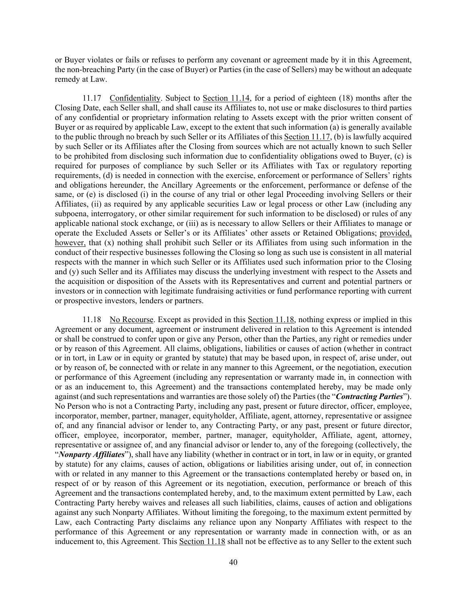or Buyer violates or fails or refuses to perform any covenant or agreement made by it in this Agreement, the non-breaching Party (in the case of Buyer) or Parties (in the case of Sellers) may be without an adequate remedy at Law.

11.17 Confidentiality. Subject to Section 11.14, for a period of eighteen (18) months after the Closing Date, each Seller shall, and shall cause its Affiliates to, not use or make disclosures to third parties of any confidential or proprietary information relating to Assets except with the prior written consent of Buyer or as required by applicable Law, except to the extent that such information (a) is generally available to the public through no breach by such Seller or its Affiliates of this Section 11.17, (b) is lawfully acquired by such Seller or its Affiliates after the Closing from sources which are not actually known to such Seller to be prohibited from disclosing such information due to confidentiality obligations owed to Buyer, (c) is required for purposes of compliance by such Seller or its Affiliates with Tax or regulatory reporting requirements, (d) is needed in connection with the exercise, enforcement or performance of Sellers' rights and obligations hereunder, the Ancillary Agreements or the enforcement, performance or defense of the same, or (e) is disclosed (i) in the course of any trial or other legal Proceeding involving Sellers or their Affiliates, (ii) as required by any applicable securities Law or legal process or other Law (including any subpoena, interrogatory, or other similar requirement for such information to be disclosed) or rules of any applicable national stock exchange, or (iii) as is necessary to allow Sellers or their Affiliates to manage or operate the Excluded Assets or Seller's or its Affiliates' other assets or Retained Obligations; provided, however, that (x) nothing shall prohibit such Seller or its Affiliates from using such information in the conduct of their respective businesses following the Closing so long as such use is consistent in all material respects with the manner in which such Seller or its Affiliates used such information prior to the Closing and (y) such Seller and its Affiliates may discuss the underlying investment with respect to the Assets and the acquisition or disposition of the Assets with its Representatives and current and potential partners or investors or in connection with legitimate fundraising activities or fund performance reporting with current or prospective investors, lenders or partners.

11.18 No Recourse. Except as provided in this Section 11.18, nothing express or implied in this Agreement or any document, agreement or instrument delivered in relation to this Agreement is intended or shall be construed to confer upon or give any Person, other than the Parties, any right or remedies under or by reason of this Agreement. All claims, obligations, liabilities or causes of action (whether in contract or in tort, in Law or in equity or granted by statute) that may be based upon, in respect of, arise under, out or by reason of, be connected with or relate in any manner to this Agreement, or the negotiation, execution or performance of this Agreement (including any representation or warranty made in, in connection with or as an inducement to, this Agreement) and the transactions contemplated hereby, may be made only against (and such representations and warranties are those solely of) the Parties (the "*Contracting Parties*"). No Person who is not a Contracting Party, including any past, present or future director, officer, employee, incorporator, member, partner, manager, equityholder, Affiliate, agent, attorney, representative or assignee of, and any financial advisor or lender to, any Contracting Party, or any past, present or future director, officer, employee, incorporator, member, partner, manager, equityholder, Affiliate, agent, attorney, representative or assignee of, and any financial advisor or lender to, any of the foregoing (collectively, the "*Nonparty Affiliates*"), shall have any liability (whether in contract or in tort, in law or in equity, or granted by statute) for any claims, causes of action, obligations or liabilities arising under, out of, in connection with or related in any manner to this Agreement or the transactions contemplated hereby or based on, in respect of or by reason of this Agreement or its negotiation, execution, performance or breach of this Agreement and the transactions contemplated hereby, and, to the maximum extent permitted by Law, each Contracting Party hereby waives and releases all such liabilities, claims, causes of action and obligations against any such Nonparty Affiliates. Without limiting the foregoing, to the maximum extent permitted by Law, each Contracting Party disclaims any reliance upon any Nonparty Affiliates with respect to the performance of this Agreement or any representation or warranty made in connection with, or as an inducement to, this Agreement. This Section 11.18 shall not be effective as to any Seller to the extent such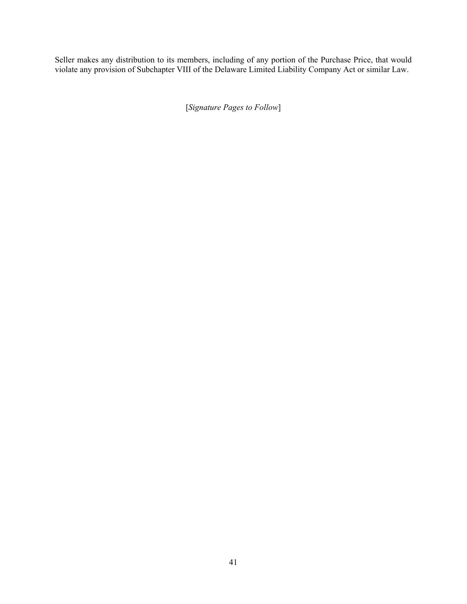Seller makes any distribution to its members, including of any portion of the Purchase Price, that would violate any provision of Subchapter VIII of the Delaware Limited Liability Company Act or similar Law.

[*Signature Pages to Follow*]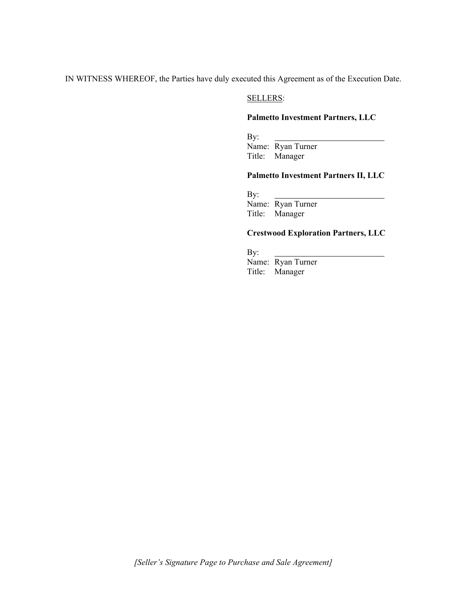IN WITNESS WHEREOF, the Parties have duly executed this Agreement as of the Execution Date.

#### SELLERS:

#### **Palmetto Investment Partners, LLC**

By:

Name: Ryan Turner Title: Manager

#### **Palmetto Investment Partners II, LLC**

By:

Name: Ryan Turner Title: Manager

### **Crestwood Exploration Partners, LLC**

By:

Name: Ryan Turner Title: Manager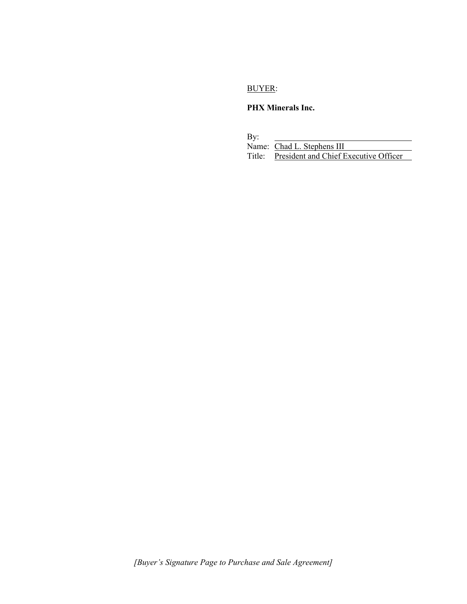## BUYER:

## **PHX Minerals Inc.**

By:

| Name: Chad L. Stephens III                   |
|----------------------------------------------|
| Title: President and Chief Executive Officer |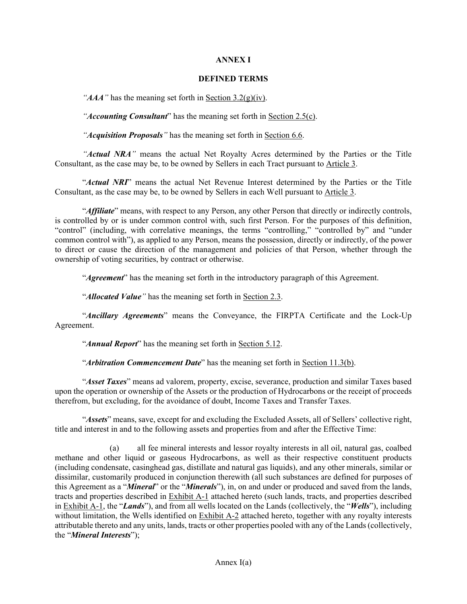#### **ANNEX I**

#### **DEFINED TERMS**

*"AAA"* has the meaning set forth in Section 3.2(g)(iv).

*"Accounting Consultant*" has the meaning set forth in Section 2.5(c).

*"Acquisition Proposals"* has the meaning set forth in Section 6.6.

*"Actual NRA"* means the actual Net Royalty Acres determined by the Parties or the Title Consultant, as the case may be, to be owned by Sellers in each Tract pursuant to Article 3.

"*Actual NRI*" means the actual Net Revenue Interest determined by the Parties or the Title Consultant, as the case may be, to be owned by Sellers in each Well pursuant to Article 3.

"*Affiliate*" means, with respect to any Person, any other Person that directly or indirectly controls, is controlled by or is under common control with, such first Person. For the purposes of this definition, "control" (including, with correlative meanings, the terms "controlling," "controlled by" and "under common control with"), as applied to any Person, means the possession, directly or indirectly, of the power to direct or cause the direction of the management and policies of that Person, whether through the ownership of voting securities, by contract or otherwise.

"*Agreement*" has the meaning set forth in the introductory paragraph of this Agreement.

"*Allocated Value"* has the meaning set forth in Section 2.3.

"*Ancillary Agreements*" means the Conveyance, the FIRPTA Certificate and the Lock-Up Agreement.

"*Annual Report*" has the meaning set forth in Section 5.12.

"*Arbitration Commencement Date*" has the meaning set forth in Section 11.3(b).

"*Asset Taxes*" means ad valorem, property, excise, severance, production and similar Taxes based upon the operation or ownership of the Assets or the production of Hydrocarbons or the receipt of proceeds therefrom, but excluding, for the avoidance of doubt, Income Taxes and Transfer Taxes.

"*Assets*" means, save, except for and excluding the Excluded Assets, all of Sellers' collective right, title and interest in and to the following assets and properties from and after the Effective Time:

(a) all fee mineral interests and lessor royalty interests in all oil, natural gas, coalbed methane and other liquid or gaseous Hydrocarbons, as well as their respective constituent products (including condensate, casinghead gas, distillate and natural gas liquids), and any other minerals, similar or dissimilar, customarily produced in conjunction therewith (all such substances are defined for purposes of this Agreement as a "*Mineral*" or the "*Minerals*"), in, on and under or produced and saved from the lands, tracts and properties described in Exhibit A-1 attached hereto (such lands, tracts, and properties described in Exhibit A-1, the "*Lands*"), and from all wells located on the Lands (collectively, the "*Wells*"), including without limitation, the Wells identified on Exhibit A-2 attached hereto, together with any royalty interests attributable thereto and any units, lands, tracts or other properties pooled with any of the Lands (collectively, the "*Mineral Interests*");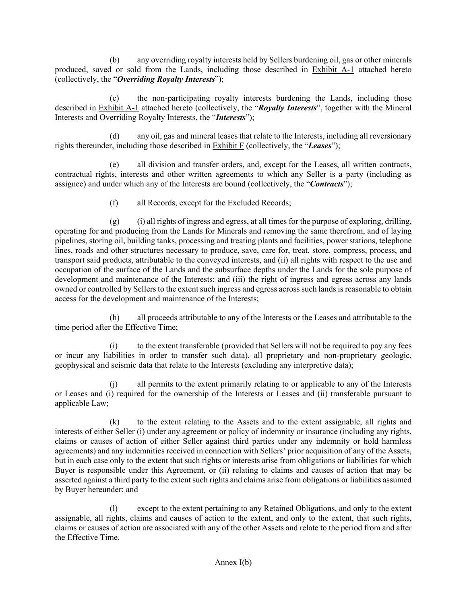(b) any overriding royalty interests held by Sellers burdening oil, gas or other minerals produced, saved or sold from the Lands, including those described in Exhibit A-1 attached hereto (collectively, the "*Overriding Royalty Interests*");

(c) the non-participating royalty interests burdening the Lands, including those described in Exhibit A-1 attached hereto (collectively, the "*Royalty Interests*", together with the Mineral Interests and Overriding Royalty Interests, the "*Interests*");

(d) any oil, gas and mineral leases that relate to the Interests, including all reversionary rights thereunder, including those described in Exhibit F (collectively, the "*Leases*");

(e) all division and transfer orders, and, except for the Leases, all written contracts, contractual rights, interests and other written agreements to which any Seller is a party (including as assignee) and under which any of the Interests are bound (collectively, the "*Contracts*");

(f) all Records, except for the Excluded Records;

 $(g)$  (i) all rights of ingress and egress, at all times for the purpose of exploring, drilling, operating for and producing from the Lands for Minerals and removing the same therefrom, and of laying pipelines, storing oil, building tanks, processing and treating plants and facilities, power stations, telephone lines, roads and other structures necessary to produce, save, care for, treat, store, compress, process, and transport said products, attributable to the conveyed interests, and (ii) all rights with respect to the use and occupation of the surface of the Lands and the subsurface depths under the Lands for the sole purpose of development and maintenance of the Interests; and (iii) the right of ingress and egress across any lands owned or controlled by Sellers to the extent such ingress and egress across such lands is reasonable to obtain access for the development and maintenance of the Interests;

(h) all proceeds attributable to any of the Interests or the Leases and attributable to the time period after the Effective Time;

(i) to the extent transferable (provided that Sellers will not be required to pay any fees or incur any liabilities in order to transfer such data), all proprietary and non-proprietary geologic, geophysical and seismic data that relate to the Interests (excluding any interpretive data);

all permits to the extent primarily relating to or applicable to any of the Interests or Leases and (i) required for the ownership of the Interests or Leases and (ii) transferable pursuant to applicable Law;

(k) to the extent relating to the Assets and to the extent assignable, all rights and interests of either Seller (i) under any agreement or policy of indemnity or insurance (including any rights, claims or causes of action of either Seller against third parties under any indemnity or hold harmless agreements) and any indemnities received in connection with Sellers' prior acquisition of any of the Assets, but in each case only to the extent that such rights or interests arise from obligations or liabilities for which Buyer is responsible under this Agreement, or (ii) relating to claims and causes of action that may be asserted against a third party to the extent such rights and claims arise from obligations or liabilities assumed by Buyer hereunder; and

(l) except to the extent pertaining to any Retained Obligations, and only to the extent assignable, all rights, claims and causes of action to the extent, and only to the extent, that such rights, claims or causes of action are associated with any of the other Assets and relate to the period from and after the Effective Time.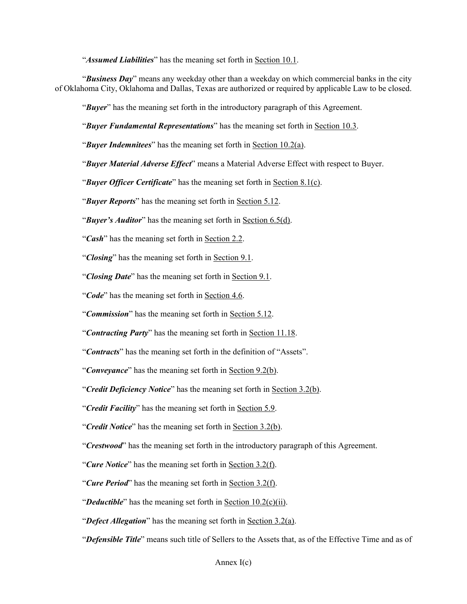"*Assumed Liabilities*" has the meaning set forth in Section 10.1.

"*Business Day*" means any weekday other than a weekday on which commercial banks in the city of Oklahoma City, Oklahoma and Dallas, Texas are authorized or required by applicable Law to be closed.

"*Buyer*" has the meaning set forth in the introductory paragraph of this Agreement.

"*Buyer Fundamental Representations*" has the meaning set forth in Section 10.3.

"*Buyer Indemnitees*" has the meaning set forth in Section 10.2(a).

"*Buyer Material Adverse Effect*" means a Material Adverse Effect with respect to Buyer.

"*Buyer Officer Certificate*" has the meaning set forth in Section 8.1(c).

"*Buyer Reports*" has the meaning set forth in Section 5.12.

"*Buyer's Auditor*" has the meaning set forth in Section 6.5(d).

"*Cash*" has the meaning set forth in Section 2.2.

"*Closing*" has the meaning set forth in Section 9.1.

"*Closing Date*" has the meaning set forth in Section 9.1.

"*Code*" has the meaning set forth in Section 4.6.

"*Commission*" has the meaning set forth in Section 5.12.

"*Contracting Party*" has the meaning set forth in Section 11.18.

"*Contracts*" has the meaning set forth in the definition of "Assets".

"*Conveyance*" has the meaning set forth in Section 9.2(b).

"*Credit Deficiency Notice*" has the meaning set forth in Section 3.2(b).

"*Credit Facility*" has the meaning set forth in Section 5.9.

"*Credit Notice*" has the meaning set forth in Section 3.2(b).

"*Crestwood*" has the meaning set forth in the introductory paragraph of this Agreement.

"*Cure Notice*" has the meaning set forth in Section 3.2(f).

- "*Cure Period*" has the meaning set forth in Section 3.2(f).
- "*Deductible*" has the meaning set forth in Section 10.2(c)(ii).

"*Defect Allegation*" has the meaning set forth in Section 3.2(a).

"*Defensible Title*" means such title of Sellers to the Assets that, as of the Effective Time and as of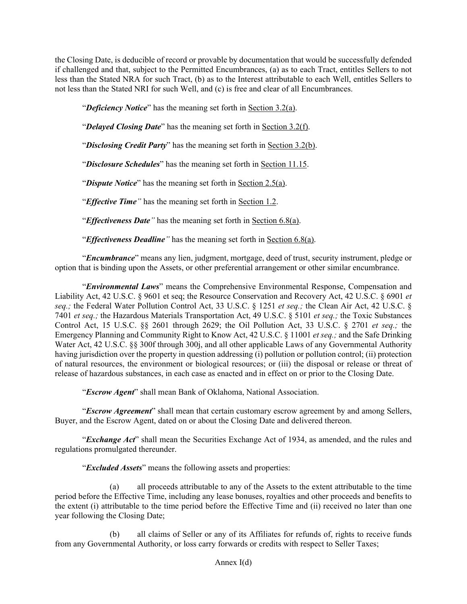the Closing Date, is deducible of record or provable by documentation that would be successfully defended if challenged and that, subject to the Permitted Encumbrances, (a) as to each Tract, entitles Sellers to not less than the Stated NRA for such Tract, (b) as to the Interest attributable to each Well, entitles Sellers to not less than the Stated NRI for such Well, and (c) is free and clear of all Encumbrances.

"*Deficiency Notice*" has the meaning set forth in Section 3.2(a).

"*Delayed Closing Date*" has the meaning set forth in Section 3.2(f).

"*Disclosing Credit Party*" has the meaning set forth in Section 3.2(b).

"*Disclosure Schedules*" has the meaning set forth in Section 11.15.

"*Dispute Notice*" has the meaning set forth in Section 2.5(a).

"*Effective Time"* has the meaning set forth in Section 1.2.

"*Effectiveness Date"* has the meaning set forth in Section 6.8(a).

"*Effectiveness Deadline"* has the meaning set forth in Section 6.8(a).

"*Encumbrance*" means any lien, judgment, mortgage, deed of trust, security instrument, pledge or option that is binding upon the Assets, or other preferential arrangement or other similar encumbrance.

"*Environmental Laws*" means the Comprehensive Environmental Response, Compensation and Liability Act, 42 U.S.C. § 9601 et seq; the Resource Conservation and Recovery Act, 42 U.S.C. § 6901 *et seq.;* the Federal Water Pollution Control Act, 33 U.S.C. § 1251 *et seq.;* the Clean Air Act, 42 U.S.C. § 7401 *et seq.;* the Hazardous Materials Transportation Act, 49 U.S.C. § 5101 *et seq.;* the Toxic Substances Control Act, 15 U.S.C. §§ 2601 through 2629; the Oil Pollution Act, 33 U.S.C. § 2701 *et seq.;* the Emergency Planning and Community Right to Know Act, 42 U.S.C. § 11001 *et seq.;* and the Safe Drinking Water Act, 42 U.S.C. §§ 300f through 300j, and all other applicable Laws of any Governmental Authority having jurisdiction over the property in question addressing (i) pollution or pollution control; (ii) protection of natural resources, the environment or biological resources; or (iii) the disposal or release or threat of release of hazardous substances, in each case as enacted and in effect on or prior to the Closing Date.

"*Escrow Agent*" shall mean Bank of Oklahoma, National Association.

"*Escrow Agreement*" shall mean that certain customary escrow agreement by and among Sellers, Buyer, and the Escrow Agent, dated on or about the Closing Date and delivered thereon.

"*Exchange Act*" shall mean the Securities Exchange Act of 1934, as amended, and the rules and regulations promulgated thereunder.

"*Excluded Assets*" means the following assets and properties:

(a) all proceeds attributable to any of the Assets to the extent attributable to the time period before the Effective Time, including any lease bonuses, royalties and other proceeds and benefits to the extent (i) attributable to the time period before the Effective Time and (ii) received no later than one year following the Closing Date;

(b) all claims of Seller or any of its Affiliates for refunds of, rights to receive funds from any Governmental Authority, or loss carry forwards or credits with respect to Seller Taxes;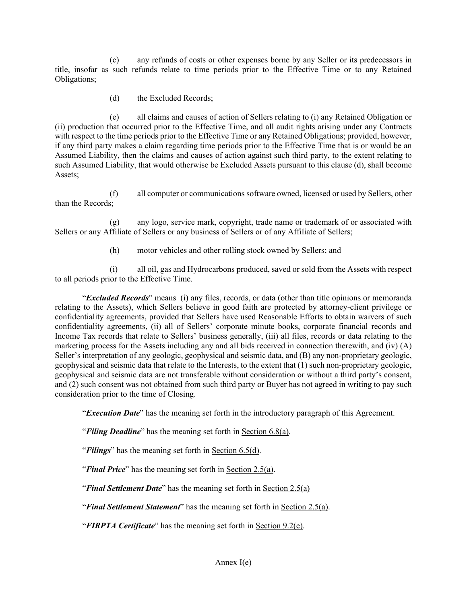(c) any refunds of costs or other expenses borne by any Seller or its predecessors in title, insofar as such refunds relate to time periods prior to the Effective Time or to any Retained Obligations;

(d) the Excluded Records;

(e) all claims and causes of action of Sellers relating to (i) any Retained Obligation or (ii) production that occurred prior to the Effective Time, and all audit rights arising under any Contracts with respect to the time periods prior to the Effective Time or any Retained Obligations; provided, however, if any third party makes a claim regarding time periods prior to the Effective Time that is or would be an Assumed Liability, then the claims and causes of action against such third party, to the extent relating to such Assumed Liability, that would otherwise be Excluded Assets pursuant to this clause (d), shall become Assets;

(f) all computer or communications software owned, licensed or used by Sellers, other than the Records;

(g) any logo, service mark, copyright, trade name or trademark of or associated with Sellers or any Affiliate of Sellers or any business of Sellers or of any Affiliate of Sellers;

(h) motor vehicles and other rolling stock owned by Sellers; and

(i) all oil, gas and Hydrocarbons produced, saved or sold from the Assets with respect to all periods prior to the Effective Time.

"*Excluded Records*" means (i) any files, records, or data (other than title opinions or memoranda relating to the Assets), which Sellers believe in good faith are protected by attorney-client privilege or confidentiality agreements, provided that Sellers have used Reasonable Efforts to obtain waivers of such confidentiality agreements, (ii) all of Sellers' corporate minute books, corporate financial records and Income Tax records that relate to Sellers' business generally, (iii) all files, records or data relating to the marketing process for the Assets including any and all bids received in connection therewith, and (iv) (A) Seller's interpretation of any geologic, geophysical and seismic data, and (B) any non-proprietary geologic, geophysical and seismic data that relate to the Interests, to the extent that (1) such non-proprietary geologic, geophysical and seismic data are not transferable without consideration or without a third party's consent, and (2) such consent was not obtained from such third party or Buyer has not agreed in writing to pay such consideration prior to the time of Closing.

"*Execution Date*" has the meaning set forth in the introductory paragraph of this Agreement.

"*Filing Deadline*" has the meaning set forth in Section 6.8(a).

"*Filings*" has the meaning set forth in Section 6.5(d).

"*Final Price*" has the meaning set forth in Section 2.5(a).

"*Final Settlement Date*" has the meaning set forth in Section 2.5(a)

"*Final Settlement Statement*" has the meaning set forth in Section 2.5(a).

"*FIRPTA Certificate*" has the meaning set forth in Section 9.2(e).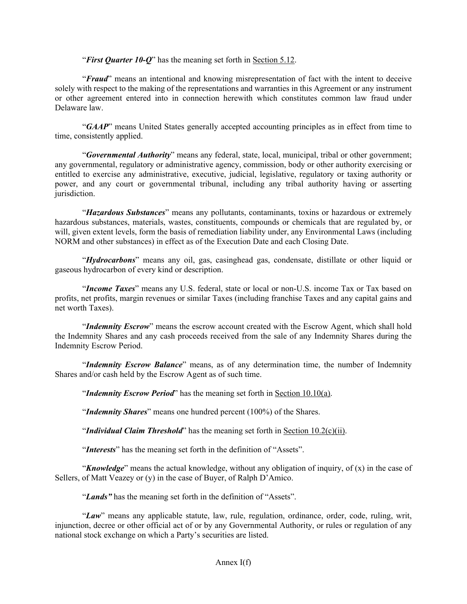"*First Quarter 10-Q*" has the meaning set forth in Section 5.12.

"*Fraud*" means an intentional and knowing misrepresentation of fact with the intent to deceive solely with respect to the making of the representations and warranties in this Agreement or any instrument or other agreement entered into in connection herewith which constitutes common law fraud under Delaware law.

"*GAAP*" means United States generally accepted accounting principles as in effect from time to time, consistently applied.

"*Governmental Authority*" means any federal, state, local, municipal, tribal or other government; any governmental, regulatory or administrative agency, commission, body or other authority exercising or entitled to exercise any administrative, executive, judicial, legislative, regulatory or taxing authority or power, and any court or governmental tribunal, including any tribal authority having or asserting jurisdiction.

"*Hazardous Substances*" means any pollutants, contaminants, toxins or hazardous or extremely hazardous substances, materials, wastes, constituents, compounds or chemicals that are regulated by, or will, given extent levels, form the basis of remediation liability under, any Environmental Laws (including NORM and other substances) in effect as of the Execution Date and each Closing Date.

"*Hydrocarbons*" means any oil, gas, casinghead gas, condensate, distillate or other liquid or gaseous hydrocarbon of every kind or description.

"*Income Taxes*" means any U.S. federal, state or local or non-U.S. income Tax or Tax based on profits, net profits, margin revenues or similar Taxes (including franchise Taxes and any capital gains and net worth Taxes).

"*Indemnity Escrow*" means the escrow account created with the Escrow Agent, which shall hold the Indemnity Shares and any cash proceeds received from the sale of any Indemnity Shares during the Indemnity Escrow Period.

"*Indemnity Escrow Balance*" means, as of any determination time, the number of Indemnity Shares and/or cash held by the Escrow Agent as of such time.

"*Indemnity Escrow Period*" has the meaning set forth in Section 10.10(a).

"*Indemnity Shares*" means one hundred percent (100%) of the Shares.

"*Individual Claim Threshold*" has the meaning set forth in <u>Section 10.2(c)(ii)</u>.

"*Interests*" has the meaning set forth in the definition of "Assets".

"*Knowledge*" means the actual knowledge, without any obligation of inquiry, of (x) in the case of Sellers, of Matt Veazey or (y) in the case of Buyer, of Ralph D'Amico.

"*Lands"* has the meaning set forth in the definition of "Assets".

"*Law*" means any applicable statute, law, rule, regulation, ordinance, order, code, ruling, writ, injunction, decree or other official act of or by any Governmental Authority, or rules or regulation of any national stock exchange on which a Party's securities are listed.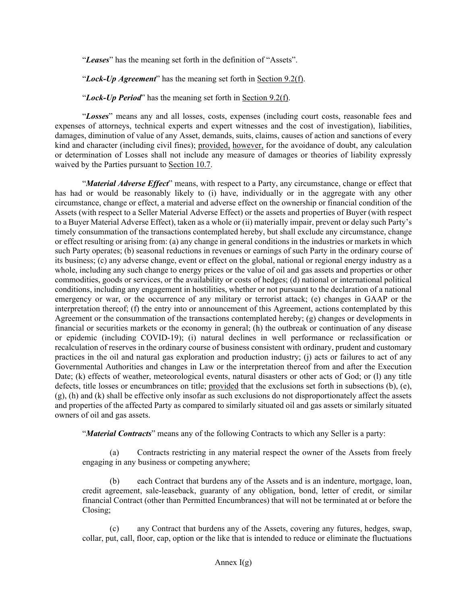"*Leases*" has the meaning set forth in the definition of "Assets".

"*Lock-Up Agreement*" has the meaning set forth in Section 9.2(f).

"*Lock-Up Period*" has the meaning set forth in Section 9.2(f).

"*Losses*" means any and all losses, costs, expenses (including court costs, reasonable fees and expenses of attorneys, technical experts and expert witnesses and the cost of investigation), liabilities, damages, diminution of value of any Asset, demands, suits, claims, causes of action and sanctions of every kind and character (including civil fines); provided, however, for the avoidance of doubt, any calculation or determination of Losses shall not include any measure of damages or theories of liability expressly waived by the Parties pursuant to Section 10.7.

"*Material Adverse Effect*" means, with respect to a Party, any circumstance, change or effect that has had or would be reasonably likely to (i) have, individually or in the aggregate with any other circumstance, change or effect, a material and adverse effect on the ownership or financial condition of the Assets (with respect to a Seller Material Adverse Effect) or the assets and properties of Buyer (with respect to a Buyer Material Adverse Effect), taken as a whole or (ii) materially impair, prevent or delay such Party's timely consummation of the transactions contemplated hereby, but shall exclude any circumstance, change or effect resulting or arising from: (a) any change in general conditions in the industries or markets in which such Party operates; (b) seasonal reductions in revenues or earnings of such Party in the ordinary course of its business; (c) any adverse change, event or effect on the global, national or regional energy industry as a whole, including any such change to energy prices or the value of oil and gas assets and properties or other commodities, goods or services, or the availability or costs of hedges; (d) national or international political conditions, including any engagement in hostilities, whether or not pursuant to the declaration of a national emergency or war, or the occurrence of any military or terrorist attack; (e) changes in GAAP or the interpretation thereof; (f) the entry into or announcement of this Agreement, actions contemplated by this Agreement or the consummation of the transactions contemplated hereby; (g) changes or developments in financial or securities markets or the economy in general; (h) the outbreak or continuation of any disease or epidemic (including COVID-19); (i) natural declines in well performance or reclassification or recalculation of reserves in the ordinary course of business consistent with ordinary, prudent and customary practices in the oil and natural gas exploration and production industry; (j) acts or failures to act of any Governmental Authorities and changes in Law or the interpretation thereof from and after the Execution Date; (k) effects of weather, meteorological events, natural disasters or other acts of God; or (l) any title defects, title losses or encumbrances on title; provided that the exclusions set forth in subsections (b), (e), (g), (h) and (k) shall be effective only insofar as such exclusions do not disproportionately affect the assets and properties of the affected Party as compared to similarly situated oil and gas assets or similarly situated owners of oil and gas assets.

"*Material Contracts*" means any of the following Contracts to which any Seller is a party:

(a) Contracts restricting in any material respect the owner of the Assets from freely engaging in any business or competing anywhere;

(b) each Contract that burdens any of the Assets and is an indenture, mortgage, loan, credit agreement, sale-leaseback, guaranty of any obligation, bond, letter of credit, or similar financial Contract (other than Permitted Encumbrances) that will not be terminated at or before the Closing;

any Contract that burdens any of the Assets, covering any futures, hedges, swap, collar, put, call, floor, cap, option or the like that is intended to reduce or eliminate the fluctuations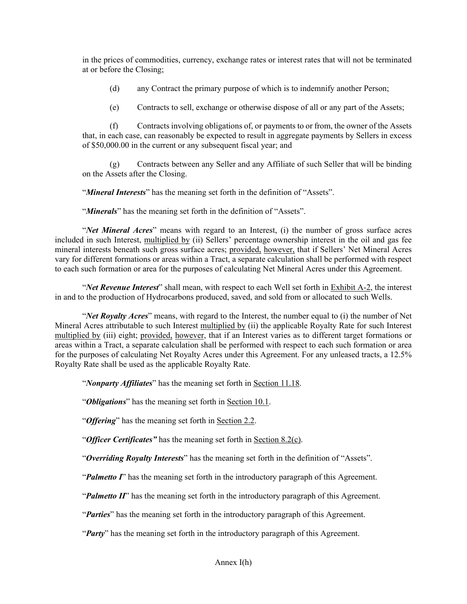in the prices of commodities, currency, exchange rates or interest rates that will not be terminated at or before the Closing;

- (d) any Contract the primary purpose of which is to indemnify another Person;
- (e) Contracts to sell, exchange or otherwise dispose of all or any part of the Assets;

(f) Contracts involving obligations of, or payments to or from, the owner of the Assets that, in each case, can reasonably be expected to result in aggregate payments by Sellers in excess of \$50,000.00 in the current or any subsequent fiscal year; and

(g) Contracts between any Seller and any Affiliate of such Seller that will be binding on the Assets after the Closing.

"*Mineral Interests*" has the meaning set forth in the definition of "Assets".

"*Minerals*" has the meaning set forth in the definition of "Assets".

"*Net Mineral Acres*" means with regard to an Interest, (i) the number of gross surface acres included in such Interest, multiplied by (ii) Sellers' percentage ownership interest in the oil and gas fee mineral interests beneath such gross surface acres; provided, however, that if Sellers' Net Mineral Acres vary for different formations or areas within a Tract, a separate calculation shall be performed with respect to each such formation or area for the purposes of calculating Net Mineral Acres under this Agreement.

"*Net Revenue Interest*" shall mean, with respect to each Well set forth in Exhibit A-2, the interest in and to the production of Hydrocarbons produced, saved, and sold from or allocated to such Wells.

"*Net Royalty Acres*" means, with regard to the Interest, the number equal to (i) the number of Net Mineral Acres attributable to such Interest multiplied by (ii) the applicable Royalty Rate for such Interest multiplied by (iii) eight; provided, however, that if an Interest varies as to different target formations or areas within a Tract, a separate calculation shall be performed with respect to each such formation or area for the purposes of calculating Net Royalty Acres under this Agreement. For any unleased tracts, a 12.5% Royalty Rate shall be used as the applicable Royalty Rate.

"*Nonparty Affiliates*" has the meaning set forth in Section 11.18.

"*Obligations*" has the meaning set forth in Section 10.1.

"*Offering*" has the meaning set forth in Section 2.2.

"*Officer Certificates"* has the meaning set forth in Section 8.2(c).

"*Overriding Royalty Interests*" has the meaning set forth in the definition of "Assets".

"*Palmetto I*" has the meaning set forth in the introductory paragraph of this Agreement.

"*Palmetto II*" has the meaning set forth in the introductory paragraph of this Agreement.

"*Parties*" has the meaning set forth in the introductory paragraph of this Agreement.

"*Party*" has the meaning set forth in the introductory paragraph of this Agreement.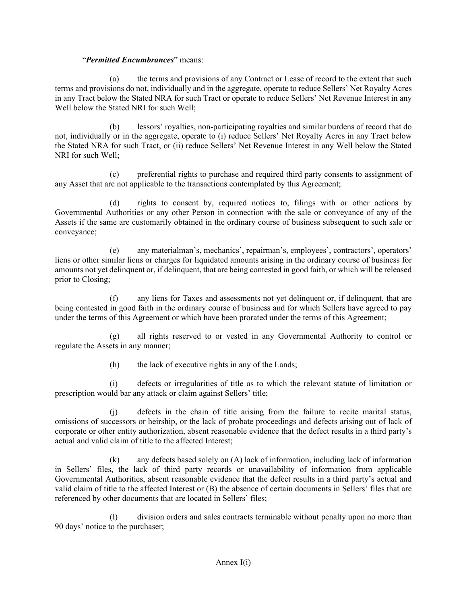## "*Permitted Encumbrances*" means:

(a) the terms and provisions of any Contract or Lease of record to the extent that such terms and provisions do not, individually and in the aggregate, operate to reduce Sellers' Net Royalty Acres in any Tract below the Stated NRA for such Tract or operate to reduce Sellers' Net Revenue Interest in any Well below the Stated NRI for such Well;

(b) lessors' royalties, non-participating royalties and similar burdens of record that do not, individually or in the aggregate, operate to (i) reduce Sellers' Net Royalty Acres in any Tract below the Stated NRA for such Tract, or (ii) reduce Sellers' Net Revenue Interest in any Well below the Stated NRI for such Well;

(c) preferential rights to purchase and required third party consents to assignment of any Asset that are not applicable to the transactions contemplated by this Agreement;

(d) rights to consent by, required notices to, filings with or other actions by Governmental Authorities or any other Person in connection with the sale or conveyance of any of the Assets if the same are customarily obtained in the ordinary course of business subsequent to such sale or conveyance;

(e) any materialman's, mechanics', repairman's, employees', contractors', operators' liens or other similar liens or charges for liquidated amounts arising in the ordinary course of business for amounts not yet delinquent or, if delinquent, that are being contested in good faith, or which will be released prior to Closing;

(f) any liens for Taxes and assessments not yet delinquent or, if delinquent, that are being contested in good faith in the ordinary course of business and for which Sellers have agreed to pay under the terms of this Agreement or which have been prorated under the terms of this Agreement;

(g) all rights reserved to or vested in any Governmental Authority to control or regulate the Assets in any manner;

(h) the lack of executive rights in any of the Lands;

(i) defects or irregularities of title as to which the relevant statute of limitation or prescription would bar any attack or claim against Sellers' title;

(j) defects in the chain of title arising from the failure to recite marital status, omissions of successors or heirship, or the lack of probate proceedings and defects arising out of lack of corporate or other entity authorization, absent reasonable evidence that the defect results in a third party's actual and valid claim of title to the affected Interest;

(k) any defects based solely on (A) lack of information, including lack of information in Sellers' files, the lack of third party records or unavailability of information from applicable Governmental Authorities, absent reasonable evidence that the defect results in a third party's actual and valid claim of title to the affected Interest or (B) the absence of certain documents in Sellers' files that are referenced by other documents that are located in Sellers' files;

(l) division orders and sales contracts terminable without penalty upon no more than 90 days' notice to the purchaser;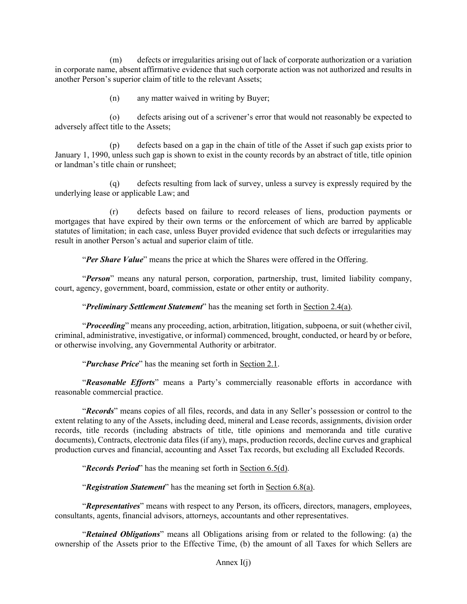(m) defects or irregularities arising out of lack of corporate authorization or a variation in corporate name, absent affirmative evidence that such corporate action was not authorized and results in another Person's superior claim of title to the relevant Assets;

(n) any matter waived in writing by Buyer;

(o) defects arising out of a scrivener's error that would not reasonably be expected to adversely affect title to the Assets;

(p) defects based on a gap in the chain of title of the Asset if such gap exists prior to January 1, 1990, unless such gap is shown to exist in the county records by an abstract of title, title opinion or landman's title chain or runsheet;

(q) defects resulting from lack of survey, unless a survey is expressly required by the underlying lease or applicable Law; and

(r) defects based on failure to record releases of liens, production payments or mortgages that have expired by their own terms or the enforcement of which are barred by applicable statutes of limitation; in each case, unless Buyer provided evidence that such defects or irregularities may result in another Person's actual and superior claim of title.

"*Per Share Value*" means the price at which the Shares were offered in the Offering.

"*Person*" means any natural person, corporation, partnership, trust, limited liability company, court, agency, government, board, commission, estate or other entity or authority.

"*Preliminary Settlement Statement*" has the meaning set forth in Section 2.4(a).

"*Proceeding*" means any proceeding, action, arbitration, litigation, subpoena, or suit (whether civil, criminal, administrative, investigative, or informal) commenced, brought, conducted, or heard by or before, or otherwise involving, any Governmental Authority or arbitrator.

"*Purchase Price*" has the meaning set forth in Section 2.1.

"*Reasonable Efforts*" means a Party's commercially reasonable efforts in accordance with reasonable commercial practice.

"*Records*" means copies of all files, records, and data in any Seller's possession or control to the extent relating to any of the Assets, including deed, mineral and Lease records, assignments, division order records, title records (including abstracts of title, title opinions and memoranda and title curative documents), Contracts, electronic data files (if any), maps, production records, decline curves and graphical production curves and financial, accounting and Asset Tax records, but excluding all Excluded Records.

"*Records Period*" has the meaning set forth in Section 6.5(d).

"*Registration Statement*" has the meaning set forth in Section 6.8(a).

"*Representatives*" means with respect to any Person, its officers, directors, managers, employees, consultants, agents, financial advisors, attorneys, accountants and other representatives.

"*Retained Obligations*" means all Obligations arising from or related to the following: (a) the ownership of the Assets prior to the Effective Time, (b) the amount of all Taxes for which Sellers are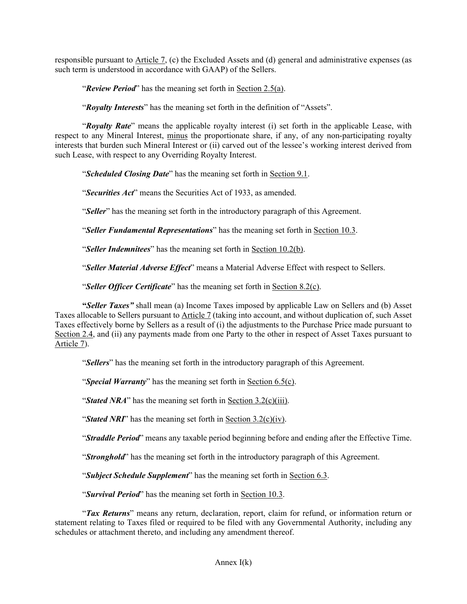responsible pursuant to Article 7, (c) the Excluded Assets and (d) general and administrative expenses (as such term is understood in accordance with GAAP) of the Sellers.

"*Review Period*" has the meaning set forth in Section 2.5(a).

"*Royalty Interests*" has the meaning set forth in the definition of "Assets".

"*Royalty Rate*" means the applicable royalty interest (i) set forth in the applicable Lease, with respect to any Mineral Interest, minus the proportionate share, if any, of any non-participating royalty interests that burden such Mineral Interest or (ii) carved out of the lessee's working interest derived from such Lease, with respect to any Overriding Royalty Interest.

"*Scheduled Closing Date*" has the meaning set forth in Section 9.1.

"*Securities Act*" means the Securities Act of 1933, as amended.

"*Seller*" has the meaning set forth in the introductory paragraph of this Agreement.

"*Seller Fundamental Representations*" has the meaning set forth in Section 10.3.

"*Seller Indemnitees*" has the meaning set forth in Section 10.2(b).

"*Seller Material Adverse Effect*" means a Material Adverse Effect with respect to Sellers.

"*Seller Officer Certificate*" has the meaning set forth in Section 8.2(c).

**"***Seller Taxes"* shall mean (a) Income Taxes imposed by applicable Law on Sellers and (b) Asset Taxes allocable to Sellers pursuant to Article 7 (taking into account, and without duplication of, such Asset Taxes effectively borne by Sellers as a result of (i) the adjustments to the Purchase Price made pursuant to Section 2.4, and (ii) any payments made from one Party to the other in respect of Asset Taxes pursuant to Article 7).

"*Sellers*" has the meaning set forth in the introductory paragraph of this Agreement.

"*Special Warranty*" has the meaning set forth in Section 6.5(c).

"*Stated NRA*" has the meaning set forth in Section 3.2(c)(iii).

"*Stated NRI*" has the meaning set forth in <u>Section 3.2(c)(iv)</u>.

"*Straddle Period*" means any taxable period beginning before and ending after the Effective Time.

"*Stronghold*" has the meaning set forth in the introductory paragraph of this Agreement.

"*Subject Schedule Supplement*" has the meaning set forth in Section 6.3.

"*Survival Period*" has the meaning set forth in Section 10.3.

"*Tax Returns*" means any return, declaration, report, claim for refund, or information return or statement relating to Taxes filed or required to be filed with any Governmental Authority, including any schedules or attachment thereto, and including any amendment thereof.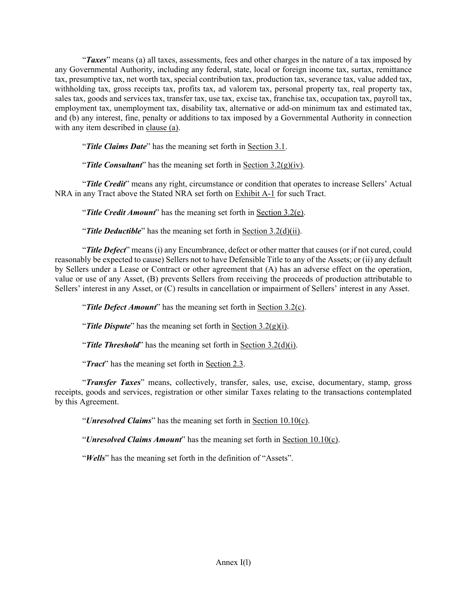"*Taxes*" means (a) all taxes, assessments, fees and other charges in the nature of a tax imposed by any Governmental Authority, including any federal, state, local or foreign income tax, surtax, remittance tax, presumptive tax, net worth tax, special contribution tax, production tax, severance tax, value added tax, withholding tax, gross receipts tax, profits tax, ad valorem tax, personal property tax, real property tax, sales tax, goods and services tax, transfer tax, use tax, excise tax, franchise tax, occupation tax, payroll tax, employment tax, unemployment tax, disability tax, alternative or add-on minimum tax and estimated tax, and (b) any interest, fine, penalty or additions to tax imposed by a Governmental Authority in connection with any item described in clause (a).

"*Title Claims Date*" has the meaning set forth in Section 3.1.

"**Title Consultant**" has the meaning set forth in Section  $3.2(g)(iv)$ .

"*Title Credit*" means any right, circumstance or condition that operates to increase Sellers' Actual NRA in any Tract above the Stated NRA set forth on Exhibit A-1 for such Tract.

"*Title Credit Amount*" has the meaning set forth in Section 3.2(e).

"*Title Deductible*" has the meaning set forth in Section 3.2(d)(ii).

"*Title Defect*" means (i) any Encumbrance, defect or other matter that causes (or if not cured, could reasonably be expected to cause) Sellers not to have Defensible Title to any of the Assets; or (ii) any default by Sellers under a Lease or Contract or other agreement that (A) has an adverse effect on the operation, value or use of any Asset, (B) prevents Sellers from receiving the proceeds of production attributable to Sellers' interest in any Asset, or (C) results in cancellation or impairment of Sellers' interest in any Asset.

"*Title Defect Amount*" has the meaning set forth in Section 3.2(c).

"*Title Dispute*" has the meaning set forth in Section 3.2(g)(i).

"*Title Threshold*" has the meaning set forth in Section 3.2(d)(i).

"*Tract*" has the meaning set forth in Section 2.3.

"*Transfer Taxes*" means, collectively, transfer, sales, use, excise, documentary, stamp, gross receipts, goods and services, registration or other similar Taxes relating to the transactions contemplated by this Agreement.

"*Unresolved Claims*" has the meaning set forth in Section 10.10(c).

"*Unresolved Claims Amount*" has the meaning set forth in Section 10.10(c).

"*Wells*" has the meaning set forth in the definition of "Assets".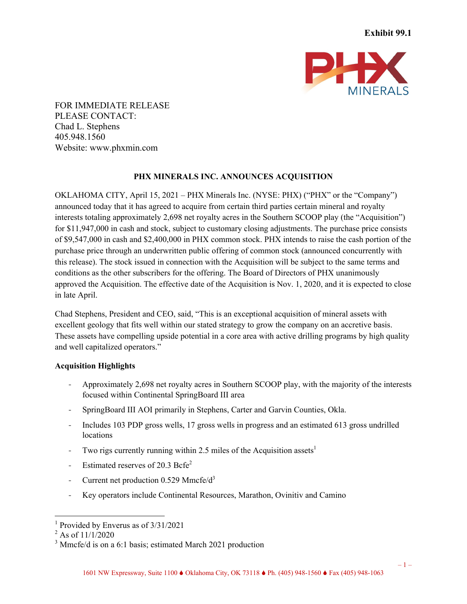

FOR IMMEDIATE RELEASE PLEASE CONTACT: Chad L. Stephens 405.948.1560 Website: www.phxmin.com

## **PHX MINERALS INC. ANNOUNCES ACQUISITION**

OKLAHOMA CITY, April 15, 2021 – PHX Minerals Inc. (NYSE: PHX) ("PHX" or the "Company") announced today that it has agreed to acquire from certain third parties certain mineral and royalty interests totaling approximately 2,698 net royalty acres in the Southern SCOOP play (the "Acquisition") for \$11,947,000 in cash and stock, subject to customary closing adjustments. The purchase price consists of \$9,547,000 in cash and \$2,400,000 in PHX common stock. PHX intends to raise the cash portion of the purchase price through an underwritten public offering of common stock (announced concurrently with this release). The stock issued in connection with the Acquisition will be subject to the same terms and conditions as the other subscribers for the offering. The Board of Directors of PHX unanimously approved the Acquisition. The effective date of the Acquisition is Nov. 1, 2020, and it is expected to close in late April.

Chad Stephens, President and CEO, said, "This is an exceptional acquisition of mineral assets with excellent geology that fits well within our stated strategy to grow the company on an accretive basis. These assets have compelling upside potential in a core area with active drilling programs by high quality and well capitalized operators."

## **Acquisition Highlights**

- Approximately 2,698 net royalty acres in Southern SCOOP play, with the majority of the interests focused within Continental SpringBoard III area
- SpringBoard III AOI primarily in Stephens, Carter and Garvin Counties, Okla.
- Includes 103 PDP gross wells, 17 gross wells in progress and an estimated 613 gross undrilled locations
- Two rigs currently running within 2.5 miles of the Acquisition assets<sup>1</sup>
- Estimated reserves of  $20.3$  Bcfe<sup>2</sup>
- Current net production  $0.529$  Mmcfe/ $d^3$
- Key operators include Continental Resources, Marathon, Ovinitiv and Camino

<sup>1</sup> Provided by Enverus as of 3/31/2021

 $2$  As of  $11/1/2020$ 

<sup>&</sup>lt;sup>3</sup> Mmcfe/d is on a 6:1 basis; estimated March 2021 production